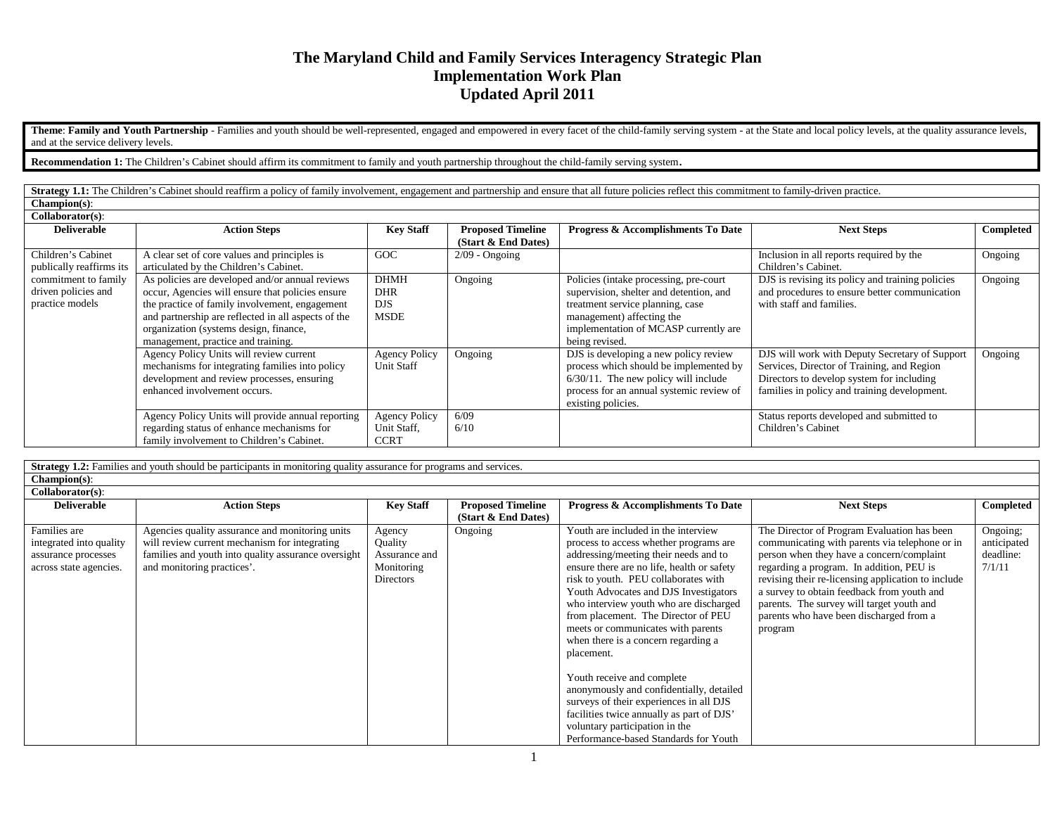# **The Maryland Child and Family Services Interagency Strategic Plan Implementation Work Plan Updated April 2011**

Theme: Family and Youth Partnership - Families and youth should be well-represented, engaged and empowered in every facet of the child-family serving system - at the State and local policy levels, at the quality assurance and at the service delivery levels.

**Recommendation 1:** The Children's Cabinet should affirm its commitment to family and youth partnership throughout the child-family serving system.

Strategy 1.1: The Children's Cabinet should reaffirm a policy of family involvement, engagement and partnership and ensure that all future policies reflect this commitment to family-driven practice. **Champion(s)**:

| Collaborator(s):                                               |                                                                                                                                                                                                                                                                                              |                                                        |                                                 |                                                                                                                                                                                                               |                                                                                                                                                                                           |           |
|----------------------------------------------------------------|----------------------------------------------------------------------------------------------------------------------------------------------------------------------------------------------------------------------------------------------------------------------------------------------|--------------------------------------------------------|-------------------------------------------------|---------------------------------------------------------------------------------------------------------------------------------------------------------------------------------------------------------------|-------------------------------------------------------------------------------------------------------------------------------------------------------------------------------------------|-----------|
| <b>Deliverable</b>                                             | <b>Action Steps</b>                                                                                                                                                                                                                                                                          | <b>Key Staff</b>                                       | <b>Proposed Timeline</b><br>(Start & End Dates) | Progress & Accomplishments To Date                                                                                                                                                                            | <b>Next Steps</b>                                                                                                                                                                         | Completed |
| Children's Cabinet<br>publically reaffirms its                 | A clear set of core values and principles is<br>articulated by the Children's Cabinet.                                                                                                                                                                                                       | GOC                                                    | $2/09$ - Ongoing                                |                                                                                                                                                                                                               | Inclusion in all reports required by the<br>Children's Cabinet.                                                                                                                           | Ongoing   |
| commitment to family<br>driven policies and<br>practice models | As policies are developed and/or annual reviews<br>occur, Agencies will ensure that policies ensure<br>the practice of family involvement, engagement<br>and partnership are reflected in all aspects of the<br>organization (systems design, finance,<br>management, practice and training. | <b>DHMH</b><br><b>DHR</b><br><b>DJS</b><br><b>MSDE</b> | Ongoing                                         | Policies (intake processing, pre-court<br>supervision, shelter and detention, and<br>treatment service planning, case<br>management) affecting the<br>implementation of MCASP currently are<br>being revised. | DJS is revising its policy and training policies<br>and procedures to ensure better communication<br>with staff and families.                                                             | Ongoing   |
|                                                                | Agency Policy Units will review current<br>mechanisms for integrating families into policy<br>development and review processes, ensuring<br>enhanced involvement occurs.                                                                                                                     | <b>Agency Policy</b><br>Unit Staff                     | Ongoing                                         | DJS is developing a new policy review<br>process which should be implemented by<br>$6/30/11$ . The new policy will include<br>process for an annual systemic review of<br>existing policies.                  | DJS will work with Deputy Secretary of Support<br>Services, Director of Training, and Region<br>Directors to develop system for including<br>families in policy and training development. | Ongoing   |
|                                                                | Agency Policy Units will provide annual reporting<br>regarding status of enhance mechanisms for<br>family involvement to Children's Cabinet.                                                                                                                                                 | <b>Agency Policy</b><br>Unit Staff,<br><b>CCRT</b>     | 6/09<br>6/10                                    |                                                                                                                                                                                                               | Status reports developed and submitted to<br>Children's Cabinet                                                                                                                           |           |

**Strategy 1.2:** Families and youth should be participants in monitoring quality assurance for programs and services. **Champion(s)**: **Collaborator(s)**: **Deliverable Rev Staff Proposed Timeline (Start & End Dates) Progress & Accomplishments To Date Next Steps Completed** Families are integrated into quality assurance processes across state agencies. Agencies quality assurance and monitoring units will review current mechanism for integrating families and youth into quality assurance oversight and monitoring practices'. Agency Quality Assurance and Monitoring **Directors** Ongoing Youth are included in the interview process to access whether programs are addressing/meeting their needs and to ensure there are no life, health or safety risk to youth. PEU collaborates with Youth Advocates and DJS Investigators who interview youth who are discharged from placement. The Director of PEU meets or communicates with parents when there is a concern regarding a placement. Youth receive and complete anonymously and confidentially, detailed surveys of their experiences in all DJS facilities twice annually as part of DJS' voluntary participation in the Performance-based Standards for Youth The Director of Program Evaluation has been communicating with parents via telephone or in person when they have a concern/complaint regarding a program. In addition, PEU is revising their re-licensing application to include a survey to obtain feedback from youth and parents. The survey will target youth and parents who have been discharged from a program Ongoing; anticipated deadline: 7/1/11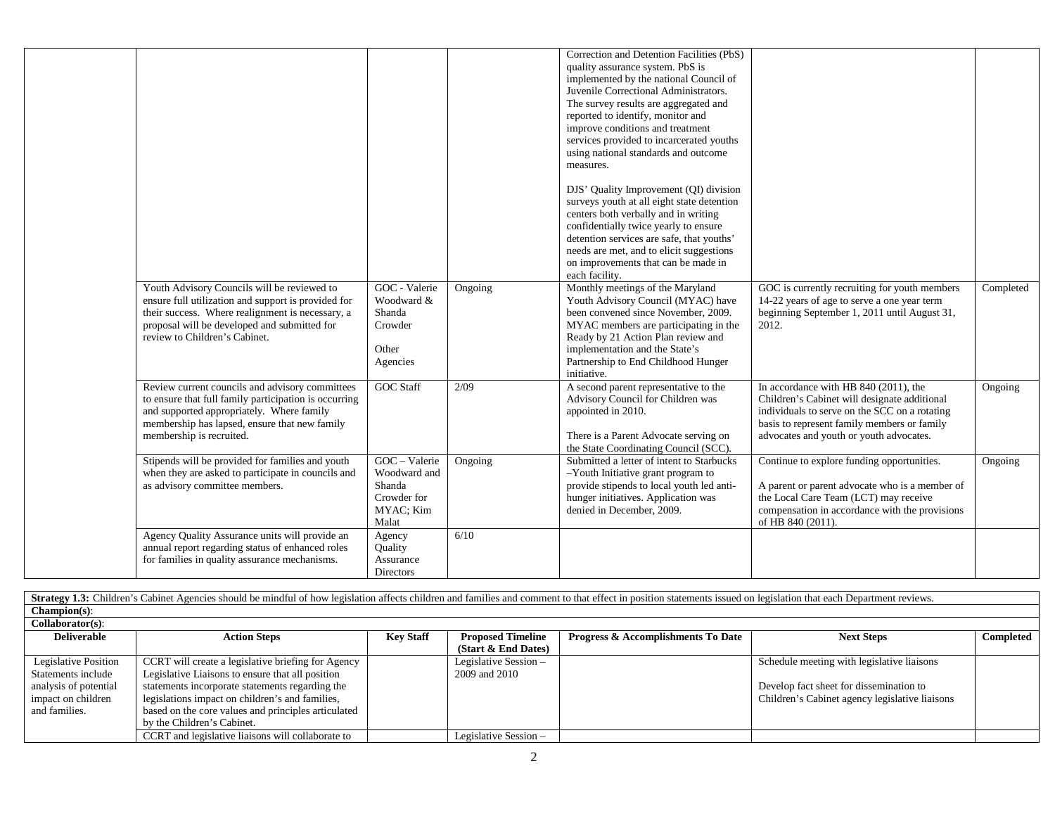|                                                       |                       |               | Correction and Detention Facilities (PbS)                                        |                                                                                         |           |
|-------------------------------------------------------|-----------------------|---------------|----------------------------------------------------------------------------------|-----------------------------------------------------------------------------------------|-----------|
|                                                       |                       |               | quality assurance system. PbS is<br>implemented by the national Council of       |                                                                                         |           |
|                                                       |                       |               | Juvenile Correctional Administrators.                                            |                                                                                         |           |
|                                                       |                       |               | The survey results are aggregated and                                            |                                                                                         |           |
|                                                       |                       |               | reported to identify, monitor and                                                |                                                                                         |           |
|                                                       |                       |               | improve conditions and treatment                                                 |                                                                                         |           |
|                                                       |                       |               | services provided to incarcerated youths                                         |                                                                                         |           |
|                                                       |                       |               | using national standards and outcome                                             |                                                                                         |           |
|                                                       |                       |               | measures.                                                                        |                                                                                         |           |
|                                                       |                       |               | DJS' Quality Improvement (QI) division                                           |                                                                                         |           |
|                                                       |                       |               | surveys youth at all eight state detention                                       |                                                                                         |           |
|                                                       |                       |               | centers both verbally and in writing                                             |                                                                                         |           |
|                                                       |                       |               | confidentially twice yearly to ensure                                            |                                                                                         |           |
|                                                       |                       |               | detention services are safe, that youths'                                        |                                                                                         |           |
|                                                       |                       |               | needs are met, and to elicit suggestions<br>on improvements that can be made in  |                                                                                         |           |
|                                                       |                       |               | each facility.                                                                   |                                                                                         |           |
| Youth Advisory Councils will be reviewed to           | GOC - Valerie         | Ongoing       | Monthly meetings of the Maryland                                                 | GOC is currently recruiting for youth members                                           | Completed |
| ensure full utilization and support is provided for   | Woodward &            |               | Youth Advisory Council (MYAC) have                                               | 14-22 years of age to serve a one year term                                             |           |
| their success. Where realignment is necessary, a      | Shanda                |               | been convened since November, 2009.                                              | beginning September 1, 2011 until August 31,                                            |           |
| proposal will be developed and submitted for          | Crowder               |               | MYAC members are participating in the                                            | 2012.                                                                                   |           |
| review to Children's Cabinet.                         |                       |               | Ready by 21 Action Plan review and                                               |                                                                                         |           |
|                                                       | Other                 |               | implementation and the State's                                                   |                                                                                         |           |
|                                                       | Agencies              |               | Partnership to End Childhood Hunger<br>initiative.                               |                                                                                         |           |
| Review current councils and advisory committees       | <b>GOC Staff</b>      | $\sqrt{2/09}$ | A second parent representative to the                                            | In accordance with HB 840 (2011), the                                                   | Ongoing   |
| to ensure that full family participation is occurring |                       |               | Advisory Council for Children was                                                | Children's Cabinet will designate additional                                            |           |
| and supported appropriately. Where family             |                       |               | appointed in 2010.                                                               | individuals to serve on the SCC on a rotating                                           |           |
| membership has lapsed, ensure that new family         |                       |               |                                                                                  | basis to represent family members or family                                             |           |
| membership is recruited.                              |                       |               | There is a Parent Advocate serving on                                            | advocates and youth or youth advocates.                                                 |           |
|                                                       |                       |               | the State Coordinating Council (SCC).                                            |                                                                                         |           |
| Stipends will be provided for families and youth      | GOC - Valerie         | Ongoing       | Submitted a letter of intent to Starbucks                                        | Continue to explore funding opportunities.                                              | Ongoing   |
| when they are asked to participate in councils and    | Woodward and          |               | -Youth Initiative grant program to                                               |                                                                                         |           |
| as advisory committee members.                        | Shanda<br>Crowder for |               | provide stipends to local youth led anti-<br>hunger initiatives. Application was | A parent or parent advocate who is a member of<br>the Local Care Team (LCT) may receive |           |
|                                                       | MYAC; Kim             |               | denied in December, 2009.                                                        | compensation in accordance with the provisions                                          |           |
|                                                       | Malat                 |               |                                                                                  | of HB 840 (2011).                                                                       |           |
| Agency Quality Assurance units will provide an        | Agency                | 6/10          |                                                                                  |                                                                                         |           |
| annual report regarding status of enhanced roles      | Quality               |               |                                                                                  |                                                                                         |           |
| for families in quality assurance mechanisms.         | Assurance             |               |                                                                                  |                                                                                         |           |
|                                                       | Directors             |               |                                                                                  |                                                                                         |           |

| <b>Strategy 1.3:</b> Children's Cabinet Agencies should be mindful of how legislation affects children and families and comment to that effect in position statements issued on legislation that each Department reviews. |                                                     |                  |                          |                                               |                                                |           |  |  |
|---------------------------------------------------------------------------------------------------------------------------------------------------------------------------------------------------------------------------|-----------------------------------------------------|------------------|--------------------------|-----------------------------------------------|------------------------------------------------|-----------|--|--|
| $Champion(s):$                                                                                                                                                                                                            |                                                     |                  |                          |                                               |                                                |           |  |  |
| Collaborator(s):                                                                                                                                                                                                          |                                                     |                  |                          |                                               |                                                |           |  |  |
| <b>Deliverable</b>                                                                                                                                                                                                        | <b>Action Steps</b>                                 | <b>Key Staff</b> | <b>Proposed Timeline</b> | <b>Progress &amp; Accomplishments To Date</b> | <b>Next Steps</b>                              | Completed |  |  |
|                                                                                                                                                                                                                           |                                                     |                  | (Start & End Dates)      |                                               |                                                |           |  |  |
| Legislative Position                                                                                                                                                                                                      | CCRT will create a legislative briefing for Agency  |                  | Legislative Session –    |                                               | Schedule meeting with legislative liaisons     |           |  |  |
| Statements include                                                                                                                                                                                                        | Legislative Liaisons to ensure that all position    |                  | 2009 and 2010            |                                               |                                                |           |  |  |
| analysis of potential                                                                                                                                                                                                     | statements incorporate statements regarding the     |                  |                          |                                               | Develop fact sheet for dissemination to        |           |  |  |
| impact on children                                                                                                                                                                                                        | legislations impact on children's and families,     |                  |                          |                                               | Children's Cabinet agency legislative liaisons |           |  |  |
| and families.                                                                                                                                                                                                             | based on the core values and principles articulated |                  |                          |                                               |                                                |           |  |  |
|                                                                                                                                                                                                                           | by the Children's Cabinet.                          |                  |                          |                                               |                                                |           |  |  |
|                                                                                                                                                                                                                           | CCRT and legislative liaisons will collaborate to   |                  | Legislative Session -    |                                               |                                                |           |  |  |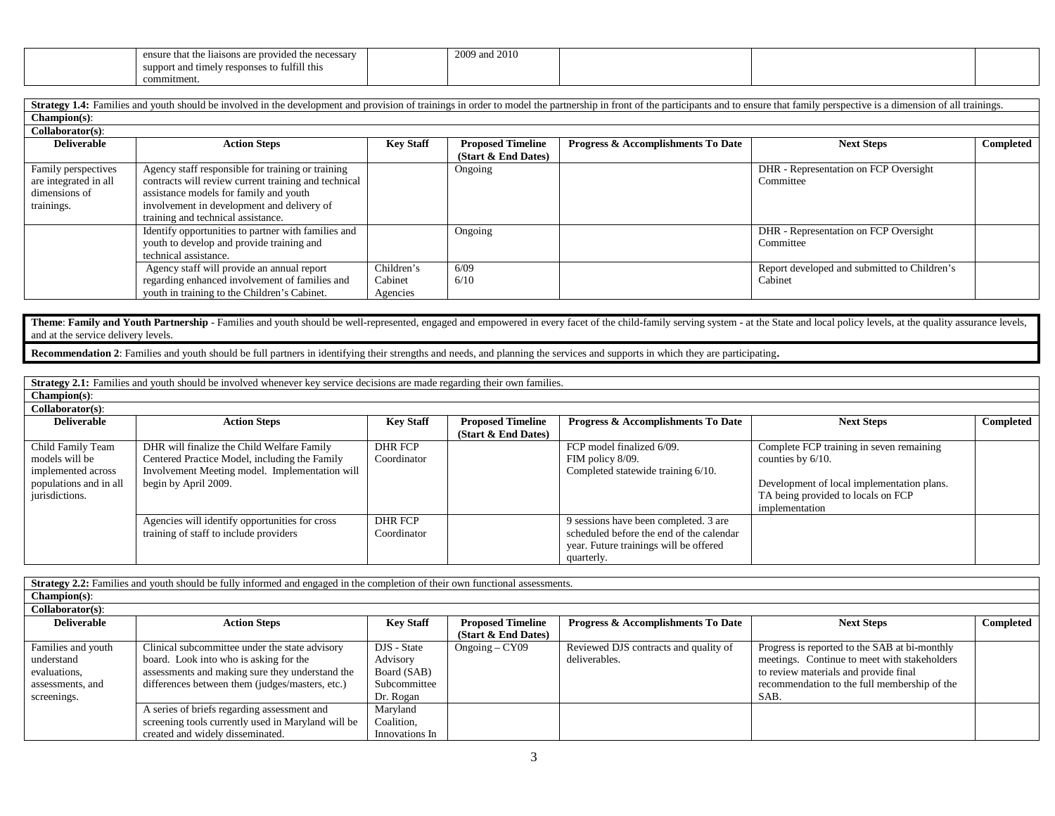| ensure that the haisons are prove<br>$+1$<br>e necessary<br>zided. | and 2010<br>$2000 \text{ cm}$ |  |  |
|--------------------------------------------------------------------|-------------------------------|--|--|
| fulfill this<br>suppor<br>resp<br>onse<br>$\sim$                   |                               |  |  |
| commitmen.                                                         |                               |  |  |

| Strategy 1.4: Families and youth should be involved in the development and provision of trainings in order to model the partnership in front of the participants and to ensure that family perspective is a dimension of all t |                                                      |                  |                          |                                               |                                              |           |  |  |
|--------------------------------------------------------------------------------------------------------------------------------------------------------------------------------------------------------------------------------|------------------------------------------------------|------------------|--------------------------|-----------------------------------------------|----------------------------------------------|-----------|--|--|
| Champion(s):                                                                                                                                                                                                                   |                                                      |                  |                          |                                               |                                              |           |  |  |
| Collaborator(s):                                                                                                                                                                                                               |                                                      |                  |                          |                                               |                                              |           |  |  |
| <b>Deliverable</b>                                                                                                                                                                                                             | <b>Action Steps</b>                                  | <b>Key Staff</b> | <b>Proposed Timeline</b> | <b>Progress &amp; Accomplishments To Date</b> | <b>Next Steps</b>                            | Completed |  |  |
|                                                                                                                                                                                                                                |                                                      |                  | (Start & End Dates)      |                                               |                                              |           |  |  |
| Family perspectives                                                                                                                                                                                                            | Agency staff responsible for training or training    |                  | Ongoing                  |                                               | DHR - Representation on FCP Oversight        |           |  |  |
| are integrated in all                                                                                                                                                                                                          | contracts will review current training and technical |                  |                          |                                               | Committee                                    |           |  |  |
| dimensions of                                                                                                                                                                                                                  | assistance models for family and youth               |                  |                          |                                               |                                              |           |  |  |
| trainings.                                                                                                                                                                                                                     | involvement in development and delivery of           |                  |                          |                                               |                                              |           |  |  |
|                                                                                                                                                                                                                                | training and technical assistance.                   |                  |                          |                                               |                                              |           |  |  |
|                                                                                                                                                                                                                                | Identify opportunities to partner with families and  |                  | Ongoing                  |                                               | DHR - Representation on FCP Oversight        |           |  |  |
|                                                                                                                                                                                                                                | youth to develop and provide training and            |                  |                          |                                               | Committee                                    |           |  |  |
|                                                                                                                                                                                                                                | technical assistance.                                |                  |                          |                                               |                                              |           |  |  |
|                                                                                                                                                                                                                                | Agency staff will provide an annual report           | Children's       | 6/09                     |                                               | Report developed and submitted to Children's |           |  |  |
|                                                                                                                                                                                                                                | regarding enhanced involvement of families and       | Cabinet          | 6/10                     |                                               | Cabinet                                      |           |  |  |
|                                                                                                                                                                                                                                | youth in training to the Children's Cabinet.         | Agencies         |                          |                                               |                                              |           |  |  |

Theme: Family and Youth Partnership - Families and youth should be well-represented, engaged and empowered in every facet of the child-family serving system - at the State and local policy levels, at the quality assurance and at the service delivery levels.

**Recommendation 2**: Families and youth should be full partners in identifying their strengths and needs, and planning the services and supports in which they are participating.

**Strategy 2.1:** Families and youth should be involved whenever key service decisions are made regarding their own families.

# **Champion(s)**:

| $Collaborator(s)$ :    |                                                |                  |                          |                                               |                                            |           |
|------------------------|------------------------------------------------|------------------|--------------------------|-----------------------------------------------|--------------------------------------------|-----------|
| <b>Deliverable</b>     | <b>Action Steps</b>                            | <b>Key Staff</b> | <b>Proposed Timeline</b> | <b>Progress &amp; Accomplishments To Date</b> | <b>Next Steps</b>                          | Completed |
|                        |                                                |                  | (Start & End Dates)      |                                               |                                            |           |
| Child Family Team      | DHR will finalize the Child Welfare Family     | DHR FCP          |                          | FCP model finalized 6/09.                     | Complete FCP training in seven remaining   |           |
| models will be         | Centered Practice Model, including the Family  | Coordinator      |                          | FIM policy 8/09.                              | counties by $6/10$ .                       |           |
| implemented across     | Involvement Meeting model. Implementation will |                  |                          | Completed statewide training 6/10.            |                                            |           |
| populations and in all | begin by April 2009.                           |                  |                          |                                               | Development of local implementation plans. |           |
| jurisdictions.         |                                                |                  |                          |                                               | TA being provided to locals on FCP         |           |
|                        |                                                |                  |                          |                                               | implementation                             |           |
|                        | Agencies will identify opportunities for cross | DHR FCP          |                          | 9 sessions have been completed. 3 are         |                                            |           |
|                        | training of staff to include providers         | Coordinator      |                          | scheduled before the end of the calendar      |                                            |           |
|                        |                                                |                  |                          | year. Future trainings will be offered        |                                            |           |
|                        |                                                |                  |                          | quarterly.                                    |                                            |           |

**Strategy 2.2:** Families and youth should be fully informed and engaged in the completion of their own functional assessments. **Champion(s)**: **Collaborator(s)**: **Deliverable Action Steps Key Staff Proposed Timeline (Start & End Dates) Progress & Accomplishments To Date Next Steps Completed** Families and youth understand evaluations, assessments, and screenings. Clinical subcommittee under the state advisory board. Look into who is asking for the assessments and making sure they understand the differences between them (judges/masters, etc.) DJS - State Advisory Board (SAB) Subcommittee Dr. Rogan Ongoing – CY09 Reviewed DJS contracts and quality of deliverables. Progress is reported to the SAB at bi-monthly meetings. Continue to meet with stakeholders to review materials and provide final recommendation to the full membership of the SAB. A series of briefs regarding assessment and screening tools currently used in Maryland will be created and widely disseminated. Maryland Coalition, Innovations In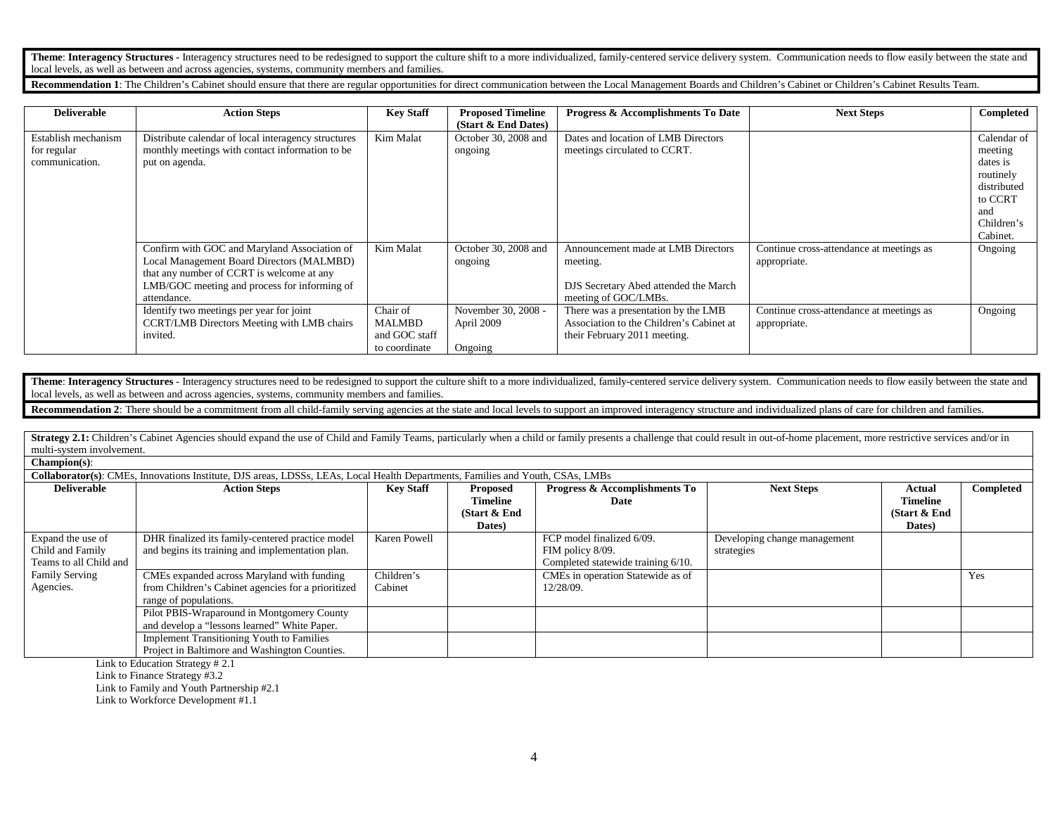Theme: Interagency Structures - Interagency structures need to be redesigned to support the culture shift to a more individualized, family-centered service delivery system. Communication needs to flow easily between the st local levels, as well as between and across agencies, systems, community members and families.

**Recommendation 1**: The Children's Cabinet should ensure that there are regular opportunities for direct communication between the Local Management Boards and Children's Cabinet or Children's Cabinet Results Team.

| <b>Deliverable</b>  | <b>Action Steps</b>                                 | <b>Key Staff</b> | <b>Proposed Timeline</b> | Progress & Accomplishments To Date       | <b>Next Steps</b>                        | Completed   |
|---------------------|-----------------------------------------------------|------------------|--------------------------|------------------------------------------|------------------------------------------|-------------|
|                     |                                                     |                  | (Start & End Dates)      |                                          |                                          |             |
| Establish mechanism | Distribute calendar of local interagency structures | Kim Malat        | October 30, 2008 and     | Dates and location of LMB Directors      |                                          | Calendar of |
| for regular         | monthly meetings with contact information to be     |                  | ongoing                  | meetings circulated to CCRT.             |                                          | meeting     |
| communication.      | put on agenda.                                      |                  |                          |                                          |                                          | dates is    |
|                     |                                                     |                  |                          |                                          |                                          | routinely   |
|                     |                                                     |                  |                          |                                          |                                          | distributed |
|                     |                                                     |                  |                          |                                          |                                          | to CCRT     |
|                     |                                                     |                  |                          |                                          |                                          | and         |
|                     |                                                     |                  |                          |                                          |                                          | Children's  |
|                     |                                                     |                  |                          |                                          |                                          | Cabinet.    |
|                     | Confirm with GOC and Maryland Association of        | Kim Malat        | October 30, 2008 and     | Announcement made at LMB Directors       | Continue cross-attendance at meetings as | Ongoing     |
|                     | Local Management Board Directors (MALMBD)           |                  | ongoing                  | meeting.                                 | appropriate.                             |             |
|                     | that any number of CCRT is welcome at any           |                  |                          |                                          |                                          |             |
|                     | LMB/GOC meeting and process for informing of        |                  |                          | DJS Secretary Abed attended the March    |                                          |             |
|                     | attendance.                                         |                  |                          | meeting of GOC/LMBs.                     |                                          |             |
|                     | Identify two meetings per year for joint            | Chair of         | November 30, 2008 -      | There was a presentation by the LMB      | Continue cross-attendance at meetings as | Ongoing     |
|                     | CCRT/LMB Directors Meeting with LMB chairs          | MALMBD           | April 2009               | Association to the Children's Cabinet at | appropriate.                             |             |
|                     | invited.                                            | and GOC staff    |                          | their February 2011 meeting.             |                                          |             |
|                     |                                                     | to coordinate    | Ongoing                  |                                          |                                          |             |

Theme: Interagency Structures - Interagency structures need to be redesigned to support the culture shift to a more individualized, family-centered service delivery system. Communication needs to flow easily between the st local levels, as well as between and across agencies, systems, community members and families.

**Recommendation 2:** There should be a commitment from all child-family serving agencies at the state and local levels to support an improved interagency structure and individualized plans of care for children and families.

Strategy 2.1: Children's Cabinet Agencies should expand the use of Child and Family Teams, particularly when a child or family presents a challenge that could result in out-of-home placement, more restrictive services and/ multi-system involvement.

**Champion(s)**:

**Collaborator(s)**: CMEs, Innovations Institute, DJS areas, LDSSs, LEAs, Local Health Departments, Families and Youth, CSAs, LMBs

| <b>Deliverable</b>     | <b>Action Steps</b>                                | <b>Key Staff</b> | <b>Proposed</b> | <b>Progress &amp; Accomplishments To</b> | <b>Next Steps</b>            | Actual          | Completed |
|------------------------|----------------------------------------------------|------------------|-----------------|------------------------------------------|------------------------------|-----------------|-----------|
|                        |                                                    |                  | <b>Timeline</b> | Date                                     |                              | <b>Timeline</b> |           |
|                        |                                                    |                  | (Start & End    |                                          |                              | (Start & End)   |           |
|                        |                                                    |                  | Dates)          |                                          |                              | Dates)          |           |
| Expand the use of      | DHR finalized its family-centered practice model   | Karen Powell     |                 | FCP model finalized 6/09.                | Developing change management |                 |           |
| Child and Family       | and begins its training and implementation plan.   |                  |                 | FIM policy 8/09.                         | strategies                   |                 |           |
| Teams to all Child and |                                                    |                  |                 | Completed statewide training 6/10.       |                              |                 |           |
| <b>Family Serving</b>  | CMEs expanded across Maryland with funding         | Children's       |                 | CMEs in operation Statewide as of        |                              |                 | Yes       |
| Agencies.              | from Children's Cabinet agencies for a prioritized | Cabinet          |                 | 12/28/09.                                |                              |                 |           |
|                        | range of populations.                              |                  |                 |                                          |                              |                 |           |
|                        | Pilot PBIS-Wraparound in Montgomery County         |                  |                 |                                          |                              |                 |           |
|                        | and develop a "lessons learned" White Paper.       |                  |                 |                                          |                              |                 |           |
|                        | <b>Implement Transitioning Youth to Families</b>   |                  |                 |                                          |                              |                 |           |
|                        | Project in Baltimore and Washington Counties.      |                  |                 |                                          |                              |                 |           |

Link to Education Strategy # 2.1

Link to Finance Strategy #3.2

Link to Family and Youth Partnership #2.1

Link to Workforce Development #1.1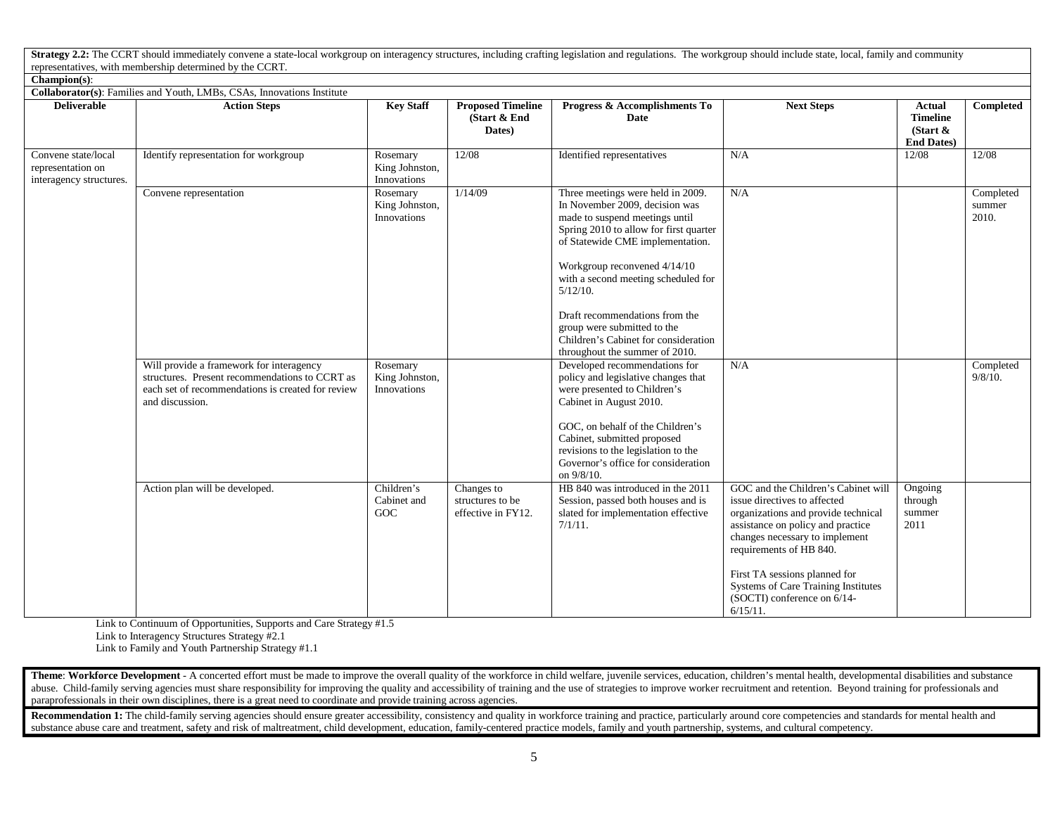Strategy 2.2: The CCRT should immediately convene a state-local workgroup on interagency structures, including crafting legislation and regulations. The workgroup should include state, local, family and community representatives, with membership determined by the CCRT.

| $Champion(s)$ :                                                        |                                                                                                                                                                    |                                           |                                                      |                                                                                                                                                                                                                                                                                                                                                                                                                      |                                                                                                                                                                                                                                                                                                                                    |                                                               |                              |  |  |
|------------------------------------------------------------------------|--------------------------------------------------------------------------------------------------------------------------------------------------------------------|-------------------------------------------|------------------------------------------------------|----------------------------------------------------------------------------------------------------------------------------------------------------------------------------------------------------------------------------------------------------------------------------------------------------------------------------------------------------------------------------------------------------------------------|------------------------------------------------------------------------------------------------------------------------------------------------------------------------------------------------------------------------------------------------------------------------------------------------------------------------------------|---------------------------------------------------------------|------------------------------|--|--|
| Collaborator(s): Families and Youth, LMBs, CSAs, Innovations Institute |                                                                                                                                                                    |                                           |                                                      |                                                                                                                                                                                                                                                                                                                                                                                                                      |                                                                                                                                                                                                                                                                                                                                    |                                                               |                              |  |  |
| <b>Deliverable</b>                                                     | <b>Action Steps</b>                                                                                                                                                | <b>Key Staff</b>                          | <b>Proposed Timeline</b><br>(Start & End<br>Dates)   | Progress & Accomplishments To<br>Date                                                                                                                                                                                                                                                                                                                                                                                | <b>Next Steps</b>                                                                                                                                                                                                                                                                                                                  | Actual<br><b>Timeline</b><br>(Start $\&$<br><b>End Dates)</b> | Completed                    |  |  |
| Convene state/local<br>representation on<br>interagency structures.    | Identify representation for workgroup                                                                                                                              | Rosemary<br>King Johnston,<br>Innovations | 12/08                                                | Identified representatives                                                                                                                                                                                                                                                                                                                                                                                           | N/A                                                                                                                                                                                                                                                                                                                                | 12/08                                                         | 12/08                        |  |  |
|                                                                        | Convene representation                                                                                                                                             | Rosemary<br>King Johnston,<br>Innovations | 1/14/09                                              | Three meetings were held in 2009.<br>In November 2009, decision was<br>made to suspend meetings until<br>Spring 2010 to allow for first quarter<br>of Statewide CME implementation.<br>Workgroup reconvened 4/14/10<br>with a second meeting scheduled for<br>$5/12/10$ .<br>Draft recommendations from the<br>group were submitted to the<br>Children's Cabinet for consideration<br>throughout the summer of 2010. | N/A                                                                                                                                                                                                                                                                                                                                |                                                               | Completed<br>summer<br>2010. |  |  |
|                                                                        | Will provide a framework for interagency<br>structures. Present recommendations to CCRT as<br>each set of recommendations is created for review<br>and discussion. | Rosemary<br>King Johnston,<br>Innovations |                                                      | Developed recommendations for<br>policy and legislative changes that<br>were presented to Children's<br>Cabinet in August 2010.<br>GOC, on behalf of the Children's<br>Cabinet, submitted proposed<br>revisions to the legislation to the<br>Governor's office for consideration<br>on 9/8/10.                                                                                                                       | N/A                                                                                                                                                                                                                                                                                                                                |                                                               | Completed<br>$9/8/10$ .      |  |  |
|                                                                        | Action plan will be developed.                                                                                                                                     | Children's<br>Cabinet and<br>GOC          | Changes to<br>structures to be<br>effective in FY12. | HB 840 was introduced in the 2011<br>Session, passed both houses and is<br>slated for implementation effective<br>$7/1/11$ .                                                                                                                                                                                                                                                                                         | GOC and the Children's Cabinet will<br>issue directives to affected<br>organizations and provide technical<br>assistance on policy and practice<br>changes necessary to implement<br>requirements of HB 840.<br>First TA sessions planned for<br>Systems of Care Training Institutes<br>(SOCTI) conference on 6/14-<br>$6/15/11$ . | Ongoing<br>through<br>summer<br>2011                          |                              |  |  |

Link to Continuum of Opportunities, Supports and Care Strategy #1.5

Link to Interagency Structures Strategy #2.1

Link to Family and Youth Partnership Strategy #1.1

Theme: Workforce Development - A concerted effort must be made to improve the overall quality of the workforce in child welfare, juvenile services, education, children's mental health, developmental disabilities and substa abuse. Child-family serving agencies must share responsibility for improving the quality and accessibility of training and the use of strategies to improve worker recruitment and retention. Beyond training for professional paraprofessionals in their own disciplines, there is a great need to coordinate and provide training across agencies.

Recommendation 1: The child-family serving agencies should ensure greater accessibility, consistency and quality in workforce training and practice, particularly around core competencies and standards for mental health and substance abuse care and treatment, safety and risk of maltreatment, child development, education, family-centered practice models, family and youth partnership, systems, and cultural competency.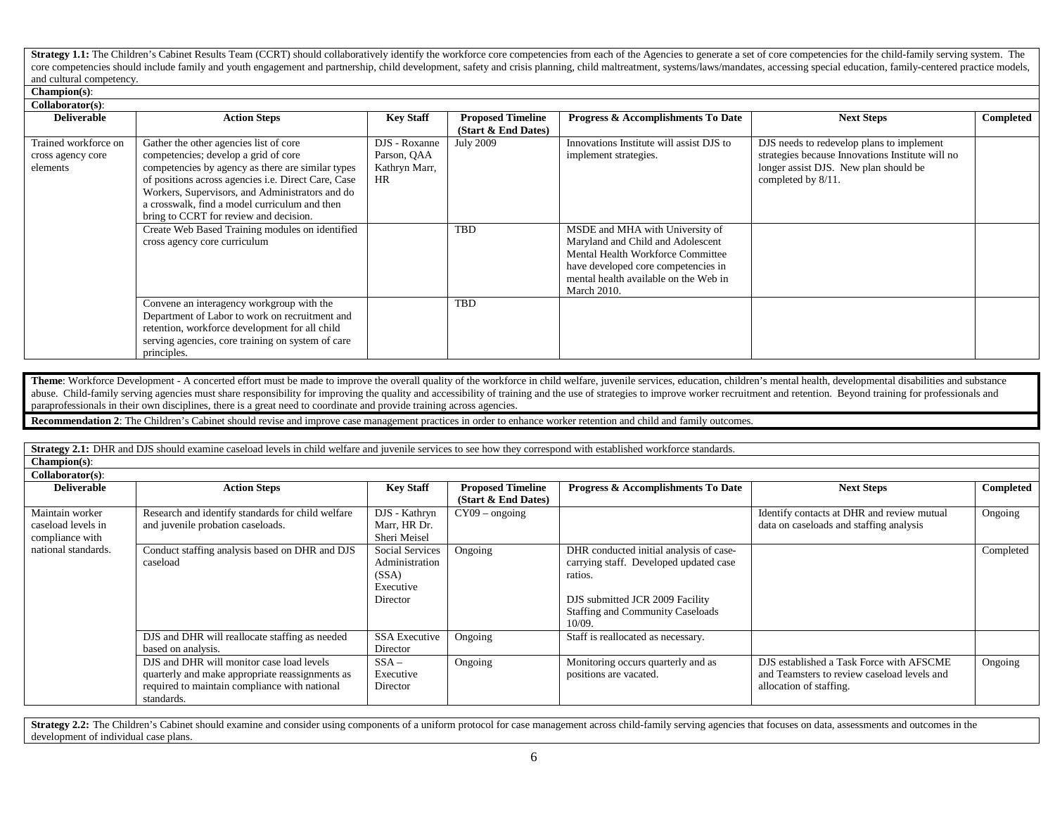Strategy 1.1: The Children's Cabinet Results Team (CCRT) should collaboratively identify the workforce core competencies from each of the Agencies to generate a set of core competencies for the child-family serving system. core competencies should include family and youth engagement and partnership, child development, safety and crisis planning, child maltreatment, systems/laws/mandates, accessing special education, family-centered practice and cultural competency.

## **Champion(s)**:

| Collaborator(s):                                      |                                                                                                                                                                                                                                                                                                                                                 |                                                            |                                                   |                                                                                                                                                                                                                 |                                                                                                                                                              |           |  |  |  |
|-------------------------------------------------------|-------------------------------------------------------------------------------------------------------------------------------------------------------------------------------------------------------------------------------------------------------------------------------------------------------------------------------------------------|------------------------------------------------------------|---------------------------------------------------|-----------------------------------------------------------------------------------------------------------------------------------------------------------------------------------------------------------------|--------------------------------------------------------------------------------------------------------------------------------------------------------------|-----------|--|--|--|
| <b>Deliverable</b>                                    | <b>Action Steps</b>                                                                                                                                                                                                                                                                                                                             | <b>Key Staff</b>                                           | <b>Proposed Timeline</b><br>$(Start & End$ Dates) | Progress & Accomplishments To Date                                                                                                                                                                              | <b>Next Steps</b>                                                                                                                                            | Completed |  |  |  |
| Trained workforce on<br>cross agency core<br>elements | Gather the other agencies list of core<br>competencies; develop a grid of core<br>competencies by agency as there are similar types<br>of positions across agencies <i>i.e.</i> Direct Care, Case<br>Workers, Supervisors, and Administrators and do<br>a crosswalk, find a model curriculum and then<br>bring to CCRT for review and decision. | DJS - Roxanne<br>Parson, QAA<br>Kathryn Marr,<br><b>HR</b> | <b>July 2009</b>                                  | Innovations Institute will assist DJS to<br>implement strategies.                                                                                                                                               | DJS needs to redevelop plans to implement<br>strategies because Innovations Institute will no<br>longer assist DJS. New plan should be<br>completed by 8/11. |           |  |  |  |
|                                                       | Create Web Based Training modules on identified<br>cross agency core curriculum                                                                                                                                                                                                                                                                 |                                                            | <b>TBD</b>                                        | MSDE and MHA with University of<br>Maryland and Child and Adolescent<br>Mental Health Workforce Committee<br>have developed core competencies in<br>mental health available on the Web in<br><b>March 2010.</b> |                                                                                                                                                              |           |  |  |  |
|                                                       | Convene an interagency workgroup with the<br>Department of Labor to work on recruitment and<br>retention, workforce development for all child<br>serving agencies, core training on system of care<br>principles.                                                                                                                               |                                                            | <b>TBD</b>                                        |                                                                                                                                                                                                                 |                                                                                                                                                              |           |  |  |  |

Theme: Workforce Development - A concerted effort must be made to improve the overall quality of the workforce in child welfare, juvenile services, education, children's mental health, developmental disabilities and substa abuse. Child-family serving agencies must share responsibility for improving the quality and accessibility of training and the use of strategies to improve worker recruitment and retention. Beyond training for professional paraprofessionals in their own disciplines, there is a great need to coordinate and provide training across agencies.

**Recommendation 2**: The Children's Cabinet should revise and improve case management practices in order to enhance worker retention and child and family outcomes.

**Strategy 2.1:** DHR and DJS should examine caseload levels in child welfare and juvenile services to see how they correspond with established workforce standards.

**Champion(s)**: **Collaborator(s)**:

| Conaborator (S).                                         |                                                                                                                                                             |                                                                            |                          |                                                                                                                                                                                      |                                                                                                                    |           |
|----------------------------------------------------------|-------------------------------------------------------------------------------------------------------------------------------------------------------------|----------------------------------------------------------------------------|--------------------------|--------------------------------------------------------------------------------------------------------------------------------------------------------------------------------------|--------------------------------------------------------------------------------------------------------------------|-----------|
| <b>Deliverable</b>                                       | <b>Action Steps</b>                                                                                                                                         | <b>Key Staff</b>                                                           | <b>Proposed Timeline</b> | Progress & Accomplishments To Date                                                                                                                                                   | <b>Next Steps</b>                                                                                                  | Completed |
|                                                          |                                                                                                                                                             |                                                                            | (Start & End Dates)      |                                                                                                                                                                                      |                                                                                                                    |           |
| Maintain worker<br>caseload levels in<br>compliance with | Research and identify standards for child welfare<br>and juvenile probation caseloads.                                                                      | DJS - Kathryn<br>Marr, HR Dr.<br>Sheri Meisel                              | $CY09 - ongoing$         |                                                                                                                                                                                      | Identify contacts at DHR and review mutual<br>data on caseloads and staffing analysis                              | Ongoing   |
| national standards.                                      | Conduct staffing analysis based on DHR and DJS<br>caseload                                                                                                  | <b>Social Services</b><br>Administration<br>(SSA)<br>Executive<br>Director | Ongoing                  | DHR conducted initial analysis of case-<br>carrying staff. Developed updated case<br>ratios.<br>DJS submitted JCR 2009 Facility<br><b>Staffing and Community Caseloads</b><br>10/09. |                                                                                                                    | Completed |
|                                                          | DJS and DHR will reallocate staffing as needed<br>based on analysis.                                                                                        | <b>SSA Executive</b><br>Director                                           | Ongoing                  | Staff is reallocated as necessary.                                                                                                                                                   |                                                                                                                    |           |
|                                                          | DJS and DHR will monitor case load levels<br>quarterly and make appropriate reassignments as<br>required to maintain compliance with national<br>standards. | $SSA -$<br>Executive<br>Director                                           | Ongoing                  | Monitoring occurs quarterly and as<br>positions are vacated.                                                                                                                         | DJS established a Task Force with AFSCME<br>and Teamsters to review caseload levels and<br>allocation of staffing. | Ongoing   |

**Strategy 2.2:** The Children's Cabinet should examine and consider using components of a uniform protocol for case management across child-family serving agencies that focuses on data, assessments and outcomes in the development of individual case plans.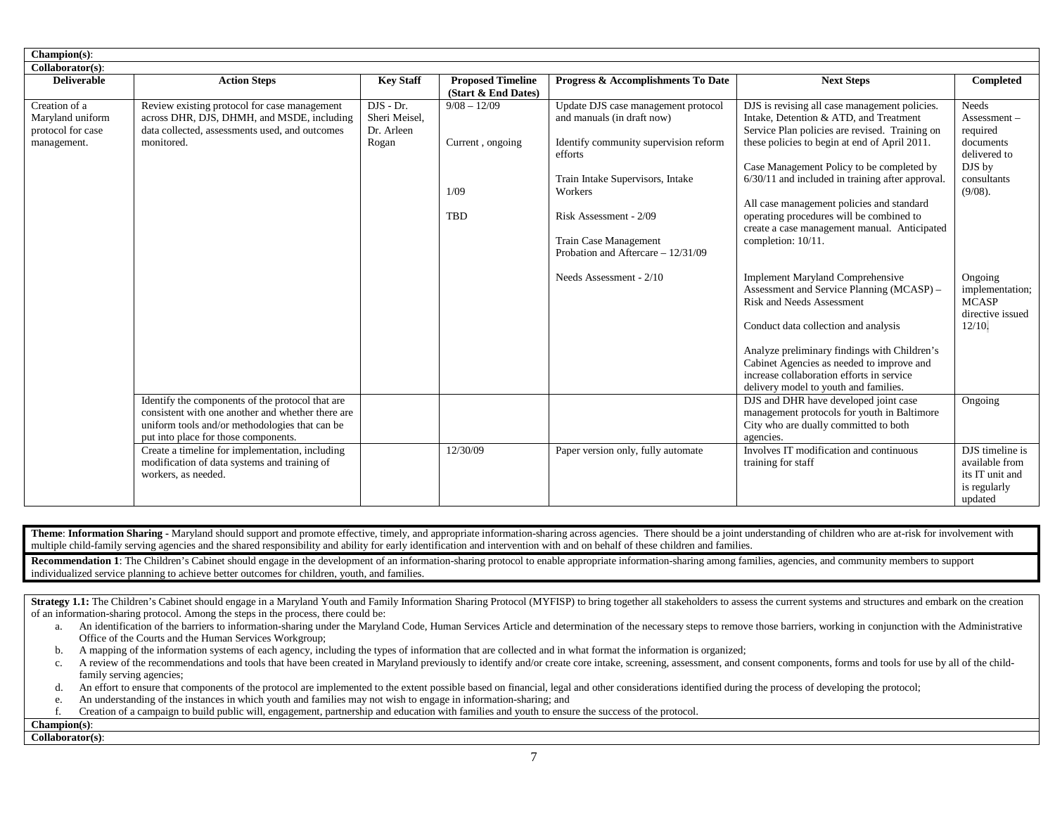| Champion(s):                                                          |                                                                                                                                                                                                 |                                                     |                                                          |                                                                                                                                                                                                                                                               |                                                                                                                                                                                                                                                                                                                                                                                                                                                              |                                                                                                             |
|-----------------------------------------------------------------------|-------------------------------------------------------------------------------------------------------------------------------------------------------------------------------------------------|-----------------------------------------------------|----------------------------------------------------------|---------------------------------------------------------------------------------------------------------------------------------------------------------------------------------------------------------------------------------------------------------------|--------------------------------------------------------------------------------------------------------------------------------------------------------------------------------------------------------------------------------------------------------------------------------------------------------------------------------------------------------------------------------------------------------------------------------------------------------------|-------------------------------------------------------------------------------------------------------------|
| Collaborator(s):                                                      |                                                                                                                                                                                                 |                                                     |                                                          |                                                                                                                                                                                                                                                               |                                                                                                                                                                                                                                                                                                                                                                                                                                                              |                                                                                                             |
| <b>Deliverable</b>                                                    | <b>Action Steps</b>                                                                                                                                                                             | <b>Key Staff</b>                                    | <b>Proposed Timeline</b><br>(Start & End Dates)          | Progress & Accomplishments To Date                                                                                                                                                                                                                            | <b>Next Steps</b>                                                                                                                                                                                                                                                                                                                                                                                                                                            | Completed                                                                                                   |
| Creation of a<br>Maryland uniform<br>protocol for case<br>management. | Review existing protocol for case management<br>across DHR, DJS, DHMH, and MSDE, including<br>data collected, assessments used, and outcomes<br>monitored.                                      | $DIS - Dr.$<br>Sheri Meisel,<br>Dr. Arleen<br>Rogan | $9/08 - 12/09$<br>Current, ongoing<br>1/09<br><b>TBD</b> | Update DJS case management protocol<br>and manuals (in draft now)<br>Identify community supervision reform<br>efforts<br>Train Intake Supervisors, Intake<br>Workers<br>Risk Assessment - 2/09<br>Train Case Management<br>Probation and Aftercare - 12/31/09 | DJS is revising all case management policies.<br>Intake, Detention & ATD, and Treatment<br>Service Plan policies are revised. Training on<br>these policies to begin at end of April 2011.<br>Case Management Policy to be completed by<br>$6/30/11$ and included in training after approval.<br>All case management policies and standard<br>operating procedures will be combined to<br>create a case management manual. Anticipated<br>completion: 10/11. | <b>Needs</b><br>Assessment-<br>required<br>documents<br>delivered to<br>DJS by<br>consultants<br>$(9/08)$ . |
|                                                                       |                                                                                                                                                                                                 |                                                     |                                                          | Needs Assessment - 2/10                                                                                                                                                                                                                                       | <b>Implement Maryland Comprehensive</b><br>Assessment and Service Planning (MCASP) -<br><b>Risk and Needs Assessment</b><br>Conduct data collection and analysis<br>Analyze preliminary findings with Children's<br>Cabinet Agencies as needed to improve and<br>increase collaboration efforts in service<br>delivery model to youth and families.                                                                                                          | Ongoing<br>implementation;<br><b>MCASP</b><br>directive issued<br>12/10.                                    |
|                                                                       | Identify the components of the protocol that are<br>consistent with one another and whether there are<br>uniform tools and/or methodologies that can be<br>put into place for those components. |                                                     |                                                          |                                                                                                                                                                                                                                                               | DJS and DHR have developed joint case<br>management protocols for youth in Baltimore<br>City who are dually committed to both<br>agencies.                                                                                                                                                                                                                                                                                                                   | Ongoing                                                                                                     |
|                                                                       | Create a timeline for implementation, including<br>modification of data systems and training of<br>workers, as needed.                                                                          |                                                     | 12/30/09                                                 | Paper version only, fully automate                                                                                                                                                                                                                            | Involves IT modification and continuous<br>training for staff                                                                                                                                                                                                                                                                                                                                                                                                | DJS timeline is<br>available from<br>its IT unit and<br>is regularly<br>updated                             |

Theme: Information Sharing - Maryland should support and promote effective, timely, and appropriate information-sharing across agencies. There should be a joint understanding of children who are at-risk for involvement wit multiple child-family serving agencies and the shared responsibility and ability for early identification and intervention with and on behalf of these children and families.

Recommendation 1: The Children's Cabinet should engage in the development of an information-sharing protocol to enable appropriate information-sharing among families, agencies, and community members to support individualized service planning to achieve better outcomes for children, youth, and families.

Strategy 1.1: The Children's Cabinet should engage in a Maryland Youth and Family Information Sharing Protocol (MYFISP) to bring together all stakeholders to assess the current systems and structures and embark on the crea of an information-sharing protocol. Among the steps in the process, there could be:

- a. An identification of the barriers to information-sharing under the Maryland Code, Human Services Article and determination of the necessary steps to remove those barriers, working in conjunction with the Administrative Office of the Courts and the Human Services Workgroup;
- b. A mapping of the information systems of each agency, including the types of information that are collected and in what format the information is organized;
- c. A review of the recommendations and tools that have been created in Maryland previously to identify and/or create core intake, screening, assessment, and consent components, forms and tools for use by all of the childfamily serving agencies;
- d. An effort to ensure that components of the protocol are implemented to the extent possible based on financial, legal and other considerations identified during the process of developing the protocol;
- e. An understanding of the instances in which youth and families may not wish to engage in information-sharing; and
- f. Creation of a campaign to build public will, engagement, partnership and education with families and youth to ensure the success of the protocol.

### **Champion(s)**: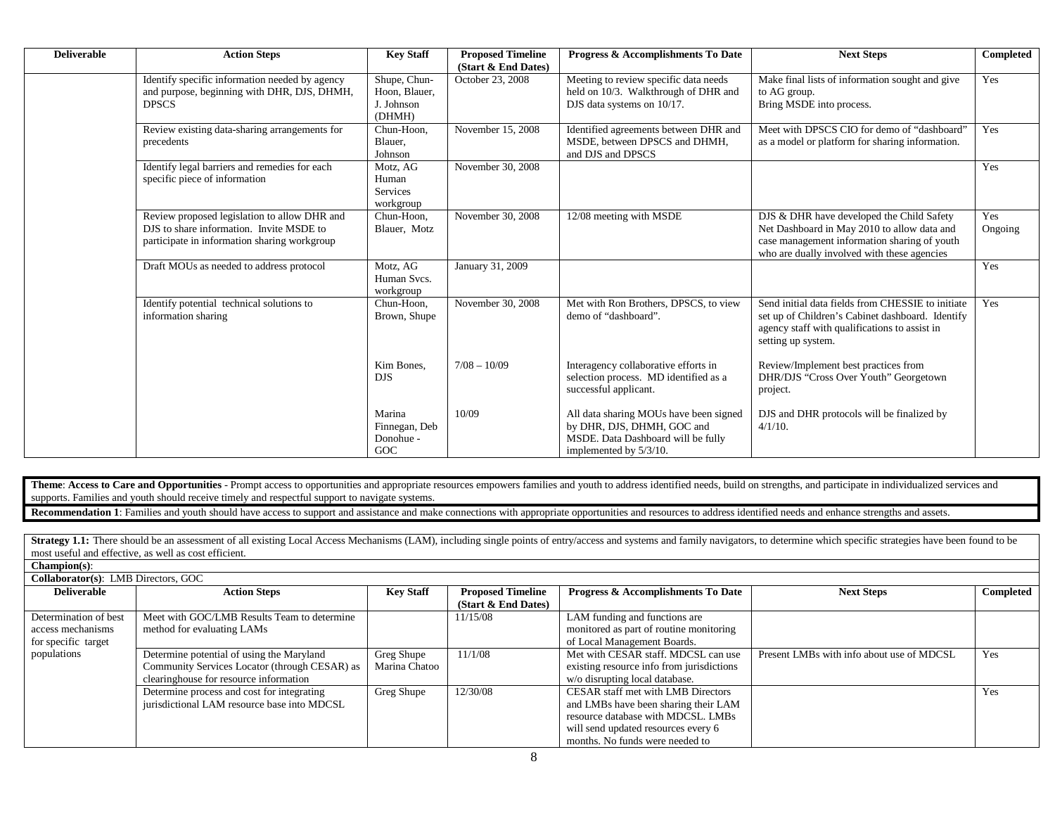| <b>Deliverable</b> | <b>Action Steps</b>                                                                                                                      | <b>Key Staff</b>                                      | <b>Proposed Timeline</b><br>(Start & End Dates) | Progress & Accomplishments To Date                                                                                                   | <b>Next Steps</b>                                                                                                                                                                       | <b>Completed</b> |
|--------------------|------------------------------------------------------------------------------------------------------------------------------------------|-------------------------------------------------------|-------------------------------------------------|--------------------------------------------------------------------------------------------------------------------------------------|-----------------------------------------------------------------------------------------------------------------------------------------------------------------------------------------|------------------|
|                    | Identify specific information needed by agency<br>and purpose, beginning with DHR, DJS, DHMH,<br><b>DPSCS</b>                            | Shupe, Chun-<br>Hoon, Blauer,<br>J. Johnson<br>(DHMH) | October 23, 2008                                | Meeting to review specific data needs<br>held on 10/3. Walkthrough of DHR and<br>DJS data systems on 10/17.                          | Make final lists of information sought and give<br>to AG group.<br>Bring MSDE into process.                                                                                             | Yes              |
|                    | Review existing data-sharing arrangements for<br>precedents                                                                              | Chun-Hoon,<br>Blauer,<br>Johnson                      | November 15, 2008                               | Identified agreements between DHR and<br>MSDE, between DPSCS and DHMH,<br>and DJS and DPSCS                                          | Meet with DPSCS CIO for demo of "dashboard"<br>as a model or platform for sharing information.                                                                                          | Yes              |
|                    | Identify legal barriers and remedies for each<br>specific piece of information                                                           | Motz, AG<br>Human<br>Services<br>workgroup            | November 30, 2008                               |                                                                                                                                      |                                                                                                                                                                                         | Yes              |
|                    | Review proposed legislation to allow DHR and<br>DJS to share information. Invite MSDE to<br>participate in information sharing workgroup | Chun-Hoon.<br>Blauer, Motz                            | November 30, 2008                               | 12/08 meeting with MSDE                                                                                                              | DJS & DHR have developed the Child Safety<br>Net Dashboard in May 2010 to allow data and<br>case management information sharing of youth<br>who are dually involved with these agencies | Yes<br>Ongoing   |
|                    | Draft MOUs as needed to address protocol                                                                                                 | Motz, AG<br>Human Svcs.<br>workgroup                  | January 31, 2009                                |                                                                                                                                      |                                                                                                                                                                                         | Yes              |
|                    | Identify potential technical solutions to<br>information sharing                                                                         | Chun-Hoon.<br>Brown, Shupe                            | November 30, 2008                               | Met with Ron Brothers, DPSCS, to view<br>demo of "dashboard".                                                                        | Send initial data fields from CHESSIE to initiate<br>set up of Children's Cabinet dashboard. Identify<br>agency staff with qualifications to assist in<br>setting up system.            | Yes              |
|                    |                                                                                                                                          | Kim Bones,<br><b>DJS</b>                              | $7/08 - 10/09$                                  | Interagency collaborative efforts in<br>selection process. MD identified as a<br>successful applicant.                               | Review/Implement best practices from<br>DHR/DJS "Cross Over Youth" Georgetown<br>project.                                                                                               |                  |
|                    |                                                                                                                                          | Marina<br>Finnegan, Deb<br>Donohue -<br>GOC           | 10/09                                           | All data sharing MOUs have been signed<br>by DHR, DJS, DHMH, GOC and<br>MSDE. Data Dashboard will be fully<br>implemented by 5/3/10. | DJS and DHR protocols will be finalized by<br>$4/1/10$ .                                                                                                                                |                  |

Theme: Access to Care and Opportunities - Prompt access to opportunities and appropriate resources empowers families and youth to address identified needs, build on strengths, and participate in individualized services and supports. Families and youth should receive timely and respectful support to navigate systems.

**Recommendation 1**: Families and youth should have access to support and assistance and make connections with appropriate opportunities and resources to address identified needs and enhance strengths and assets.

Strategy 1.1: There should be an assessment of all existing Local Access Mechanisms (LAM), including single points of entry/access and systems and family navigators, to determine which specific strategies have been found t most useful and effective, as well as cost efficient. **Champion(s)**:

| <b>Collaborator(s):</b> LMB Directors, GOC                        |                                                                                                                                      |                             |                                                 |                                                                                                                                                                                            |                                           |           |
|-------------------------------------------------------------------|--------------------------------------------------------------------------------------------------------------------------------------|-----------------------------|-------------------------------------------------|--------------------------------------------------------------------------------------------------------------------------------------------------------------------------------------------|-------------------------------------------|-----------|
| <b>Deliverable</b>                                                | <b>Action Steps</b>                                                                                                                  | <b>Key Staff</b>            | <b>Proposed Timeline</b><br>(Start & End Dates) | <b>Progress &amp; Accomplishments To Date</b>                                                                                                                                              | <b>Next Steps</b>                         | Completed |
| Determination of best<br>access mechanisms<br>for specific target | Meet with GOC/LMB Results Team to determine<br>method for evaluating LAMs                                                            |                             | 11/15/08                                        | LAM funding and functions are<br>monitored as part of routine monitoring<br>of Local Management Boards.                                                                                    |                                           |           |
| populations                                                       | Determine potential of using the Maryland<br>Community Services Locator (through CESAR) as<br>clearinghouse for resource information | Greg Shupe<br>Marina Chatoo | 11/1/08                                         | Met with CESAR staff. MDCSL can use<br>existing resource info from jurisdictions<br>w/o disrupting local database.                                                                         | Present LMBs with info about use of MDCSL | Yes       |
|                                                                   | Determine process and cost for integrating<br>jurisdictional LAM resource base into MDCSL                                            | Greg Shupe                  | 12/30/08                                        | CESAR staff met with LMB Directors<br>and LMBs have been sharing their LAM<br>resource database with MDCSL. LMBs<br>will send updated resources every 6<br>months. No funds were needed to |                                           | Yes       |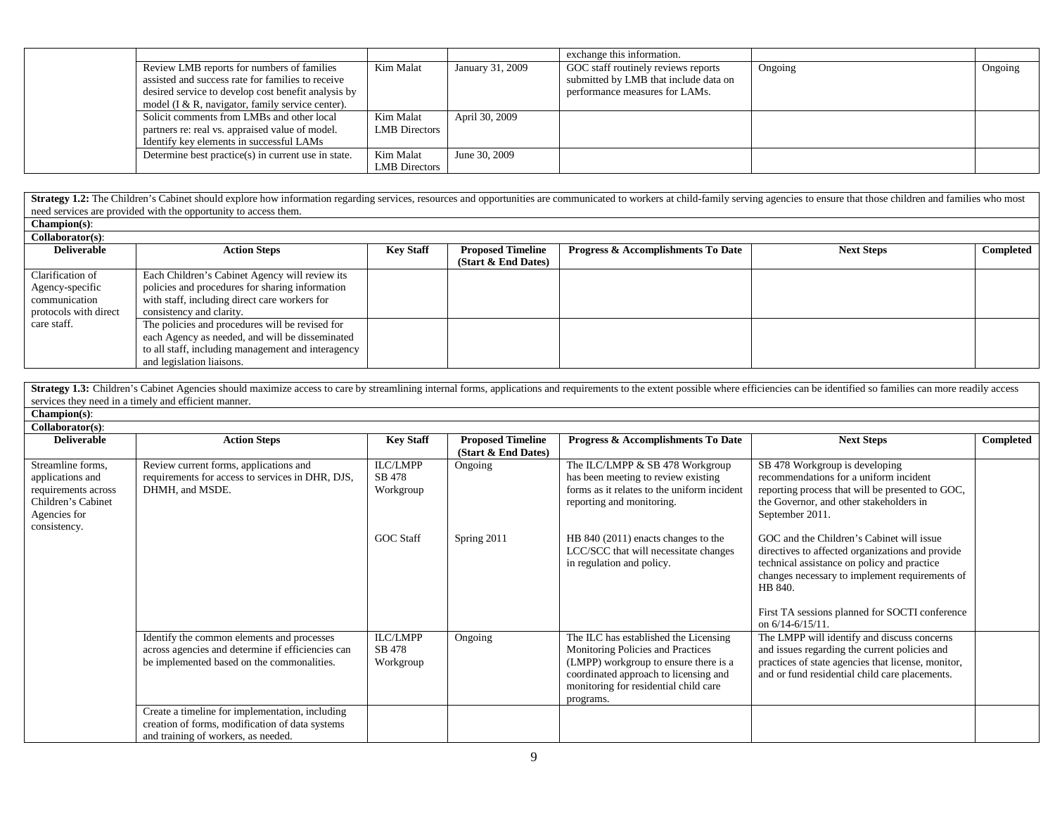|                                                       |                      |                  | exchange this information.            |         |         |
|-------------------------------------------------------|----------------------|------------------|---------------------------------------|---------|---------|
| Review LMB reports for numbers of families            | Kim Malat            | January 31, 2009 | GOC staff routinely reviews reports   | Ongoing | Ongoing |
| assisted and success rate for families to receive     |                      |                  | submitted by LMB that include data on |         |         |
| desired service to develop cost benefit analysis by   |                      |                  | performance measures for LAMs.        |         |         |
| model ( $I \& R$ , navigator, family service center). |                      |                  |                                       |         |         |
| Solicit comments from LMBs and other local            | Kim Malat            | April 30, 2009   |                                       |         |         |
| partners re: real vs. appraised value of model.       | <b>LMB</b> Directors |                  |                                       |         |         |
| Identify key elements in successful LAMs              |                      |                  |                                       |         |         |
| Determine best practice(s) in current use in state.   | Kim Malat            | June 30, 2009    |                                       |         |         |
|                                                       | <b>LMB</b> Directors |                  |                                       |         |         |

Strategy 1.2: The Children's Cabinet should explore how information regarding services, resources and opportunities are communicated to workers at child-family serving agencies to ensure that those children and families wh need services are provided with the opportunity to access them.

| $Champion(s)$ :     |
|---------------------|
| $C$ ollaborator(s). |

| <b>Deliverable</b>    | <b>Action Steps</b>                                | <b>Key Staff</b> | <b>Proposed Timeline</b> | <b>Progress &amp; Accomplishments To Date</b> | <b>Next Steps</b> | Completed |
|-----------------------|----------------------------------------------------|------------------|--------------------------|-----------------------------------------------|-------------------|-----------|
|                       |                                                    |                  | (Start $\&$ End Dates)   |                                               |                   |           |
| Clarification of      | Each Children's Cabinet Agency will review its     |                  |                          |                                               |                   |           |
| Agency-specific       | policies and procedures for sharing information    |                  |                          |                                               |                   |           |
| communication         | with staff, including direct care workers for      |                  |                          |                                               |                   |           |
| protocols with direct | consistency and clarity.                           |                  |                          |                                               |                   |           |
| care staff.           | The policies and procedures will be revised for    |                  |                          |                                               |                   |           |
|                       | each Agency as needed, and will be disseminated    |                  |                          |                                               |                   |           |
|                       | to all staff, including management and interagency |                  |                          |                                               |                   |           |
|                       | and legislation liaisons.                          |                  |                          |                                               |                   |           |

| Strategy 1.3: Children's Cabinet Agencies should maximize access to care by streamlining internal forms, applications and requirements to the extent possible where efficiencies can be identified so families can more readil |  |
|--------------------------------------------------------------------------------------------------------------------------------------------------------------------------------------------------------------------------------|--|
| services they need in a timely and efficient manner.                                                                                                                                                                           |  |

**Champion(s)**:

| $Collaborator(s)$ :                                                                                                |                                                                                                                                               |                                 |                                                 |                                                                                                                                                                                                                    |                                                                                                                                                                                                                                                                                 |           |
|--------------------------------------------------------------------------------------------------------------------|-----------------------------------------------------------------------------------------------------------------------------------------------|---------------------------------|-------------------------------------------------|--------------------------------------------------------------------------------------------------------------------------------------------------------------------------------------------------------------------|---------------------------------------------------------------------------------------------------------------------------------------------------------------------------------------------------------------------------------------------------------------------------------|-----------|
| <b>Deliverable</b>                                                                                                 | <b>Action Steps</b>                                                                                                                           | <b>Key Staff</b>                | <b>Proposed Timeline</b><br>(Start & End Dates) | Progress & Accomplishments To Date                                                                                                                                                                                 | <b>Next Steps</b>                                                                                                                                                                                                                                                               | Completed |
| Streamline forms.<br>applications and<br>requirements across<br>Children's Cabinet<br>Agencies for<br>consistency. | Review current forms, applications and<br>requirements for access to services in DHR, DJS,<br>DHMH, and MSDE.                                 | ILC/LMPP<br>SB 478<br>Workgroup | Ongoing                                         | The ILC/LMPP & SB 478 Workgroup<br>has been meeting to review existing<br>forms as it relates to the uniform incident<br>reporting and monitoring.                                                                 | SB 478 Workgroup is developing<br>recommendations for a uniform incident<br>reporting process that will be presented to GOC,<br>the Governor, and other stakeholders in<br>September 2011.                                                                                      |           |
|                                                                                                                    |                                                                                                                                               | <b>GOC Staff</b>                | Spring 2011                                     | HB 840 (2011) enacts changes to the<br>LCC/SCC that will necessitate changes<br>in regulation and policy.                                                                                                          | GOC and the Children's Cabinet will issue<br>directives to affected organizations and provide<br>technical assistance on policy and practice<br>changes necessary to implement requirements of<br>HB 840.<br>First TA sessions planned for SOCTI conference<br>on 6/14-6/15/11. |           |
|                                                                                                                    | Identify the common elements and processes<br>across agencies and determine if efficiencies can<br>be implemented based on the commonalities. | ILC/LMPP<br>SB 478<br>Workgroup | Ongoing                                         | The ILC has established the Licensing<br>Monitoring Policies and Practices<br>(LMPP) workgroup to ensure there is a<br>coordinated approach to licensing and<br>monitoring for residential child care<br>programs. | The LMPP will identify and discuss concerns<br>and issues regarding the current policies and<br>practices of state agencies that license, monitor,<br>and or fund residential child care placements.                                                                            |           |
|                                                                                                                    | Create a timeline for implementation, including<br>creation of forms, modification of data systems<br>and training of workers, as needed.     |                                 |                                                 |                                                                                                                                                                                                                    |                                                                                                                                                                                                                                                                                 |           |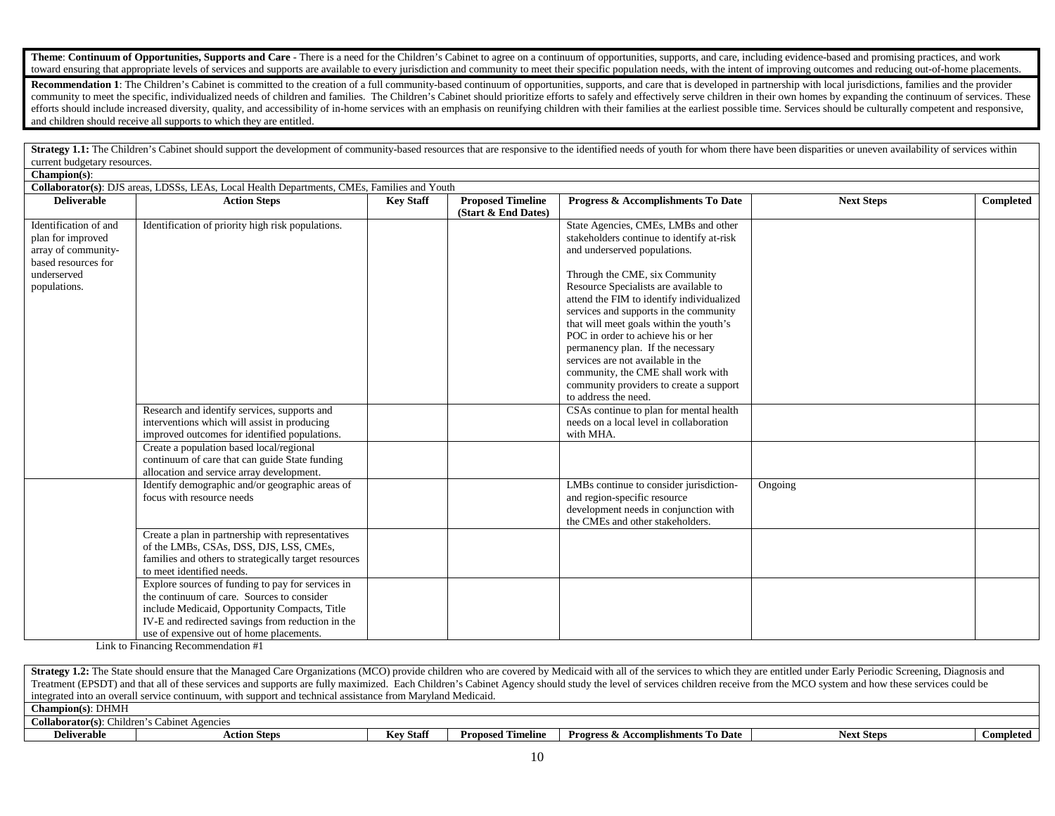Theme: Continuum of Opportunities, Supports and Care - There is a need for the Children's Cabinet to agree on a continuum of opportunities, supports, and care, including evidence-based and promising practices, and work toward ensuring that appropriate levels of services and supports are available to every jurisdiction and community to meet their specific population needs, with the intent of improving outcomes and reducing out-of-home pla

Recommendation 1: The Children's Cabinet is committed to the creation of a full community-based continuum of opportunities, supports, and care that is developed in partnership with local jurisdictions, families and the pro community to meet the specific, individualized needs of children and families. The Children's Cabinet should prioritize efforts to safely and effectively serve children in their own homes by expanding the continuum of serv efforts should include increased diversity, quality, and accessibility of in-home services with an emphasis on reunifying children with their families at the earliest possible time. Services should be culturally competent and children should receive all supports to which they are entitled.

Strategy 1.1: The Children's Cabinet should support the development of community-based resources that are responsive to the identified needs of youth for whom there have been disparities or uneven availability of services current budgetary resources.

|                                                                                                                         | Collaborator(s): DJS areas, LDSSs, LEAs, Local Health Departments, CMEs, Families and Youth                                                                                                                                                       |                  |                                                 |                                                                                                                                                                                                                                                                                                                                                                                                                                                                                                                                                         |                   |           |  |  |
|-------------------------------------------------------------------------------------------------------------------------|---------------------------------------------------------------------------------------------------------------------------------------------------------------------------------------------------------------------------------------------------|------------------|-------------------------------------------------|---------------------------------------------------------------------------------------------------------------------------------------------------------------------------------------------------------------------------------------------------------------------------------------------------------------------------------------------------------------------------------------------------------------------------------------------------------------------------------------------------------------------------------------------------------|-------------------|-----------|--|--|
| <b>Deliverable</b>                                                                                                      | <b>Action Steps</b>                                                                                                                                                                                                                               | <b>Key Staff</b> | <b>Proposed Timeline</b><br>(Start & End Dates) | Progress & Accomplishments To Date                                                                                                                                                                                                                                                                                                                                                                                                                                                                                                                      | <b>Next Steps</b> | Completed |  |  |
| Identification of and<br>plan for improved<br>array of community-<br>based resources for<br>underserved<br>populations. | Identification of priority high risk populations.                                                                                                                                                                                                 |                  |                                                 | State Agencies, CMEs, LMBs and other<br>stakeholders continue to identify at-risk<br>and underserved populations.<br>Through the CME, six Community<br>Resource Specialists are available to<br>attend the FIM to identify individualized<br>services and supports in the community<br>that will meet goals within the youth's<br>POC in order to achieve his or her<br>permanency plan. If the necessary<br>services are not available in the<br>community, the CME shall work with<br>community providers to create a support<br>to address the need. |                   |           |  |  |
|                                                                                                                         | Research and identify services, supports and<br>interventions which will assist in producing<br>improved outcomes for identified populations.                                                                                                     |                  |                                                 | CSAs continue to plan for mental health<br>needs on a local level in collaboration<br>with MHA.                                                                                                                                                                                                                                                                                                                                                                                                                                                         |                   |           |  |  |
|                                                                                                                         | Create a population based local/regional<br>continuum of care that can guide State funding<br>allocation and service array development.                                                                                                           |                  |                                                 |                                                                                                                                                                                                                                                                                                                                                                                                                                                                                                                                                         |                   |           |  |  |
|                                                                                                                         | Identify demographic and/or geographic areas of<br>focus with resource needs                                                                                                                                                                      |                  |                                                 | LMBs continue to consider jurisdiction-<br>and region-specific resource<br>development needs in conjunction with<br>the CMEs and other stakeholders.                                                                                                                                                                                                                                                                                                                                                                                                    | Ongoing           |           |  |  |
|                                                                                                                         | Create a plan in partnership with representatives<br>of the LMBs, CSAs, DSS, DJS, LSS, CMEs,<br>families and others to strategically target resources<br>to meet identified needs.                                                                |                  |                                                 |                                                                                                                                                                                                                                                                                                                                                                                                                                                                                                                                                         |                   |           |  |  |
|                                                                                                                         | Explore sources of funding to pay for services in<br>the continuum of care. Sources to consider<br>include Medicaid, Opportunity Compacts, Title<br>IV-E and redirected savings from reduction in the<br>use of expensive out of home placements. |                  |                                                 |                                                                                                                                                                                                                                                                                                                                                                                                                                                                                                                                                         |                   |           |  |  |

Link to Financing Recommendation #1

**Champion(s)**:

Strategy 1.2: The State should ensure that the Managed Care Organizations (MCO) provide children who are covered by Medicaid with all of the services to which they are entitled under Early Periodic Screening, Diagnosis and Treatment (EPSDT) and that all of these services and supports are fully maximized. Each Children's Cabinet Agency should study the level of services children receive from the MCO system and how these services could be integrated into an overall service continuum, with support and technical assistance from Maryland Medicaid. **Champion(s)**: DHMH **Collaborator(s)**: Children's Cabinet Agencies **Deliverable Action Steps Action Steps Key Staff Proposed Timeline Progress & Accomplishments To Date Next Steps Completed**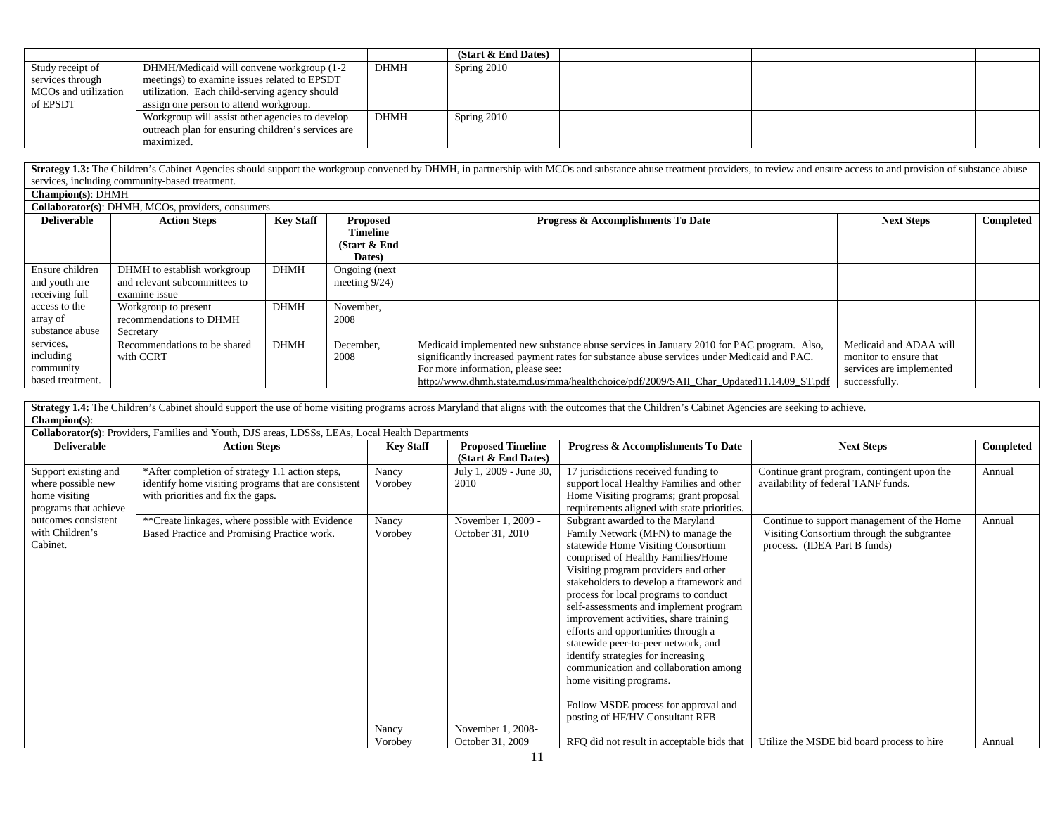|                      |                                                    |             | (Start & End Dates) |  |  |
|----------------------|----------------------------------------------------|-------------|---------------------|--|--|
| Study receipt of     | DHMH/Medicaid will convene workgroup (1-2          | <b>DHMH</b> | Spring 2010         |  |  |
| services through     | meetings) to examine issues related to EPSDT       |             |                     |  |  |
| MCOs and utilization | utilization. Each child-serving agency should      |             |                     |  |  |
| of EPSDT             | assign one person to attend workgroup.             |             |                     |  |  |
|                      | Workgroup will assist other agencies to develop    | <b>DHMH</b> | Spring 2010         |  |  |
|                      | outreach plan for ensuring children's services are |             |                     |  |  |
|                      | maximized.                                         |             |                     |  |  |

Strategy 1.3: The Children's Cabinet Agencies should support the workgroup convened by DHMH, in partnership with MCOs and substance abuse treatment providers, to review and ensure access to and provision of substance abuse services, including community-based treatment.

| Champion(s): DHMH                                       |                                                                               |             |                                                         |                                                                                                                                                                                                                                                                                                                       |                                                                                               |           |
|---------------------------------------------------------|-------------------------------------------------------------------------------|-------------|---------------------------------------------------------|-----------------------------------------------------------------------------------------------------------------------------------------------------------------------------------------------------------------------------------------------------------------------------------------------------------------------|-----------------------------------------------------------------------------------------------|-----------|
|                                                         | Collaborator(s): DHMH, MCOs, providers, consumers                             |             |                                                         |                                                                                                                                                                                                                                                                                                                       |                                                                                               |           |
| <b>Deliverable</b>                                      | <b>Action Steps</b>                                                           | Kev Staff   | <b>Proposed</b><br>Timeline<br>(Start $&$ End<br>Dates) | Progress & Accomplishments To Date                                                                                                                                                                                                                                                                                    | <b>Next Steps</b>                                                                             | Completed |
| Ensure children<br>and youth are<br>receiving full      | DHMH to establish workgroup<br>and relevant subcommittees to<br>examine issue | DHMH        | Ongoing (next<br>meeting $9/24$ )                       |                                                                                                                                                                                                                                                                                                                       |                                                                                               |           |
| access to the<br>array of<br>substance abuse            | Workgroup to present<br>recommendations to DHMH<br>Secretary                  | <b>DHMH</b> | November,<br>2008                                       |                                                                                                                                                                                                                                                                                                                       |                                                                                               |           |
| services.<br>including<br>community<br>based treatment. | Recommendations to be shared<br>with CCRT                                     | <b>DHMH</b> | December,<br>2008                                       | Medicaid implemented new substance abuse services in January 2010 for PAC program. Also,<br>significantly increased payment rates for substance abuse services under Medicaid and PAC.<br>For more information, please see:<br>http://www.dhmh.state.md.us/mma/healthchoice/pdf/2009/SAII Char Updated11.14.09 ST.pdf | Medicaid and ADAA will<br>monitor to ensure that<br>services are implemented<br>successfully. |           |

| Strategy 1.4: The Children's Cabinet should support the use of home visiting programs across Maryland that aligns with the outcomes that the Children's Cabinet Agencies are seeking to achieve. |                                                                                                  |                  |                          |                                             |                                             |           |  |  |  |
|--------------------------------------------------------------------------------------------------------------------------------------------------------------------------------------------------|--------------------------------------------------------------------------------------------------|------------------|--------------------------|---------------------------------------------|---------------------------------------------|-----------|--|--|--|
| Champion(s):                                                                                                                                                                                     |                                                                                                  |                  |                          |                                             |                                             |           |  |  |  |
|                                                                                                                                                                                                  | Collaborator(s): Providers, Families and Youth, DJS areas, LDSSs, LEAs, Local Health Departments |                  |                          |                                             |                                             |           |  |  |  |
| <b>Deliverable</b>                                                                                                                                                                               | <b>Action Steps</b>                                                                              | <b>Key Staff</b> | <b>Proposed Timeline</b> | Progress & Accomplishments To Date          | <b>Next Steps</b>                           | Completed |  |  |  |
|                                                                                                                                                                                                  |                                                                                                  |                  | (Start & End Dates)      |                                             |                                             |           |  |  |  |
| Support existing and                                                                                                                                                                             | *After completion of strategy 1.1 action steps,                                                  | Nancy            | July 1, 2009 - June 30,  | 17 jurisdictions received funding to        | Continue grant program, contingent upon the | Annual    |  |  |  |
| where possible new                                                                                                                                                                               | identify home visiting programs that are consistent                                              | Vorobey          | 2010                     | support local Healthy Families and other    | availability of federal TANF funds.         |           |  |  |  |
| home visiting                                                                                                                                                                                    | with priorities and fix the gaps.                                                                |                  |                          | Home Visiting programs; grant proposal      |                                             |           |  |  |  |
| programs that achieve                                                                                                                                                                            |                                                                                                  |                  |                          | requirements aligned with state priorities. |                                             |           |  |  |  |
| outcomes consistent                                                                                                                                                                              | **Create linkages, where possible with Evidence                                                  | Nancy            | November 1, 2009 -       | Subgrant awarded to the Maryland            | Continue to support management of the Home  | Annual    |  |  |  |
| with Children's                                                                                                                                                                                  | Based Practice and Promising Practice work.                                                      | Vorobey          | October 31, 2010         | Family Network (MFN) to manage the          | Visiting Consortium through the subgrantee  |           |  |  |  |
| Cabinet.                                                                                                                                                                                         |                                                                                                  |                  |                          | statewide Home Visiting Consortium          | process. (IDEA Part B funds)                |           |  |  |  |
|                                                                                                                                                                                                  |                                                                                                  |                  |                          | comprised of Healthy Families/Home          |                                             |           |  |  |  |
|                                                                                                                                                                                                  |                                                                                                  |                  |                          | Visiting program providers and other        |                                             |           |  |  |  |
|                                                                                                                                                                                                  |                                                                                                  |                  |                          | stakeholders to develop a framework and     |                                             |           |  |  |  |
|                                                                                                                                                                                                  |                                                                                                  |                  |                          | process for local programs to conduct       |                                             |           |  |  |  |
|                                                                                                                                                                                                  |                                                                                                  |                  |                          | self-assessments and implement program      |                                             |           |  |  |  |
|                                                                                                                                                                                                  |                                                                                                  |                  |                          | improvement activities, share training      |                                             |           |  |  |  |
|                                                                                                                                                                                                  |                                                                                                  |                  |                          | efforts and opportunities through a         |                                             |           |  |  |  |
|                                                                                                                                                                                                  |                                                                                                  |                  |                          | statewide peer-to-peer network, and         |                                             |           |  |  |  |
|                                                                                                                                                                                                  |                                                                                                  |                  |                          | identify strategies for increasing          |                                             |           |  |  |  |
|                                                                                                                                                                                                  |                                                                                                  |                  |                          | communication and collaboration among       |                                             |           |  |  |  |
|                                                                                                                                                                                                  |                                                                                                  |                  |                          | home visiting programs.                     |                                             |           |  |  |  |
|                                                                                                                                                                                                  |                                                                                                  |                  |                          | Follow MSDE process for approval and        |                                             |           |  |  |  |
|                                                                                                                                                                                                  |                                                                                                  |                  |                          | posting of HF/HV Consultant RFB             |                                             |           |  |  |  |
|                                                                                                                                                                                                  |                                                                                                  | Nancy            | November 1, 2008-        |                                             |                                             |           |  |  |  |
|                                                                                                                                                                                                  |                                                                                                  | Vorobey          | October 31, 2009         | RFQ did not result in acceptable bids that  | Utilize the MSDE bid board process to hire  | Annual    |  |  |  |
|                                                                                                                                                                                                  |                                                                                                  |                  |                          |                                             |                                             |           |  |  |  |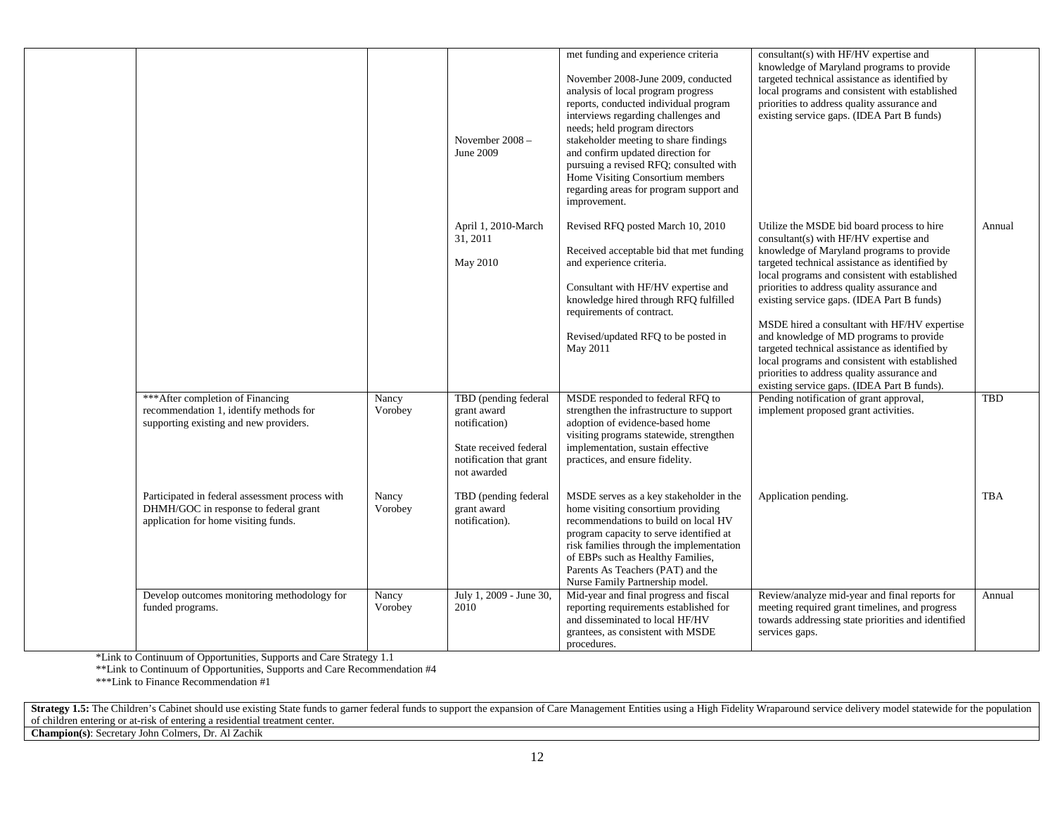|                                                                                                                                  |                  | November $2008 -$<br>June 2009                                                                                           | met funding and experience criteria<br>November 2008-June 2009, conducted<br>analysis of local program progress<br>reports, conducted individual program<br>interviews regarding challenges and<br>needs; held program directors<br>stakeholder meeting to share findings<br>and confirm updated direction for<br>pursuing a revised RFQ; consulted with<br>Home Visiting Consortium members<br>regarding areas for program support and<br>improvement. | consultant(s) with HF/HV expertise and<br>knowledge of Maryland programs to provide<br>targeted technical assistance as identified by<br>local programs and consistent with established<br>priorities to address quality assurance and<br>existing service gaps. (IDEA Part B funds)                                                                                                                                                                                                                                                                                                                                            |            |
|----------------------------------------------------------------------------------------------------------------------------------|------------------|--------------------------------------------------------------------------------------------------------------------------|---------------------------------------------------------------------------------------------------------------------------------------------------------------------------------------------------------------------------------------------------------------------------------------------------------------------------------------------------------------------------------------------------------------------------------------------------------|---------------------------------------------------------------------------------------------------------------------------------------------------------------------------------------------------------------------------------------------------------------------------------------------------------------------------------------------------------------------------------------------------------------------------------------------------------------------------------------------------------------------------------------------------------------------------------------------------------------------------------|------------|
|                                                                                                                                  |                  | April 1, 2010-March<br>31, 2011<br>May 2010                                                                              | Revised RFQ posted March 10, 2010<br>Received acceptable bid that met funding<br>and experience criteria.<br>Consultant with HF/HV expertise and<br>knowledge hired through RFQ fulfilled<br>requirements of contract.<br>Revised/updated RFQ to be posted in<br>May 2011                                                                                                                                                                               | Utilize the MSDE bid board process to hire<br>consultant(s) with HF/HV expertise and<br>knowledge of Maryland programs to provide<br>targeted technical assistance as identified by<br>local programs and consistent with established<br>priorities to address quality assurance and<br>existing service gaps. (IDEA Part B funds)<br>MSDE hired a consultant with HF/HV expertise<br>and knowledge of MD programs to provide<br>targeted technical assistance as identified by<br>local programs and consistent with established<br>priorities to address quality assurance and<br>existing service gaps. (IDEA Part B funds). | Annual     |
| *** After completion of Financing<br>recommendation 1, identify methods for<br>supporting existing and new providers.            | Nancy<br>Vorobey | TBD (pending federal<br>grant award<br>notification)<br>State received federal<br>notification that grant<br>not awarded | MSDE responded to federal RFQ to<br>strengthen the infrastructure to support<br>adoption of evidence-based home<br>visiting programs statewide, strengthen<br>implementation, sustain effective<br>practices, and ensure fidelity.                                                                                                                                                                                                                      | Pending notification of grant approval,<br>implement proposed grant activities.                                                                                                                                                                                                                                                                                                                                                                                                                                                                                                                                                 | <b>TBD</b> |
| Participated in federal assessment process with<br>DHMH/GOC in response to federal grant<br>application for home visiting funds. | Nancy<br>Vorobey | TBD (pending federal<br>grant award<br>notification).                                                                    | MSDE serves as a key stakeholder in the<br>home visiting consortium providing<br>recommendations to build on local HV<br>program capacity to serve identified at<br>risk families through the implementation<br>of EBPs such as Healthy Families,<br>Parents As Teachers (PAT) and the<br>Nurse Family Partnership model.                                                                                                                               | Application pending.                                                                                                                                                                                                                                                                                                                                                                                                                                                                                                                                                                                                            | <b>TBA</b> |
| Develop outcomes monitoring methodology for<br>funded programs.                                                                  | Nancy<br>Vorobey | July 1, 2009 - June 30,<br>2010                                                                                          | Mid-year and final progress and fiscal<br>reporting requirements established for<br>and disseminated to local HF/HV<br>grantees, as consistent with MSDE<br>procedures.                                                                                                                                                                                                                                                                                 | Review/analyze mid-year and final reports for<br>meeting required grant timelines, and progress<br>towards addressing state priorities and identified<br>services gaps.                                                                                                                                                                                                                                                                                                                                                                                                                                                         | Annual     |

\*Link to Continuum of Opportunities, Supports and Care Strategy 1.1

\*\*Link to Continuum of Opportunities, Supports and Care Recommendation #4

\*\*\*Link to Finance Recommendation #1

Strategy 1.5: The Children's Cabinet should use existing State funds to garner federal funds to support the expansion of Care Management Entities using a High Fidelity Wraparound service delivery model statewide for the po of children entering or at-risk of entering a residential treatment center.

**Champion(s)**: Secretary John Colmers, Dr. Al Zachik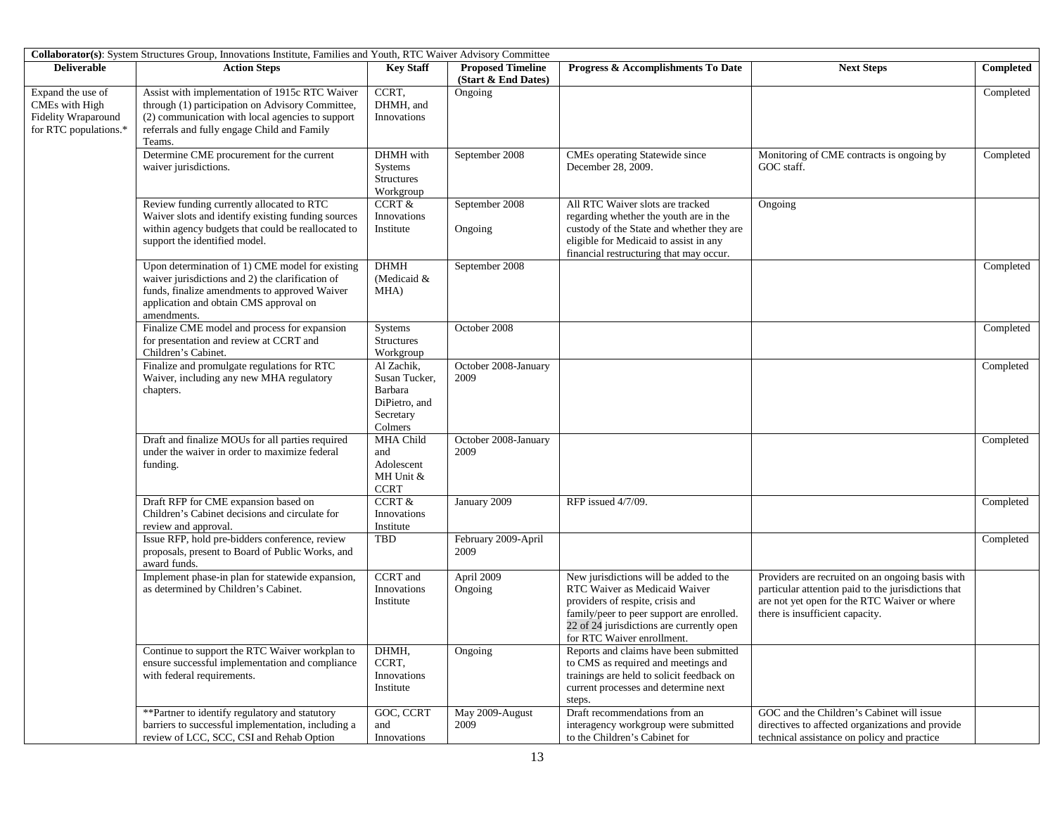|                                                                                     | Collaborator(s): System Structures Group, Innovations Institute, Families and Youth, RTC Waiver Advisory Committee                                                                                              |                                                                                 |                                                 |                                                                                                                                                                                                                                     |                                                                                                                                                                                            |           |
|-------------------------------------------------------------------------------------|-----------------------------------------------------------------------------------------------------------------------------------------------------------------------------------------------------------------|---------------------------------------------------------------------------------|-------------------------------------------------|-------------------------------------------------------------------------------------------------------------------------------------------------------------------------------------------------------------------------------------|--------------------------------------------------------------------------------------------------------------------------------------------------------------------------------------------|-----------|
| <b>Deliverable</b>                                                                  | <b>Action Steps</b>                                                                                                                                                                                             | <b>Key Staff</b>                                                                | <b>Proposed Timeline</b><br>(Start & End Dates) | Progress & Accomplishments To Date                                                                                                                                                                                                  | <b>Next Steps</b>                                                                                                                                                                          | Completed |
| Expand the use of<br>CMEs with High<br>Fidelity Wraparound<br>for RTC populations.* | Assist with implementation of 1915c RTC Waiver<br>through (1) participation on Advisory Committee,<br>(2) communication with local agencies to support<br>referrals and fully engage Child and Family<br>Teams. | CCRT,<br>DHMH, and<br><b>Innovations</b>                                        | Ongoing                                         |                                                                                                                                                                                                                                     |                                                                                                                                                                                            | Completed |
|                                                                                     | Determine CME procurement for the current<br>waiver jurisdictions.                                                                                                                                              | DHMH with<br>Systems<br><b>Structures</b><br>Workgroup                          | September 2008                                  | CMEs operating Statewide since<br>December 28, 2009.                                                                                                                                                                                | Monitoring of CME contracts is ongoing by<br>GOC staff.                                                                                                                                    | Completed |
|                                                                                     | Review funding currently allocated to RTC<br>Waiver slots and identify existing funding sources<br>within agency budgets that could be reallocated to<br>support the identified model.                          | <b>CCRT &amp;</b><br>Innovations<br>Institute                                   | September 2008<br>Ongoing                       | All RTC Waiver slots are tracked<br>regarding whether the youth are in the<br>custody of the State and whether they are<br>eligible for Medicaid to assist in any<br>financial restructuring that may occur.                        | Ongoing                                                                                                                                                                                    |           |
|                                                                                     | Upon determination of 1) CME model for existing<br>waiver jurisdictions and 2) the clarification of<br>funds, finalize amendments to approved Waiver<br>application and obtain CMS approval on<br>amendments.   | <b>DHMH</b><br>(Medicaid &<br>MHA)                                              | September 2008                                  |                                                                                                                                                                                                                                     |                                                                                                                                                                                            | Completed |
|                                                                                     | Finalize CME model and process for expansion<br>for presentation and review at CCRT and<br>Children's Cabinet.                                                                                                  | <b>Systems</b><br><b>Structures</b><br>Workgroup                                | October 2008                                    |                                                                                                                                                                                                                                     |                                                                                                                                                                                            | Completed |
|                                                                                     | Finalize and promulgate regulations for RTC<br>Waiver, including any new MHA regulatory<br>chapters.                                                                                                            | Al Zachik,<br>Susan Tucker,<br>Barbara<br>DiPietro, and<br>Secretary<br>Colmers | October 2008-January<br>2009                    |                                                                                                                                                                                                                                     |                                                                                                                                                                                            | Completed |
|                                                                                     | Draft and finalize MOUs for all parties required<br>under the waiver in order to maximize federal<br>funding.                                                                                                   | <b>MHA Child</b><br>and<br>Adolescent<br>MH Unit &<br><b>CCRT</b>               | October 2008-January<br>2009                    |                                                                                                                                                                                                                                     |                                                                                                                                                                                            | Completed |
|                                                                                     | Draft RFP for CME expansion based on<br>Children's Cabinet decisions and circulate for<br>review and approval.                                                                                                  | <b>CCRT &amp;</b><br>Innovations<br>Institute                                   | January 2009                                    | RFP issued 4/7/09.                                                                                                                                                                                                                  |                                                                                                                                                                                            | Completed |
|                                                                                     | Issue RFP, hold pre-bidders conference, review<br>proposals, present to Board of Public Works, and<br>award funds.                                                                                              | TBD                                                                             | February 2009-April<br>2009                     |                                                                                                                                                                                                                                     |                                                                                                                                                                                            | Completed |
|                                                                                     | Implement phase-in plan for statewide expansion,<br>as determined by Children's Cabinet.                                                                                                                        | <b>CCRT</b> and<br>Innovations<br>Institute                                     | April 2009<br>Ongoing                           | New jurisdictions will be added to the<br>RTC Waiver as Medicaid Waiver<br>providers of respite, crisis and<br>family/peer to peer support are enrolled.<br>22 of 24 jurisdictions are currently open<br>for RTC Waiver enrollment. | Providers are recruited on an ongoing basis with<br>particular attention paid to the jurisdictions that<br>are not yet open for the RTC Waiver or where<br>there is insufficient capacity. |           |
|                                                                                     | Continue to support the RTC Waiver workplan to<br>ensure successful implementation and compliance<br>with federal requirements.                                                                                 | DHMH,<br>CCRT,<br>Innovations<br>Institute                                      | Ongoing                                         | Reports and claims have been submitted<br>to CMS as required and meetings and<br>trainings are held to solicit feedback on<br>current processes and determine next<br>steps.                                                        |                                                                                                                                                                                            |           |
|                                                                                     | **Partner to identify regulatory and statutory<br>barriers to successful implementation, including a<br>review of LCC, SCC, CSI and Rehab Option                                                                | GOC, CCRT<br>and<br>Innovations                                                 | May 2009-August<br>2009                         | Draft recommendations from an<br>interagency workgroup were submitted<br>to the Children's Cabinet for                                                                                                                              | GOC and the Children's Cabinet will issue<br>directives to affected organizations and provide<br>technical assistance on policy and practice                                               |           |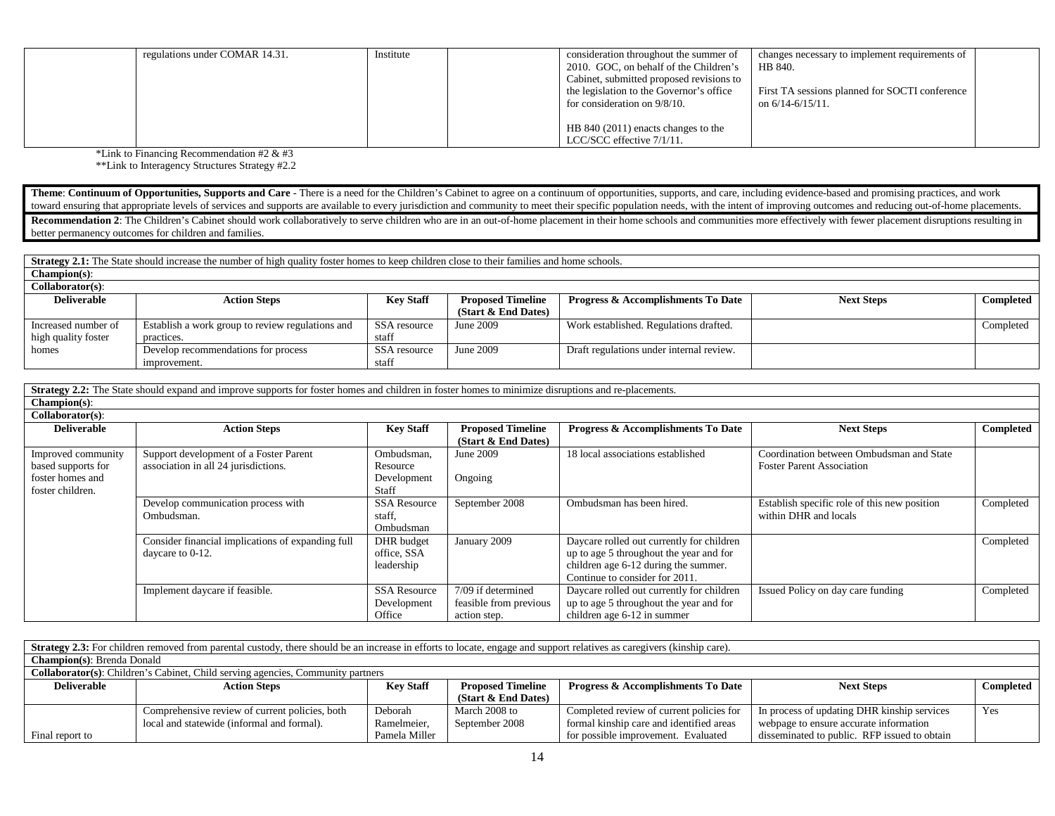| regulations under COMAR 14.31. | Institute | consideration throughout the summer of<br>changes necessary to implement requirements of   |  |
|--------------------------------|-----------|--------------------------------------------------------------------------------------------|--|
|                                |           | 2010. GOC, on behalf of the Children's<br>HB 840.                                          |  |
|                                |           | Cabinet, submitted proposed revisions to                                                   |  |
|                                |           | First TA sessions planned for SOCTI conference<br>the legislation to the Governor's office |  |
|                                |           | for consideration on 9/8/10.<br>on $6/14 - 6/15/11$ .                                      |  |
|                                |           |                                                                                            |  |
|                                |           | HB 840 (2011) enacts changes to the                                                        |  |
|                                |           | LCC/SCC effective 7/1/11.                                                                  |  |

\*Link to Financing Recommendation #2 & #3

\*\*Link to Interagency Structures Strategy #2.2

Theme: Continuum of Opportunities, Supports and Care - There is a need for the Children's Cabinet to agree on a continuum of opportunities, supports, and care, including evidence-based and promising practices, and work toward ensuring that appropriate levels of services and supports are available to every jurisdiction and community to meet their specific population needs, with the intent of improving outcomes and reducing out-of-home pla Recommendation 2: The Children's Cabinet should work collaboratively to serve children who are in an out-of-home placement in their home schools and communities more effectively with fewer placement disruptions resulting i better permanency outcomes for children and families.

**Strategy 2.1:** The State should increase the number of high quality foster homes to keep children close to their families and home schools.

| $Champion(s)$ :     |                                                  |                  |                          |                                               |                   |           |
|---------------------|--------------------------------------------------|------------------|--------------------------|-----------------------------------------------|-------------------|-----------|
| Collaborator(s):    |                                                  |                  |                          |                                               |                   |           |
| <b>Deliverable</b>  | <b>Action Steps</b>                              | <b>Key Staff</b> | <b>Proposed Timeline</b> | <b>Progress &amp; Accomplishments To Date</b> | <b>Next Steps</b> | Completed |
|                     |                                                  |                  | (Start & End Dates)      |                                               |                   |           |
| Increased number of | Establish a work group to review regulations and | SSA resource     | June 2009                | Work established. Regulations drafted.        |                   | Completed |
| high quality foster | practices.                                       | staff            |                          |                                               |                   |           |
| homes               | Develop recommendations for process              | SSA resource     | June 2009                | Draft regulations under internal review.      |                   |           |
|                     | improvement.                                     | staff            |                          |                                               |                   |           |

**Strategy 2.2:** The State should expand and improve supports for foster homes and children in foster homes to minimize disruptions and re-placements. **Champion(s)**:

| Collaborator(s):   |                                                   |                     |                          |                                           |                                              |           |
|--------------------|---------------------------------------------------|---------------------|--------------------------|-------------------------------------------|----------------------------------------------|-----------|
| <b>Deliverable</b> | <b>Action Steps</b>                               | <b>Key Staff</b>    | <b>Proposed Timeline</b> | Progress & Accomplishments To Date        | <b>Next Steps</b>                            | Completed |
|                    |                                                   |                     | (Start $&$ End Dates)    |                                           |                                              |           |
| Improved community | Support development of a Foster Parent            | Ombudsman,          | June 2009                | 18 local associations established         | Coordination between Ombudsman and State     |           |
| based supports for | association in all 24 jurisdictions.              | Resource            |                          |                                           | <b>Foster Parent Association</b>             |           |
| foster homes and   |                                                   | Development         | Ongoing                  |                                           |                                              |           |
| foster children.   |                                                   | Staff               |                          |                                           |                                              |           |
|                    | Develop communication process with                | <b>SSA Resource</b> | September 2008           | Ombudsman has been hired.                 | Establish specific role of this new position | Completed |
|                    | Ombudsman.                                        | staff.              |                          |                                           | within DHR and locals                        |           |
|                    |                                                   | Ombudsman           |                          |                                           |                                              |           |
|                    | Consider financial implications of expanding full | DHR budget          | January 2009             | Daycare rolled out currently for children |                                              | Completed |
|                    | daycare to 0-12.                                  | office, SSA         |                          | up to age 5 throughout the year and for   |                                              |           |
|                    |                                                   | leadership          |                          | children age 6-12 during the summer.      |                                              |           |
|                    |                                                   |                     |                          | Continue to consider for 2011.            |                                              |           |
|                    | Implement daycare if feasible.                    | <b>SSA Resource</b> | 7/09 if determined       | Daycare rolled out currently for children | Issued Policy on day care funding            | Completed |
|                    |                                                   | Development         | feasible from previous   | up to age 5 throughout the year and for   |                                              |           |
|                    |                                                   | Office              | action step.             | children age 6-12 in summer               |                                              |           |

|                    | Strategy 2.3: For children removed from parental custody, there should be an increase in efforts to locate, engage and support relatives as caregivers (kinship care). |                  |                          |                                               |                                              |                  |  |
|--------------------|------------------------------------------------------------------------------------------------------------------------------------------------------------------------|------------------|--------------------------|-----------------------------------------------|----------------------------------------------|------------------|--|
|                    | <b>Champion(s): Brenda Donald</b>                                                                                                                                      |                  |                          |                                               |                                              |                  |  |
|                    | <b>Collaborator(s):</b> Children's Cabinet, Child serving agencies, Community partners                                                                                 |                  |                          |                                               |                                              |                  |  |
| <b>Deliverable</b> | <b>Action Steps</b>                                                                                                                                                    | <b>Key Staff</b> | <b>Proposed Timeline</b> | <b>Progress &amp; Accomplishments To Date</b> | <b>Next Steps</b>                            | <b>Completed</b> |  |
|                    |                                                                                                                                                                        |                  | (Start & End Dates)      |                                               |                                              |                  |  |
|                    | Comprehensive review of current policies, both                                                                                                                         | Deborah          | March 2008 to            | Completed review of current policies for      | In process of updating DHR kinship services  | Yes              |  |
|                    | local and statewide (informal and formal).                                                                                                                             | Ramelmeier,      | September 2008           | formal kinship care and identified areas      | webpage to ensure accurate information       |                  |  |
| Final report to    |                                                                                                                                                                        | Pamela Miller    |                          | for possible improvement. Evaluated           | disseminated to public. RFP issued to obtain |                  |  |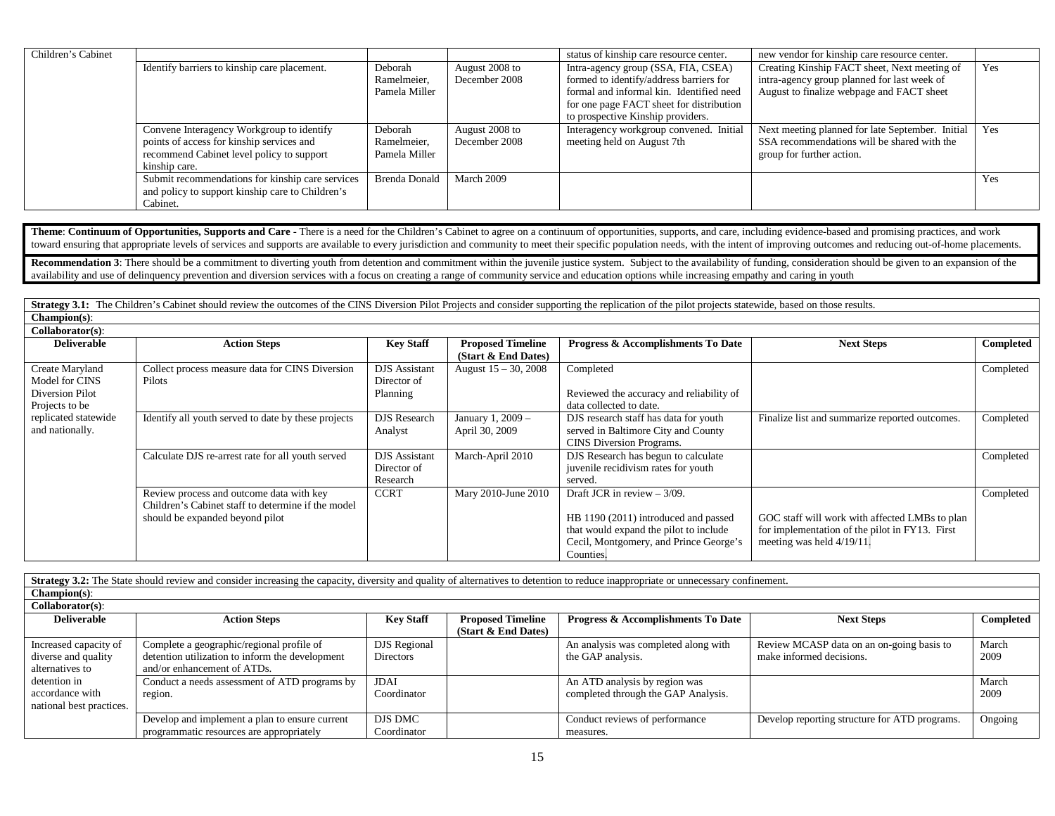| Children's Cabinet |                                                  |                      |                | status of kinship care resource center.  | new vendor for kinship care resource center.         |     |
|--------------------|--------------------------------------------------|----------------------|----------------|------------------------------------------|------------------------------------------------------|-----|
|                    | Identify barriers to kinship care placement.     | Deborah              | August 2008 to | Intra-agency group (SSA, FIA, CSEA)      | Creating Kinship FACT sheet, Next meeting of         | Yes |
|                    |                                                  | Ramelmeier,          | December 2008  | formed to identify/address barriers for  | intra-agency group planned for last week of          |     |
|                    |                                                  | Pamela Miller        |                | formal and informal kin. Identified need | August to finalize webpage and FACT sheet            |     |
|                    |                                                  |                      |                | for one page FACT sheet for distribution |                                                      |     |
|                    |                                                  |                      |                | to prospective Kinship providers.        |                                                      |     |
|                    | Convene Interagency Workgroup to identify        | Deborah              | August 2008 to | Interagency workgroup convened. Initial  | Next meeting planned for late September. Initial Yes |     |
|                    | points of access for kinship services and        | Ramelmeier,          | December 2008  | meeting held on August 7th               | SSA recommendations will be shared with the          |     |
|                    | recommend Cabinet level policy to support        | Pamela Miller        |                |                                          | group for further action.                            |     |
|                    | kinship care.                                    |                      |                |                                          |                                                      |     |
|                    | Submit recommendations for kinship care services | <b>Brenda Donald</b> | March 2009     |                                          |                                                      | Yes |
|                    | and policy to support kinship care to Children's |                      |                |                                          |                                                      |     |
|                    | Cabinet.                                         |                      |                |                                          |                                                      |     |

Theme: Continuum of Opportunities, Supports and Care - There is a need for the Children's Cabinet to agree on a continuum of opportunities, supports, and care, including evidence-based and promising practices, and work toward ensuring that appropriate levels of services and supports are available to every jurisdiction and community to meet their specific population needs, with the intent of improving outcomes and reducing out-of-home pla

Recommendation 3: There should be a commitment to diverting youth from detention and commitment within the juvenile justice system. Subject to the availability of funding, consideration should be given to an expansion of t availability and use of delinquency prevention and diversion services with a focus on creating a range of community service and education options while increasing empathy and caring in youth

**Strategy 3.1:** The Children's Cabinet should review the outcomes of the CINS Diversion Pilot Projects and consider supporting the replication of the pilot projects statewide, based on those results. **Champion(s)**: **Collaborator(s)**:

| Conaborator(s).      |                                                     |                      |                          |                                               |                                                |           |
|----------------------|-----------------------------------------------------|----------------------|--------------------------|-----------------------------------------------|------------------------------------------------|-----------|
| <b>Deliverable</b>   | <b>Action Steps</b>                                 | <b>Key Staff</b>     | <b>Proposed Timeline</b> | <b>Progress &amp; Accomplishments To Date</b> | <b>Next Steps</b>                              | Completed |
|                      |                                                     |                      | (Start & End Dates)      |                                               |                                                |           |
| Create Maryland      | Collect process measure data for CINS Diversion     | <b>DJS</b> Assistant | August $15 - 30$ , 2008  | Completed                                     |                                                | Completed |
| Model for CINS       | Pilots                                              | Director of          |                          |                                               |                                                |           |
| Diversion Pilot      |                                                     | Planning             |                          | Reviewed the accuracy and reliability of      |                                                |           |
| Projects to be       |                                                     |                      |                          | data collected to date.                       |                                                |           |
| replicated statewide | Identify all youth served to date by these projects | <b>DJS</b> Research  | January 1, 2009 -        | DJS research staff has data for youth         | Finalize list and summarize reported outcomes. | Completed |
| and nationally.      |                                                     | Analyst              | April 30, 2009           | served in Baltimore City and County           |                                                |           |
|                      |                                                     |                      |                          | CINS Diversion Programs.                      |                                                |           |
|                      | Calculate DJS re-arrest rate for all youth served   | <b>DJS</b> Assistant | March-April 2010         | DJS Research has begun to calculate           |                                                | Completed |
|                      |                                                     | Director of          |                          | juvenile recidivism rates for youth           |                                                |           |
|                      |                                                     | Research             |                          | served.                                       |                                                |           |
|                      | Review process and outcome data with key            | <b>CCRT</b>          | Mary 2010-June 2010      | Draft JCR in review $-3/09$ .                 |                                                | Completed |
|                      | Children's Cabinet staff to determine if the model  |                      |                          |                                               |                                                |           |
|                      | should be expanded beyond pilot                     |                      |                          | HB 1190 (2011) introduced and passed          | GOC staff will work with affected LMBs to plan |           |
|                      |                                                     |                      |                          | that would expand the pilot to include        | for implementation of the pilot in FY13. First |           |
|                      |                                                     |                      |                          | Cecil, Montgomery, and Prince George's        | meeting was held 4/19/11.                      |           |
|                      |                                                     |                      |                          | Counties.                                     |                                                |           |

**Strategy 3.2:** The State should review and consider increasing the capacity, diversity and quality of alternatives to detention to reduce inappropriate or unnecessary confinement. **Champion(s)**: **Collaborator(s)**: **Deliverable Action Steps Key Staff Proposed Timeline (Start & End Dates) Progress & Accomplishments To Date Next Steps Completed** Increased capacity of diverse and quality alternatives to detention in accordance with national best practices. Complete a geographic/regional profile of detention utilization to inform the development and/or enhancement of ATDs. DJS Regional Directors An analysis was completed along with the GAP analysis. Review MCASP data on an on-going basis to make informed decisions. March 2009 Conduct a needs assessment of ATD programs by region. JDAI Coordinator An ATD analysis by region was completed through the GAP Analysis. March 2009 Develop and implement a plan to ensure current programmatic resources are appropriately DJS DMC Coordinator Conduct reviews of performance measures. Develop reporting structure for ATD programs. Ongoing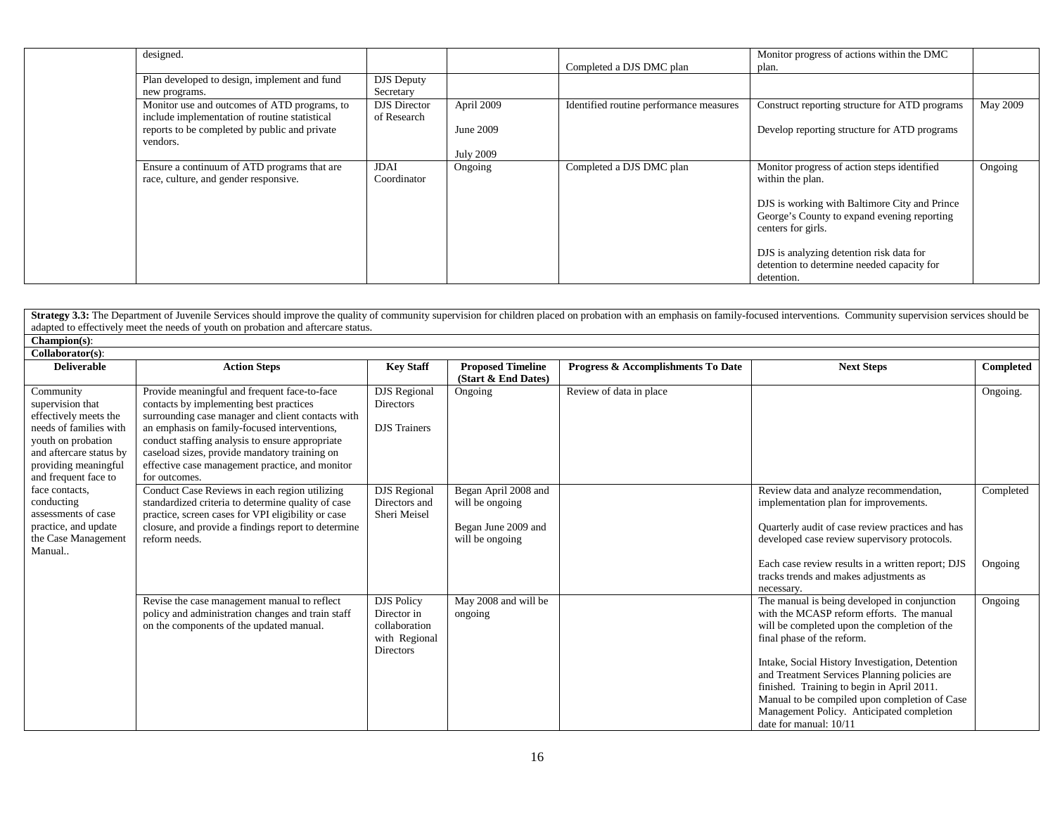| designed.                                                                                     |                                    |                  | Completed a DJS DMC plan                | Monitor progress of actions within the DMC<br>plan.                                                                |          |
|-----------------------------------------------------------------------------------------------|------------------------------------|------------------|-----------------------------------------|--------------------------------------------------------------------------------------------------------------------|----------|
| Plan developed to design, implement and fund<br>new programs.                                 | <b>DJS</b> Deputy<br>Secretary     |                  |                                         |                                                                                                                    |          |
| Monitor use and outcomes of ATD programs, to<br>include implementation of routine statistical | <b>DJS</b> Director<br>of Research | April 2009       | Identified routine performance measures | Construct reporting structure for ATD programs                                                                     | May 2009 |
| reports to be completed by public and private<br>vendors.                                     |                                    | June 2009        |                                         | Develop reporting structure for ATD programs                                                                       |          |
|                                                                                               |                                    | <b>July 2009</b> |                                         |                                                                                                                    |          |
| Ensure a continuum of ATD programs that are<br>race, culture, and gender responsive.          | <b>JDAI</b><br>Coordinator         | Ongoing          | Completed a DJS DMC plan                | Monitor progress of action steps identified<br>within the plan.                                                    | Ongoing  |
|                                                                                               |                                    |                  |                                         | DJS is working with Baltimore City and Prince<br>George's County to expand evening reporting<br>centers for girls. |          |
|                                                                                               |                                    |                  |                                         | DJS is analyzing detention risk data for<br>detention to determine needed capacity for<br>detention.               |          |

|                                                                                                                                                                                   | Strategy 3.3: The Department of Juvenile Services should improve the quality of community supervision for children placed on probation with an emphasis on family-focused interventions. Community supervision services should<br>adapted to effectively meet the needs of youth on probation and aftercare status.                                                  |                                                                                 |                                                                                   |                                    |                                                                                                                                                                                                                                                                                                                                                                                                                                                  |                      |
|-----------------------------------------------------------------------------------------------------------------------------------------------------------------------------------|----------------------------------------------------------------------------------------------------------------------------------------------------------------------------------------------------------------------------------------------------------------------------------------------------------------------------------------------------------------------|---------------------------------------------------------------------------------|-----------------------------------------------------------------------------------|------------------------------------|--------------------------------------------------------------------------------------------------------------------------------------------------------------------------------------------------------------------------------------------------------------------------------------------------------------------------------------------------------------------------------------------------------------------------------------------------|----------------------|
| $Channon(s)$ :                                                                                                                                                                    |                                                                                                                                                                                                                                                                                                                                                                      |                                                                                 |                                                                                   |                                    |                                                                                                                                                                                                                                                                                                                                                                                                                                                  |                      |
| Collaborator(s):                                                                                                                                                                  |                                                                                                                                                                                                                                                                                                                                                                      |                                                                                 |                                                                                   |                                    |                                                                                                                                                                                                                                                                                                                                                                                                                                                  |                      |
| <b>Deliverable</b>                                                                                                                                                                | <b>Action Steps</b>                                                                                                                                                                                                                                                                                                                                                  | <b>Key Staff</b>                                                                | <b>Proposed Timeline</b><br>(Start & End Dates)                                   | Progress & Accomplishments To Date | <b>Next Steps</b>                                                                                                                                                                                                                                                                                                                                                                                                                                | Completed            |
| Community<br>supervision that<br>effectively meets the<br>needs of families with<br>youth on probation<br>and aftercare status by<br>providing meaningful<br>and frequent face to | Provide meaningful and frequent face-to-face<br>contacts by implementing best practices<br>surrounding case manager and client contacts with<br>an emphasis on family-focused interventions,<br>conduct staffing analysis to ensure appropriate<br>caseload sizes, provide mandatory training on<br>effective case management practice, and monitor<br>for outcomes. | <b>DJS</b> Regional<br><b>Directors</b><br><b>DJS</b> Trainers                  | Ongoing                                                                           | Review of data in place            |                                                                                                                                                                                                                                                                                                                                                                                                                                                  | Ongoing.             |
| face contacts,<br>conducting<br>assessments of case<br>practice, and update<br>the Case Management<br>Manual                                                                      | Conduct Case Reviews in each region utilizing<br>standardized criteria to determine quality of case<br>practice, screen cases for VPI eligibility or case<br>closure, and provide a findings report to determine<br>reform needs.                                                                                                                                    | <b>DJS</b> Regional<br>Directors and<br>Sheri Meisel                            | Began April 2008 and<br>will be ongoing<br>Began June 2009 and<br>will be ongoing |                                    | Review data and analyze recommendation,<br>implementation plan for improvements.<br>Quarterly audit of case review practices and has<br>developed case review supervisory protocols.<br>Each case review results in a written report; DJS<br>tracks trends and makes adjustments as<br>necessary.                                                                                                                                                | Completed<br>Ongoing |
|                                                                                                                                                                                   | Revise the case management manual to reflect<br>policy and administration changes and train staff<br>on the components of the updated manual.                                                                                                                                                                                                                        | <b>DJS</b> Policy<br>Director in<br>collaboration<br>with Regional<br>Directors | May 2008 and will be<br>ongoing                                                   |                                    | The manual is being developed in conjunction<br>with the MCASP reform efforts. The manual<br>will be completed upon the completion of the<br>final phase of the reform.<br>Intake, Social History Investigation, Detention<br>and Treatment Services Planning policies are<br>finished. Training to begin in April 2011.<br>Manual to be compiled upon completion of Case<br>Management Policy. Anticipated completion<br>date for manual: 10/11 | Ongoing              |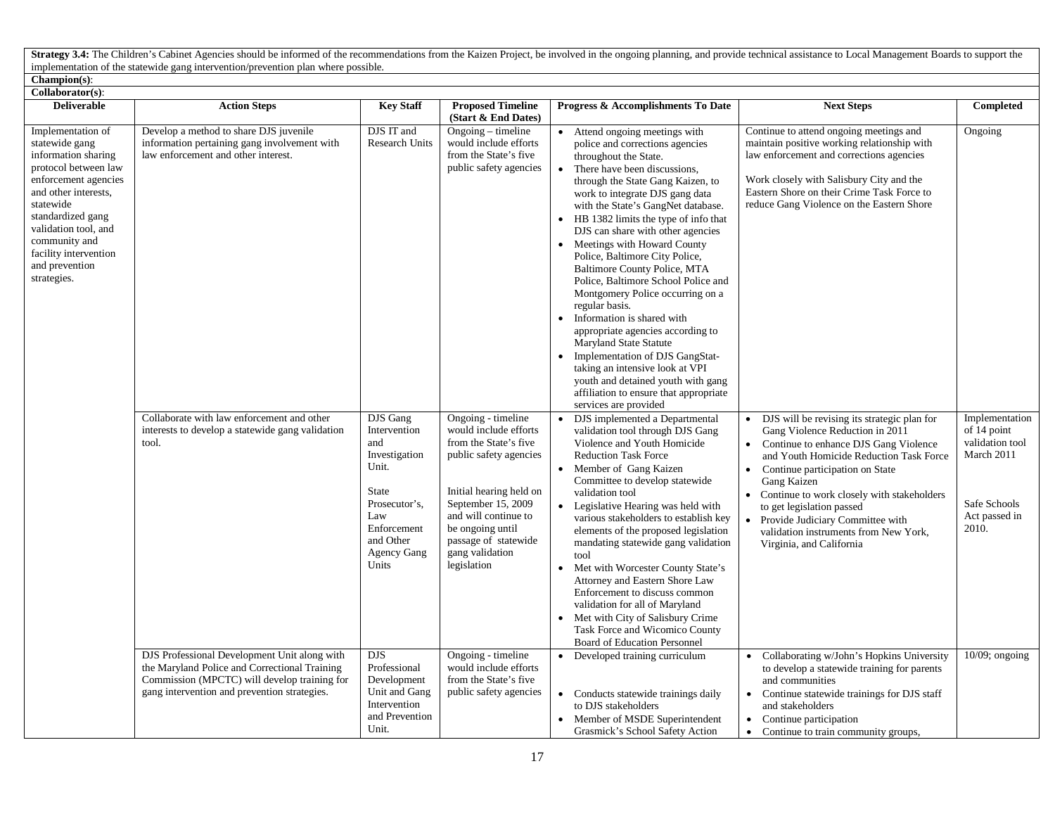Strategy 3.4: The Children's Cabinet Agencies should be informed of the recommendations from the Kaizen Project, be involved in the ongoing planning, and provide technical assistance to Local Management Boards to support t implementation of the statewide gang intervention/prevention plan where possible.

## **Champion(s)**:

| Collaborator(s):                                                                                                                                                                                                                                                        |                                                                                                                                                                                               |                                                                                                                                                              |                                                                                                                                                                                                                                                       |                                                                                                                                                                                                                                                                                                                                                                                                                                                                                                                                                                                                                                                                                                                                                                                                                                  |                                                                                                                                                                                                                                                                                                                                                                                                          |                                                                                                          |
|-------------------------------------------------------------------------------------------------------------------------------------------------------------------------------------------------------------------------------------------------------------------------|-----------------------------------------------------------------------------------------------------------------------------------------------------------------------------------------------|--------------------------------------------------------------------------------------------------------------------------------------------------------------|-------------------------------------------------------------------------------------------------------------------------------------------------------------------------------------------------------------------------------------------------------|----------------------------------------------------------------------------------------------------------------------------------------------------------------------------------------------------------------------------------------------------------------------------------------------------------------------------------------------------------------------------------------------------------------------------------------------------------------------------------------------------------------------------------------------------------------------------------------------------------------------------------------------------------------------------------------------------------------------------------------------------------------------------------------------------------------------------------|----------------------------------------------------------------------------------------------------------------------------------------------------------------------------------------------------------------------------------------------------------------------------------------------------------------------------------------------------------------------------------------------------------|----------------------------------------------------------------------------------------------------------|
| <b>Deliverable</b>                                                                                                                                                                                                                                                      | <b>Action Steps</b>                                                                                                                                                                           | <b>Key Staff</b>                                                                                                                                             | <b>Proposed Timeline</b><br>(Start & End Dates)                                                                                                                                                                                                       | Progress & Accomplishments To Date                                                                                                                                                                                                                                                                                                                                                                                                                                                                                                                                                                                                                                                                                                                                                                                               | <b>Next Steps</b>                                                                                                                                                                                                                                                                                                                                                                                        | Completed                                                                                                |
| Implementation of<br>statewide gang<br>information sharing<br>protocol between law<br>enforcement agencies<br>and other interests.<br>statewide<br>standardized gang<br>validation tool, and<br>community and<br>facility intervention<br>and prevention<br>strategies. | Develop a method to share DJS juvenile<br>information pertaining gang involvement with<br>law enforcement and other interest.                                                                 | DJS IT and<br><b>Research Units</b>                                                                                                                          | $Ongoing$ – timeline<br>would include efforts<br>from the State's five<br>public safety agencies                                                                                                                                                      | • Attend ongoing meetings with<br>police and corrections agencies<br>throughout the State.<br>There have been discussions,<br>$\bullet$<br>through the State Gang Kaizen, to<br>work to integrate DJS gang data<br>with the State's GangNet database.<br>HB 1382 limits the type of info that<br>DJS can share with other agencies<br>Meetings with Howard County<br>Police, Baltimore City Police,<br>Baltimore County Police, MTA<br>Police, Baltimore School Police and<br>Montgomery Police occurring on a<br>regular basis.<br>Information is shared with<br>$\bullet$<br>appropriate agencies according to<br><b>Maryland State Statute</b><br>Implementation of DJS GangStat-<br>taking an intensive look at VPI<br>youth and detained youth with gang<br>affiliation to ensure that appropriate<br>services are provided | Continue to attend ongoing meetings and<br>maintain positive working relationship with<br>law enforcement and corrections agencies<br>Work closely with Salisbury City and the<br>Eastern Shore on their Crime Task Force to<br>reduce Gang Violence on the Eastern Shore                                                                                                                                | Ongoing                                                                                                  |
|                                                                                                                                                                                                                                                                         | Collaborate with law enforcement and other<br>interests to develop a statewide gang validation<br>tool.                                                                                       | DJS Gang<br>Intervention<br>and<br>Investigation<br>Unit.<br><b>State</b><br>Prosecutor's,<br>Law<br>Enforcement<br>and Other<br><b>Agency Gang</b><br>Units | Ongoing - timeline<br>would include efforts<br>from the State's five<br>public safety agencies<br>Initial hearing held on<br>September 15, 2009<br>and will continue to<br>be ongoing until<br>passage of statewide<br>gang validation<br>legislation | DJS implemented a Departmental<br>validation tool through DJS Gang<br>Violence and Youth Homicide<br><b>Reduction Task Force</b><br>Member of Gang Kaizen<br>$\bullet$<br>Committee to develop statewide<br>validation tool<br>Legislative Hearing was held with<br>$\bullet$<br>various stakeholders to establish key<br>elements of the proposed legislation<br>mandating statewide gang validation<br>tool<br>Met with Worcester County State's<br>$\bullet$<br>Attorney and Eastern Shore Law<br>Enforcement to discuss common<br>validation for all of Maryland<br>Met with City of Salisbury Crime<br>Task Force and Wicomico County<br>Board of Education Personnel                                                                                                                                                       | DJS will be revising its strategic plan for<br>Gang Violence Reduction in 2011<br>Continue to enhance DJS Gang Violence<br>and Youth Homicide Reduction Task Force<br>Continue participation on State<br>Gang Kaizen<br>Continue to work closely with stakeholders<br>to get legislation passed<br>Provide Judiciary Committee with<br>validation instruments from New York,<br>Virginia, and California | Implementation<br>of 14 point<br>validation tool<br>March 2011<br>Safe Schools<br>Act passed in<br>2010. |
|                                                                                                                                                                                                                                                                         | DJS Professional Development Unit along with<br>the Maryland Police and Correctional Training<br>Commission (MPCTC) will develop training for<br>gang intervention and prevention strategies. | DJS.<br>Professional<br>Development<br>Unit and Gang<br>Intervention<br>and Prevention<br>Unit.                                                              | Ongoing - timeline<br>would include efforts<br>from the State's five<br>public safety agencies                                                                                                                                                        | • Developed training curriculum<br>• Conducts statewide trainings daily<br>to DJS stakeholders<br>• Member of MSDE Superintendent<br>Grasmick's School Safety Action                                                                                                                                                                                                                                                                                                                                                                                                                                                                                                                                                                                                                                                             | Collaborating w/John's Hopkins University<br>to develop a statewide training for parents<br>and communities<br>Continue statewide trainings for DJS staff<br>$\bullet$<br>and stakeholders<br>• Continue participation<br>• Continue to train community groups,                                                                                                                                          | $\overline{10/09}$ ; ongoing                                                                             |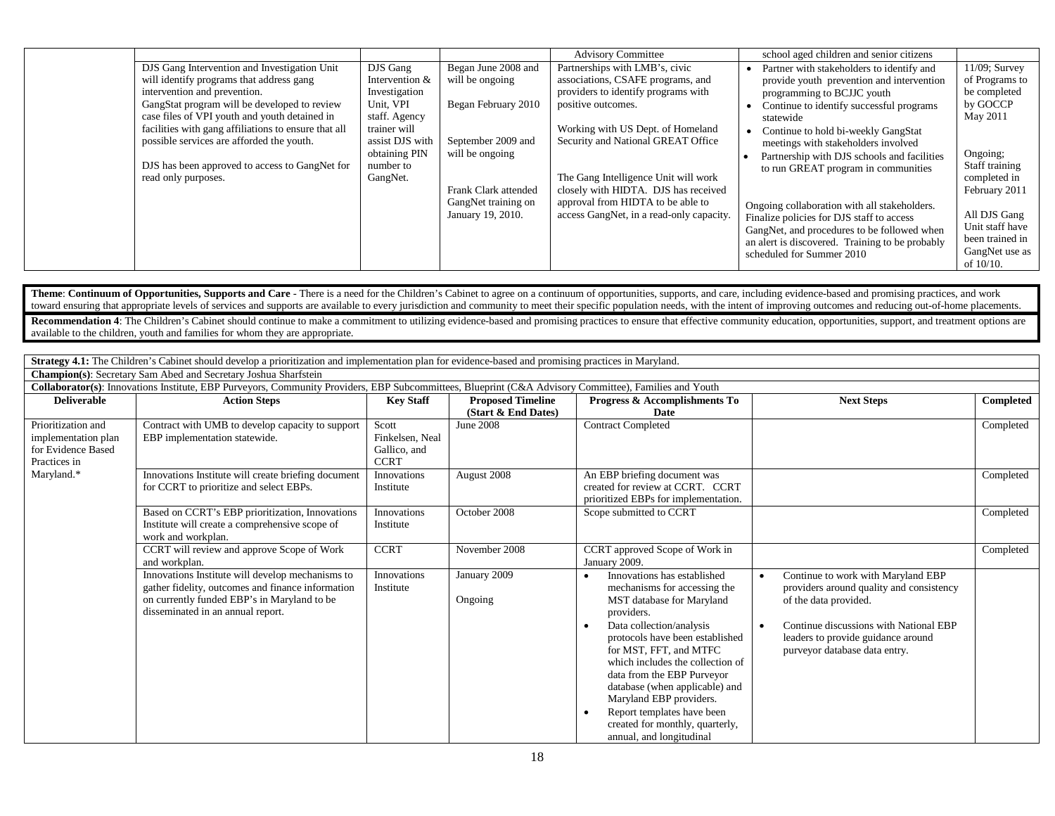|                                                      |                 |                      | <b>Advisory Committee</b>                | school aged children and senior citizens        |                  |
|------------------------------------------------------|-----------------|----------------------|------------------------------------------|-------------------------------------------------|------------------|
|                                                      |                 |                      |                                          |                                                 |                  |
| DJS Gang Intervention and Investigation Unit         | DJS Gang        | Began June 2008 and  | Partnerships with LMB's, civic           | Partner with stakeholders to identify and       | $11/09$ ; Survey |
| will identify programs that address gang             | Intervention &  | will be ongoing      | associations, CSAFE programs, and        | provide youth prevention and intervention       | of Programs to   |
| intervention and prevention.                         | Investigation   |                      | providers to identify programs with      | programming to BCJJC youth                      | be completed     |
| GangStat program will be developed to review         | Unit, VPI       | Began February 2010  | positive outcomes.                       | Continue to identify successful programs        | by GOCCP         |
| case files of VPI youth and youth detained in        | staff. Agency   |                      |                                          | statewide                                       | May 2011         |
| facilities with gang affiliations to ensure that all | trainer will    |                      | Working with US Dept. of Homeland        | Continue to hold bi-weekly GangStat             |                  |
| possible services are afforded the youth.            | assist DJS with | September 2009 and   | Security and National GREAT Office       | meetings with stakeholders involved             |                  |
|                                                      | obtaining PIN   | will be ongoing      |                                          | Partnership with DJS schools and facilities     | Ongoing;         |
| DJS has been approved to access to GangNet for       | number to       |                      |                                          | to run GREAT program in communities             | Staff training   |
| read only purposes.                                  | GangNet.        |                      | The Gang Intelligence Unit will work     |                                                 | completed in     |
|                                                      |                 | Frank Clark attended | closely with HIDTA. DJS has received     |                                                 | February 2011    |
|                                                      |                 | GangNet training on  | approval from HIDTA to be able to        | Ongoing collaboration with all stakeholders.    |                  |
|                                                      |                 | January 19, 2010.    | access GangNet, in a read-only capacity. | Finalize policies for DJS staff to access       | All DJS Gang     |
|                                                      |                 |                      |                                          | GangNet, and procedures to be followed when     | Unit staff have  |
|                                                      |                 |                      |                                          | an alert is discovered. Training to be probably | been trained in  |
|                                                      |                 |                      |                                          | scheduled for Summer 2010                       | GangNet use as   |
|                                                      |                 |                      |                                          |                                                 | of $10/10$ .     |

Theme: Continuum of Opportunities, Supports and Care - There is a need for the Children's Cabinet to agree on a continuum of opportunities, supports, and care, including evidence-based and promising practices, and work toward ensuring that appropriate levels of services and supports are available to every jurisdiction and community to meet their specific population needs, with the intent of improving outcomes and reducing out-of-home pla

Recommendation 4: The Children's Cabinet should continue to make a commitment to utilizing evidence-based and promising practices to ensure that effective community education, opportunities, support, and treatment options available to the children, youth and families for whom they are appropriate.

**Strategy 4.1:** The Children's Cabinet should develop a prioritization and implementation plan for evidence-based and promising practices in Maryland.

|                                                                                               | <b>Champion(s):</b> Secretary Sam Abed and Secretary Joshua Sharfstein                                                                                                                    |                                                         |                          |                                                                                                                                                                                                                                                                                                                                                                                                                                                                    |                                                                                                                                                                                                                                                    |           |
|-----------------------------------------------------------------------------------------------|-------------------------------------------------------------------------------------------------------------------------------------------------------------------------------------------|---------------------------------------------------------|--------------------------|--------------------------------------------------------------------------------------------------------------------------------------------------------------------------------------------------------------------------------------------------------------------------------------------------------------------------------------------------------------------------------------------------------------------------------------------------------------------|----------------------------------------------------------------------------------------------------------------------------------------------------------------------------------------------------------------------------------------------------|-----------|
|                                                                                               | Collaborator(s): Innovations Institute, EBP Purveyors, Community Providers, EBP Subcommittees, Blueprint (C&A Advisory Committee), Families and Youth                                     |                                                         |                          |                                                                                                                                                                                                                                                                                                                                                                                                                                                                    |                                                                                                                                                                                                                                                    |           |
| <b>Deliverable</b>                                                                            | <b>Action Steps</b>                                                                                                                                                                       | <b>Key Staff</b>                                        | <b>Proposed Timeline</b> | Progress & Accomplishments To                                                                                                                                                                                                                                                                                                                                                                                                                                      | <b>Next Steps</b>                                                                                                                                                                                                                                  | Completed |
|                                                                                               |                                                                                                                                                                                           |                                                         | (Start & End Dates)      | Date                                                                                                                                                                                                                                                                                                                                                                                                                                                               |                                                                                                                                                                                                                                                    |           |
| Prioritization and<br>implementation plan<br>for Evidence Based<br>Practices in<br>Maryland.* | Contract with UMB to develop capacity to support<br>EBP implementation statewide.                                                                                                         | Scott<br>Finkelsen, Neal<br>Gallico, and<br><b>CCRT</b> | June 2008                | <b>Contract Completed</b>                                                                                                                                                                                                                                                                                                                                                                                                                                          |                                                                                                                                                                                                                                                    | Completed |
|                                                                                               | Innovations Institute will create briefing document<br>for CCRT to prioritize and select EBPs.                                                                                            | Innovations<br>Institute                                | August 2008              | An EBP briefing document was<br>created for review at CCRT. CCRT<br>prioritized EBPs for implementation.                                                                                                                                                                                                                                                                                                                                                           |                                                                                                                                                                                                                                                    | Completed |
|                                                                                               | Based on CCRT's EBP prioritization, Innovations<br>Institute will create a comprehensive scope of<br>work and workplan.                                                                   | Innovations<br>Institute                                | October 2008             | Scope submitted to CCRT                                                                                                                                                                                                                                                                                                                                                                                                                                            |                                                                                                                                                                                                                                                    | Completed |
|                                                                                               | CCRT will review and approve Scope of Work<br>and workplan.                                                                                                                               | <b>CCRT</b>                                             | November 2008            | CCRT approved Scope of Work in<br>January 2009.                                                                                                                                                                                                                                                                                                                                                                                                                    |                                                                                                                                                                                                                                                    | Completed |
|                                                                                               | Innovations Institute will develop mechanisms to<br>gather fidelity, outcomes and finance information<br>on currently funded EBP's in Maryland to be<br>disseminated in an annual report. | Innovations<br>Institute                                | January 2009<br>Ongoing  | Innovations has established<br>$\bullet$<br>mechanisms for accessing the<br>MST database for Maryland<br>providers.<br>Data collection/analysis<br>$\bullet$<br>protocols have been established<br>for MST, FFT, and MTFC<br>which includes the collection of<br>data from the EBP Purveyor<br>database (when applicable) and<br>Maryland EBP providers.<br>Report templates have been<br>$\bullet$<br>created for monthly, quarterly,<br>annual, and longitudinal | Continue to work with Maryland EBP<br>$\bullet$<br>providers around quality and consistency<br>of the data provided.<br>Continue discussions with National EBP<br>$\bullet$<br>leaders to provide guidance around<br>purveyor database data entry. |           |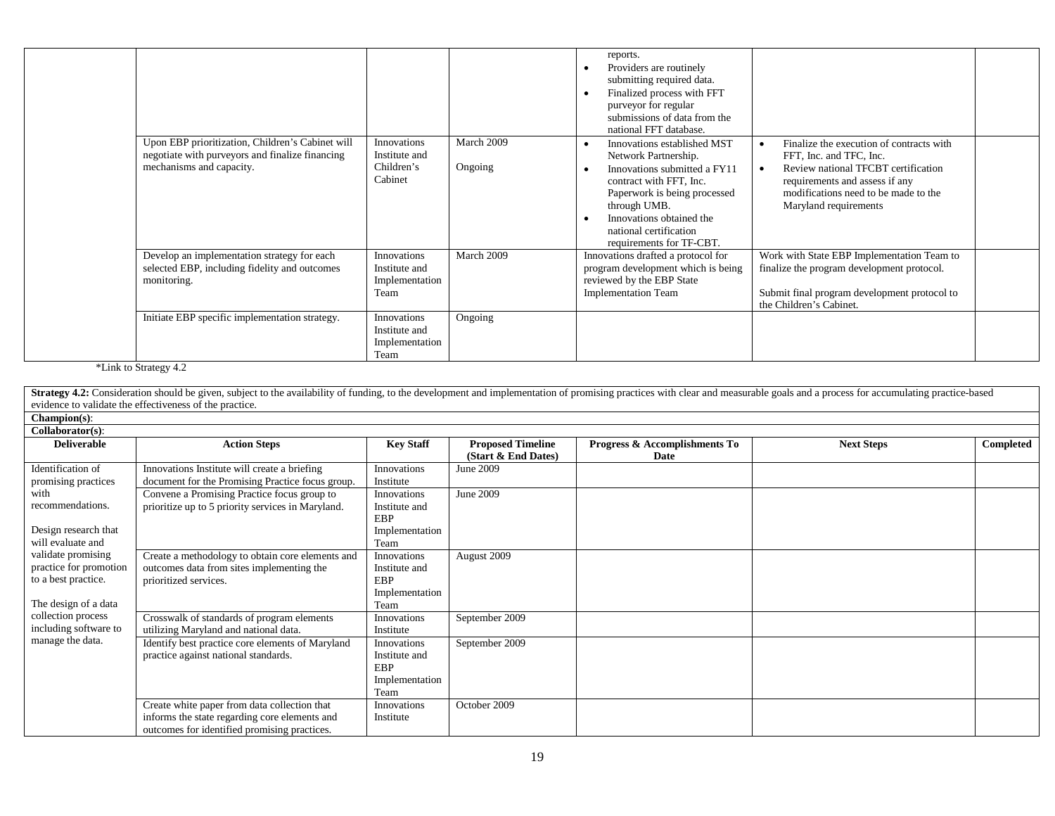|                                                                                                                                                               |                                                                                                                  |                       | reports.<br>Providers are routinely<br>submitting required data.<br>Finalized process with FFT<br>purveyor for regular<br>submissions of data from the<br>national FFT database.                                                                                           |                                                                                                                                                                                                               |
|---------------------------------------------------------------------------------------------------------------------------------------------------------------|------------------------------------------------------------------------------------------------------------------|-----------------------|----------------------------------------------------------------------------------------------------------------------------------------------------------------------------------------------------------------------------------------------------------------------------|---------------------------------------------------------------------------------------------------------------------------------------------------------------------------------------------------------------|
| Upon EBP prioritization, Children's Cabinet will<br>negotiate with purveyors and finalize financing<br>mechanisms and capacity.                               | Innovations<br>Institute and<br>Children's<br>Cabinet                                                            | March 2009<br>Ongoing | Innovations established MST<br>$\bullet$<br>Network Partnership.<br>Innovations submitted a FY11<br>$\bullet$<br>contract with FFT, Inc.<br>Paperwork is being processed<br>through UMB.<br>Innovations obtained the<br>national certification<br>requirements for TF-CBT. | Finalize the execution of contracts with<br>FFT, Inc. and TFC, Inc.<br>Review national TFCBT certification<br>requirements and assess if any<br>modifications need to be made to the<br>Maryland requirements |
| Develop an implementation strategy for each<br>selected EBP, including fidelity and outcomes<br>monitoring.<br>Initiate EBP specific implementation strategy. | Innovations<br>Institute and<br>Implementation<br>Team<br>Innovations<br>Institute and<br>Implementation<br>Team | March 2009<br>Ongoing | Innovations drafted a protocol for<br>program development which is being<br>reviewed by the EBP State<br><b>Implementation Team</b>                                                                                                                                        | Work with State EBP Implementation Team to<br>finalize the program development protocol.<br>Submit final program development protocol to<br>the Children's Cabinet.                                           |

\*Link to Strategy 4.2

|                                                                                             | <b>Strategy 4.2:</b> Consideration should be given, subject to the availability of funding, to the development and implementation of promising practices with clear and measurable goals and a process for accumulating practice-ba |                                                                      |                                                 |                                       |                   |           |
|---------------------------------------------------------------------------------------------|-------------------------------------------------------------------------------------------------------------------------------------------------------------------------------------------------------------------------------------|----------------------------------------------------------------------|-------------------------------------------------|---------------------------------------|-------------------|-----------|
|                                                                                             | evidence to validate the effectiveness of the practice.                                                                                                                                                                             |                                                                      |                                                 |                                       |                   |           |
| $Champion(s):$                                                                              |                                                                                                                                                                                                                                     |                                                                      |                                                 |                                       |                   |           |
| Collaborator(s):                                                                            |                                                                                                                                                                                                                                     |                                                                      |                                                 |                                       |                   |           |
| <b>Deliverable</b>                                                                          | <b>Action Steps</b>                                                                                                                                                                                                                 | <b>Key Staff</b>                                                     | <b>Proposed Timeline</b><br>(Start & End Dates) | Progress & Accomplishments To<br>Date | <b>Next Steps</b> | Completed |
| Identification of<br>promising practices                                                    | Innovations Institute will create a briefing<br>document for the Promising Practice focus group.                                                                                                                                    | Innovations<br>Institute                                             | June 2009                                       |                                       |                   |           |
| with<br>recommendations.<br>Design research that<br>will evaluate and                       | Convene a Promising Practice focus group to<br>prioritize up to 5 priority services in Maryland.                                                                                                                                    | Innovations<br>Institute and<br><b>EBP</b><br>Implementation<br>Team | June 2009                                       |                                       |                   |           |
| validate promising<br>practice for promotion<br>to a best practice.<br>The design of a data | Create a methodology to obtain core elements and<br>outcomes data from sites implementing the<br>prioritized services.                                                                                                              | Innovations<br>Institute and<br><b>EBP</b><br>Implementation<br>Team | August 2009                                     |                                       |                   |           |
| collection process<br>including software to                                                 | Crosswalk of standards of program elements<br>utilizing Maryland and national data.                                                                                                                                                 | Innovations<br>Institute                                             | September 2009                                  |                                       |                   |           |
| manage the data.                                                                            | Identify best practice core elements of Maryland<br>practice against national standards.                                                                                                                                            | Innovations<br>Institute and<br><b>EBP</b><br>Implementation<br>Team | September 2009                                  |                                       |                   |           |
|                                                                                             | Create white paper from data collection that<br>informs the state regarding core elements and<br>outcomes for identified promising practices.                                                                                       | Innovations<br>Institute                                             | October 2009                                    |                                       |                   |           |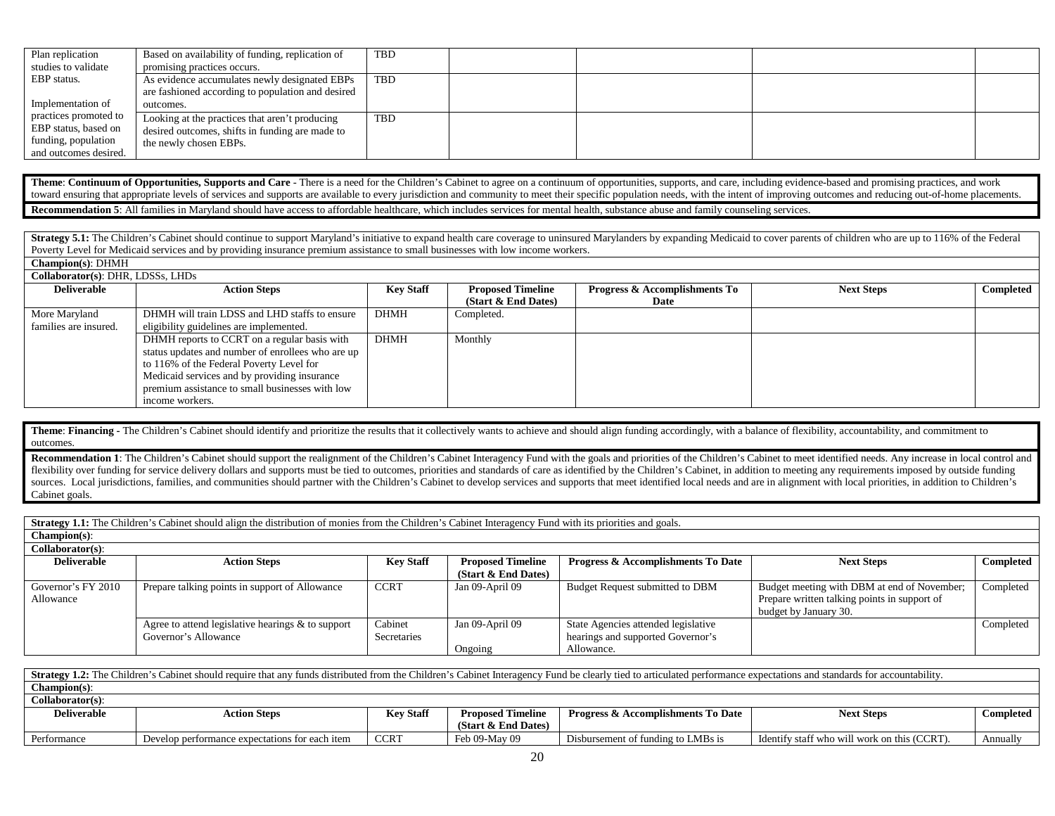| Plan replication      | Based on availability of funding, replication of  | <b>TBD</b> |  |  |
|-----------------------|---------------------------------------------------|------------|--|--|
| studies to validate   | promising practices occurs.                       |            |  |  |
| EBP status.           | As evidence accumulates newly designated EBPs     | TBD        |  |  |
|                       | are fashioned according to population and desired |            |  |  |
| Implementation of     | outcomes.                                         |            |  |  |
| practices promoted to | Looking at the practices that aren't producing    | TBD        |  |  |
| EBP status, based on  | desired outcomes, shifts in funding are made to   |            |  |  |
| funding, population   | the newly chosen EBPs.                            |            |  |  |
| and outcomes desired. |                                                   |            |  |  |

Theme: Continuum of Opportunities, Supports and Care - There is a need for the Children's Cabinet to agree on a continuum of opportunities, supports, and care, including evidence-based and promising practices, and work toward ensuring that appropriate levels of services and supports are available to every jurisdiction and community to meet their specific population needs, with the intent of improving outcomes and reducing out-of-home pla **Recommendation 5**: All families in Maryland should have access to affordable healthcare, which includes services for mental health, substance abuse and family counseling services.

Strategy 5.1: The Children's Cabinet should continue to support Maryland's initiative to expand health care coverage to uninsured Marylanders by expanding Medicaid to cover parents of children who are up to 116% of the Fed Poverty Level for Medicaid services and by providing insurance premium assistance to small businesses with low income workers. **Champion(s)**: DHMH

| Collaborator(s): DHR, LDSSs, LHDs |                                                   |                  |                          |                                          |                   |                  |  |  |  |
|-----------------------------------|---------------------------------------------------|------------------|--------------------------|------------------------------------------|-------------------|------------------|--|--|--|
| <b>Deliverable</b>                | <b>Action Steps</b>                               | <b>Key Staff</b> | <b>Proposed Timeline</b> | <b>Progress &amp; Accomplishments To</b> | <b>Next Steps</b> | <b>Completed</b> |  |  |  |
|                                   |                                                   |                  | (Start & End Dates)      | Date                                     |                   |                  |  |  |  |
| More Maryland                     | DHMH will train LDSS and LHD staffs to ensure     | <b>DHMH</b>      | Completed.               |                                          |                   |                  |  |  |  |
| families are insured.             | eligibility guidelines are implemented.           |                  |                          |                                          |                   |                  |  |  |  |
|                                   | DHMH reports to CCRT on a regular basis with      | <b>DHMH</b>      | Monthly                  |                                          |                   |                  |  |  |  |
|                                   | status updates and number of enrollees who are up |                  |                          |                                          |                   |                  |  |  |  |
|                                   | to 116% of the Federal Poverty Level for          |                  |                          |                                          |                   |                  |  |  |  |
|                                   | Medicaid services and by providing insurance      |                  |                          |                                          |                   |                  |  |  |  |
|                                   | premium assistance to small businesses with low   |                  |                          |                                          |                   |                  |  |  |  |
|                                   | income workers.                                   |                  |                          |                                          |                   |                  |  |  |  |

Theme: Financing - The Children's Cabinet should identify and prioritize the results that it collectively wants to achieve and should align funding accordingly, with a balance of flexibility, accountability, and commitment outcomes.

Recommendation 1: The Children's Cabinet should support the realignment of the Children's Cabinet Interagency Fund with the goals and priorities of the Children's Cabinet to meet identified needs. Any increase in local con flexibility over funding for service delivery dollars and supports must be tied to outcomes, priorities and standards of care as identified by the Children's Cabinet, in addition to meeting any requirements imposed by outs sources. Local jurisdictions, families, and communities should partner with the Children's Cabinet to develop services and supports that meet identified local needs and are in alignment with local priorities, in addition t Cabinet goals.

Strategy 1.1: The Children's Cabinet should align the distribution of monies from the Children's Cabinet Interagency Fund with its priorities and goals.

| $Champion(s)$ :     |                                                      |                  |                          |                                               |                                              |           |
|---------------------|------------------------------------------------------|------------------|--------------------------|-----------------------------------------------|----------------------------------------------|-----------|
| $Collaborator(s)$ : |                                                      |                  |                          |                                               |                                              |           |
| <b>Deliverable</b>  | <b>Action Steps</b>                                  | <b>Key Staff</b> | <b>Proposed Timeline</b> | <b>Progress &amp; Accomplishments To Date</b> | <b>Next Steps</b>                            | Completed |
|                     |                                                      |                  | (Start $\&$ End Dates)   |                                               |                                              |           |
| Governor's FY 2010  | Prepare talking points in support of Allowance       | <b>CCRT</b>      | Jan 09-April 09          | Budget Request submitted to DBM               | Budget meeting with DBM at end of November;  | Completed |
| Allowance           |                                                      |                  |                          |                                               | Prepare written talking points in support of |           |
|                     |                                                      |                  |                          |                                               | budget by January 30.                        |           |
|                     | Agree to attend legislative hearings $\&$ to support | Cabinet          | Jan 09-April 09          | State Agencies attended legislative           |                                              | Completed |
|                     | Governor's Allowance                                 | Secretaries      |                          | hearings and supported Governor's             |                                              |           |
|                     |                                                      |                  | Ongoing                  | Allowance.                                    |                                              |           |

| <b>Strategy 1.2:</b> The Children's Cabinet should require that any funds distributed from the Children's Cabinet Interagency Fund be clearly tied to articulated performance expectations and standards for accountability. |                                                |                  |                          |                                               |                                              |           |  |  |  |
|------------------------------------------------------------------------------------------------------------------------------------------------------------------------------------------------------------------------------|------------------------------------------------|------------------|--------------------------|-----------------------------------------------|----------------------------------------------|-----------|--|--|--|
| $Champion(s)$ :                                                                                                                                                                                                              |                                                |                  |                          |                                               |                                              |           |  |  |  |
| Collaborator(s):                                                                                                                                                                                                             |                                                |                  |                          |                                               |                                              |           |  |  |  |
| <b>Deliverable</b>                                                                                                                                                                                                           | <b>Action Steps</b>                            | <b>Key Staff</b> | <b>Proposed Timeline</b> | <b>Progress &amp; Accomplishments To Date</b> | <b>Next Steps</b>                            | Completed |  |  |  |
|                                                                                                                                                                                                                              |                                                |                  | (Start & End Dates)      |                                               |                                              |           |  |  |  |
| Performance                                                                                                                                                                                                                  | Develop performance expectations for each item | <b>CCRT</b>      | Feb 09-May 09            | Disbursement of funding to LMBs is            | Identify staff who will work on this (CCRT). | Annually  |  |  |  |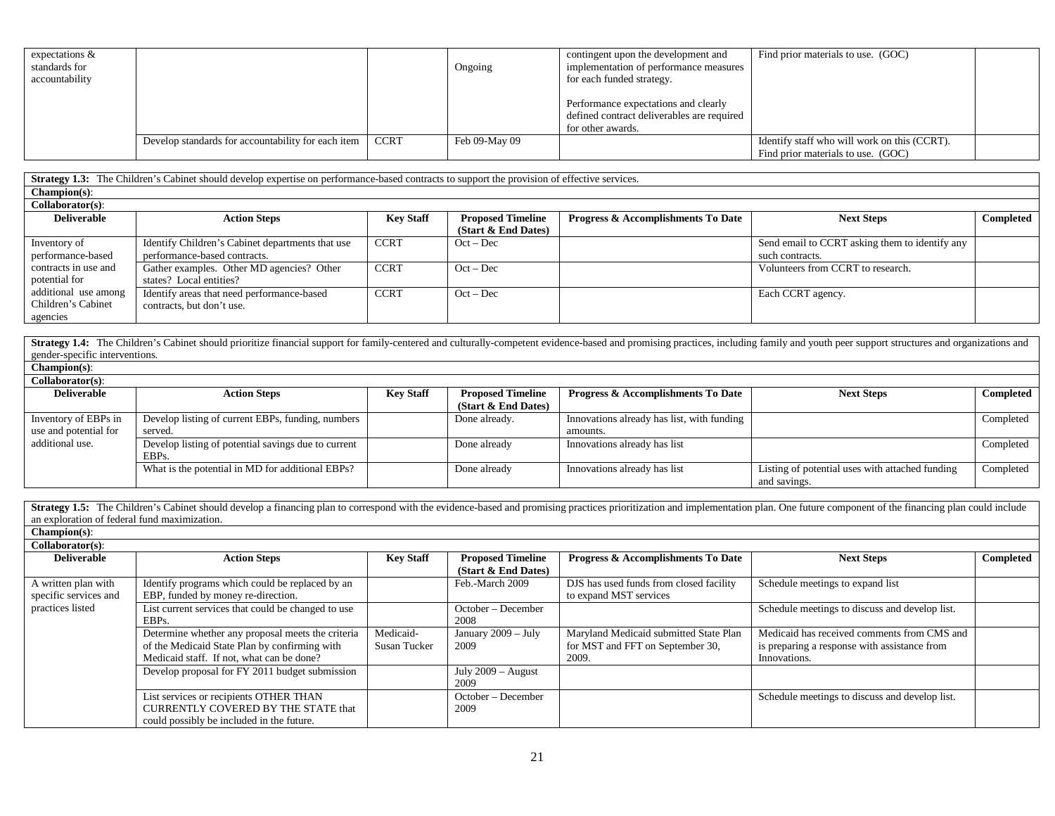| expectations $\&$<br>standards for<br>accountability |                                                    |             | Ongoing       | contingent upon the development and<br>implementation of performance measures<br>for each funded strategy. | Find prior materials to use. (GOC)                                                 |  |
|------------------------------------------------------|----------------------------------------------------|-------------|---------------|------------------------------------------------------------------------------------------------------------|------------------------------------------------------------------------------------|--|
|                                                      |                                                    |             |               | Performance expectations and clearly<br>defined contract deliverables are required<br>for other awards.    |                                                                                    |  |
|                                                      | Develop standards for accountability for each item | <b>CCRT</b> | Feb 09-May 09 |                                                                                                            | Identify staff who will work on this (CCRT).<br>Find prior materials to use. (GOC) |  |

**Strategy 1.3:** The Children's Cabinet should develop expertise on performance-based contracts to support the provision of effective services.

| Champion(s): |
|--------------|
|              |

| Collaborator(s):     |                                                  |                  |                          |                                               |                                                |           |
|----------------------|--------------------------------------------------|------------------|--------------------------|-----------------------------------------------|------------------------------------------------|-----------|
| <b>Deliverable</b>   | <b>Action Steps</b>                              | <b>Key Staff</b> | <b>Proposed Timeline</b> | <b>Progress &amp; Accomplishments To Date</b> | <b>Next Steps</b>                              | Completed |
|                      |                                                  |                  | (Start & End Dates)      |                                               |                                                |           |
| Inventory of         | Identify Children's Cabinet departments that use | <b>CCRT</b>      | $Oct - Dec$              |                                               | Send email to CCRT asking them to identify any |           |
| performance-based    | performance-based contracts.                     |                  |                          |                                               | such contracts.                                |           |
| contracts in use and | Gather examples. Other MD agencies? Other        | <b>CCRT</b>      | $Oct - Dec$              |                                               | Volunteers from CCRT to research.              |           |
| potential for        | states? Local entities?                          |                  |                          |                                               |                                                |           |
| additional use among | Identify areas that need performance-based       | <b>CCRT</b>      | $Oct - Dec$              |                                               | Each CCRT agency.                              |           |
| Children's Cabinet   | contracts, but don't use.                        |                  |                          |                                               |                                                |           |
| agencies             |                                                  |                  |                          |                                               |                                                |           |

Strategy 1.4: The Children's Cabinet should prioritize financial support for family-centered and culturally-competent evidence-based and promising practices, including family and youth peer support structures and organizat gender-specific interventions.

| Champion(s):                                 |
|----------------------------------------------|
| $C_2$ H <sub>2</sub> k = $\cdots$ ( $\cdots$ |

| Collaborator(s):      |                                                     |                  |                          |                                               |                                                 |           |
|-----------------------|-----------------------------------------------------|------------------|--------------------------|-----------------------------------------------|-------------------------------------------------|-----------|
| <b>Deliverable</b>    | <b>Action Steps</b>                                 | <b>Key Staff</b> | <b>Proposed Timeline</b> | <b>Progress &amp; Accomplishments To Date</b> | <b>Next Steps</b>                               | Completed |
|                       |                                                     |                  | (Start & End Dates)      |                                               |                                                 |           |
| Inventory of EBPs in  | Develop listing of current EBPs, funding, numbers   |                  | Done already.            | Innovations already has list, with funding    |                                                 | Completed |
| use and potential for | served.                                             |                  |                          | amounts.                                      |                                                 |           |
| additional use.       | Develop listing of potential savings due to current |                  | Done already             | Innovations already has list                  |                                                 | Completed |
|                       | EBP <sub>s</sub> .                                  |                  |                          |                                               |                                                 |           |
|                       | What is the potential in MD for additional EBPs?    |                  | Done already             | Innovations already has list                  | Listing of potential uses with attached funding | Completed |
|                       |                                                     |                  |                          |                                               | and savings.                                    |           |

Strategy 1.5: The Children's Cabinet should develop a financing plan to correspond with the evidence-based and promising practices prioritization and implementation plan. One future component of the financing plan could in an exploration of federal fund maximization. **Champion(s)**: **Collaborator(s)**: **Deliverable Action Steps Key Staff Proposed Timeline (Start & End Dates) Progress & Accomplishments To Date Next Steps Completed** A written plan with specific services and practices listed Identify programs which could be replaced by an EBP, funded by money re-direction. DJS has used funds from closed facility to expand MST services Schedule meetings to expand list List current services that could be changed to use EBPs. October – December 2008 Schedule meetings to discuss and develop list. Determine whether any proposal meets the criteria of the Medicaid State Plan by confirming with Medicaid staff. If not, what can be done? Medicaid-Susan Tucker January 2009 – July 2009 Maryland Medicaid submitted State Plan for MST and FFT on September 30, 2009. Medicaid has received comments from CMS and is preparing a response with assistance from Innovations. Develop proposal for FY 2011 budget submission July 2009 – August 2009 List services or recipients OTHER THAN CURRENTLY COVERED BY THE STATE that could possibly be included in the future. October – December 2009 Schedule meetings to discuss and develop list.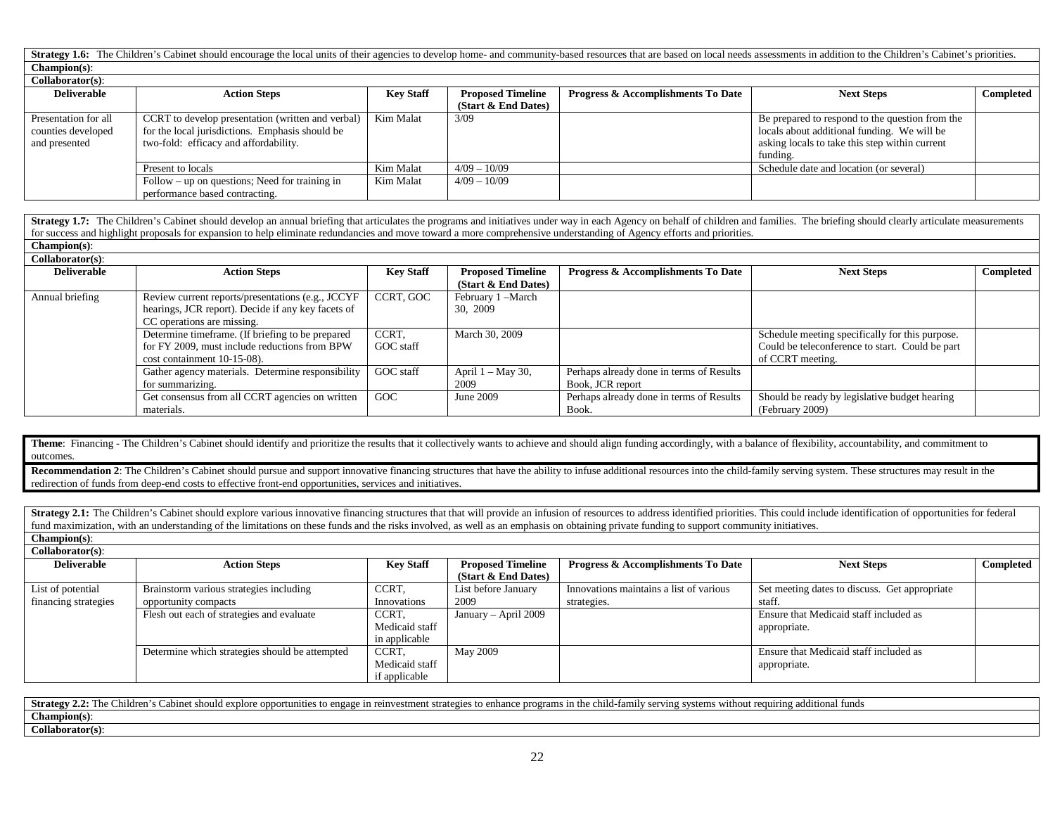Strategy 1.6: The Children's Cabinet should encourage the local units of their agencies to develop home- and community-based resources that are based on local needs assessments in addition to the Children's Cabinet's prior **Champion(s)**:

### $C \cdot \mathbf{U}$

| Collaborator(s):     |                                                   |                  |                          |                                               |                                                 |           |
|----------------------|---------------------------------------------------|------------------|--------------------------|-----------------------------------------------|-------------------------------------------------|-----------|
| <b>Deliverable</b>   | <b>Action Steps</b>                               | <b>Key Staff</b> | <b>Proposed Timeline</b> | <b>Progress &amp; Accomplishments To Date</b> | <b>Next Steps</b>                               | Completed |
|                      |                                                   |                  | (Start $&$ End Dates)    |                                               |                                                 |           |
| Presentation for all | CCRT to develop presentation (written and verbal) | Kim Malat        | 3/09                     |                                               | Be prepared to respond to the question from the |           |
| counties developed   | for the local jurisdictions. Emphasis should be   |                  |                          |                                               | locals about additional funding. We will be     |           |
| and presented        | two-fold: efficacy and affordability.             |                  |                          |                                               | asking locals to take this step within current  |           |
|                      |                                                   |                  |                          |                                               | funding.                                        |           |
|                      | Present to locals                                 | Kim Malat        | $4/09 - 10/09$           |                                               | Schedule date and location (or several)         |           |
|                      | Follow – up on questions; Need for training in    | Kim Malat        | $4/09 - 10/09$           |                                               |                                                 |           |
|                      | performance based contracting.                    |                  |                          |                                               |                                                 |           |

Strategy 1.7: The Children's Cabinet should develop an annual briefing that articulates the programs and initiatives under way in each Agency on behalf of children and families. The briefing should clearly articulate measu for success and highlight proposals for expansion to help eliminate redundancies and move toward a more comprehensive understanding of Agency efforts and priorities. **Champion(s)**:

| $Collaborator(s)$ : |                                                                                                                                        |                    |                                                 |                                                              |                                                                                                                        |                  |
|---------------------|----------------------------------------------------------------------------------------------------------------------------------------|--------------------|-------------------------------------------------|--------------------------------------------------------------|------------------------------------------------------------------------------------------------------------------------|------------------|
| <b>Deliverable</b>  | <b>Action Steps</b>                                                                                                                    | <b>Key Staff</b>   | <b>Proposed Timeline</b><br>(Start & End Dates) | <b>Progress &amp; Accomplishments To Date</b>                | <b>Next Steps</b>                                                                                                      | <b>Completed</b> |
| Annual briefing     | Review current reports/presentations (e.g., JCCYF)<br>hearings, JCR report). Decide if any key facets of<br>CC operations are missing. | CCRT, GOC          | February 1 – March<br>30, 2009                  |                                                              |                                                                                                                        |                  |
|                     | Determine timeframe. (If briefing to be prepared<br>for FY 2009, must include reductions from BPW<br>cost containment 10-15-08).       | CCRT.<br>GOC staff | March 30, 2009                                  |                                                              | Schedule meeting specifically for this purpose.<br>Could be teleconference to start. Could be part<br>of CCRT meeting. |                  |
|                     | Gather agency materials. Determine responsibility<br>for summarizing.                                                                  | GOC staff          | April $1 - May 30$ ,<br>2009                    | Perhaps already done in terms of Results<br>Book, JCR report |                                                                                                                        |                  |
|                     | Get consensus from all CCRT agencies on written<br>materials.                                                                          | GOC                | June 2009                                       | Perhaps already done in terms of Results<br>Book.            | Should be ready by legislative budget hearing<br>(February 2009)                                                       |                  |

Theme: Financing - The Children's Cabinet should identify and prioritize the results that it collectively wants to achieve and should align funding accordingly, with a balance of flexibility, accountability, and commitment outcomes.

Recommendation 2: The Children's Cabinet should pursue and support innovative financing structures that have the ability to infuse additional resources into the child-family serving system. These structures may result in t redirection of funds from deep-end costs to effective front-end opportunities, services and initiatives.

Strategy 2.1: The Children's Cabinet should explore various innovative financing structures that that will provide an infusion of resources to address identified priorities. This could include identification of opportuniti fund maximization, with an understanding of the limitations on these funds and the risks involved, as well as an emphasis on obtaining private funding to support community initiatives. **Champion(s)**:

| .                    |                                                |                  |                          |                                         |                                               |           |
|----------------------|------------------------------------------------|------------------|--------------------------|-----------------------------------------|-----------------------------------------------|-----------|
| Collaborator(s):     |                                                |                  |                          |                                         |                                               |           |
| <b>Deliverable</b>   | <b>Action Steps</b>                            | <b>Key Staff</b> | <b>Proposed Timeline</b> | Progress & Accomplishments To Date      | <b>Next Steps</b>                             | Completed |
|                      |                                                |                  | (Start $\&$ End Dates)   |                                         |                                               |           |
| List of potential    | Brainstorm various strategies including        | CCRT.            | List before January      | Innovations maintains a list of various | Set meeting dates to discuss. Get appropriate |           |
| financing strategies | opportunity compacts                           | Innovations      | 2009                     | strategies.                             | staff.                                        |           |
|                      | Flesh out each of strategies and evaluate      | CCRT,            | January - April 2009     |                                         | Ensure that Medicaid staff included as        |           |
|                      |                                                | Medicaid staff   |                          |                                         | appropriate.                                  |           |
|                      |                                                | in applicable    |                          |                                         |                                               |           |
|                      | Determine which strategies should be attempted | CCRT,            | May 2009                 |                                         | Ensure that Medicaid staff included as        |           |
|                      |                                                | Medicaid staff   |                          |                                         | appropriate.                                  |           |
|                      |                                                | if applicable    |                          |                                         |                                               |           |

| : child-fa<br><b>Strategy</b><br>$\sim$<br>$\sim$<br>$\sim$<br>l funds<br>lttonal<br>without $r^c$<br>$\alpha$ nn $\alpha$<br>re:<br>progr<br>$\sqrt{3}$ 10 th<br>expl<br>stme<br>юu<br>JUR.<br>v 111 |
|-------------------------------------------------------------------------------------------------------------------------------------------------------------------------------------------------------|
| Channon(s)                                                                                                                                                                                            |
| 0.11.1<br>Ilaborator(s)                                                                                                                                                                               |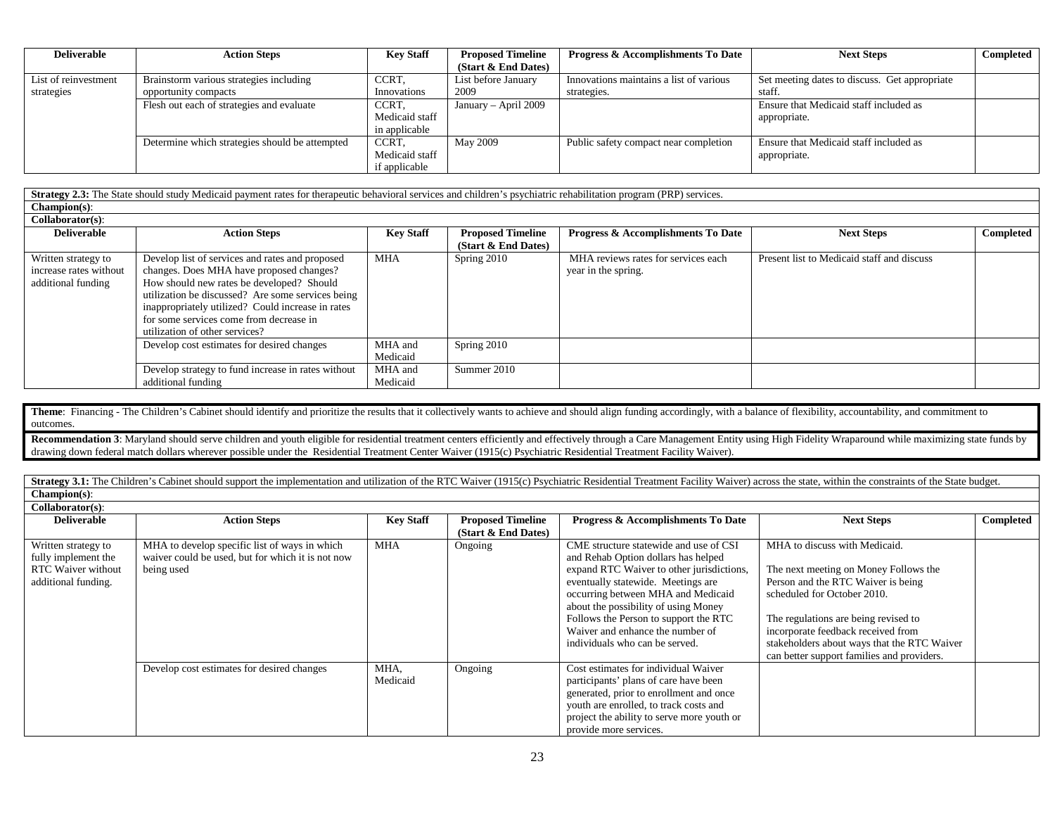| <b>Deliverable</b>   | <b>Action Steps</b>                            | <b>Key Staff</b> | <b>Proposed Timeline</b> | <b>Progress &amp; Accomplishments To Date</b> | <b>Next Steps</b>                             | Completed |
|----------------------|------------------------------------------------|------------------|--------------------------|-----------------------------------------------|-----------------------------------------------|-----------|
|                      |                                                |                  | (Start & End Dates)      |                                               |                                               |           |
| List of reinvestment | Brainstorm various strategies including        | CCRT.            | List before January      | Innovations maintains a list of various       | Set meeting dates to discuss. Get appropriate |           |
| strategies           | opportunity compacts                           | Innovations      | 2009                     | strategies.                                   | staff.                                        |           |
|                      | Flesh out each of strategies and evaluate      | CCRT.            | January - April 2009     |                                               | Ensure that Medicaid staff included as        |           |
|                      |                                                | Medicaid staff   |                          |                                               | appropriate.                                  |           |
|                      |                                                | in applicable    |                          |                                               |                                               |           |
|                      | Determine which strategies should be attempted | CCRT,            | May 2009                 | Public safety compact near completion         | Ensure that Medicaid staff included as        |           |
|                      |                                                | Medicaid staff   |                          |                                               | appropriate.                                  |           |
|                      |                                                | if applicable    |                          |                                               |                                               |           |

**Strategy 2.3:** The State should study Medicaid payment rates for therapeutic behavioral services and children's psychiatric rehabilitation program (PRP) services.

**Champion(s)**: **Collaborator(s)**:

| <b>Deliverable</b>                                                  | <b>Action Steps</b>                                                                                                                                                                                                                                                                                                             | <b>Key Staff</b>    | <b>Proposed Timeline</b><br>(Start & End Dates) | <b>Progress &amp; Accomplishments To Date</b>              | <b>Next Steps</b>                          | Completed |
|---------------------------------------------------------------------|---------------------------------------------------------------------------------------------------------------------------------------------------------------------------------------------------------------------------------------------------------------------------------------------------------------------------------|---------------------|-------------------------------------------------|------------------------------------------------------------|--------------------------------------------|-----------|
| Written strategy to<br>increase rates without<br>additional funding | Develop list of services and rates and proposed<br>changes. Does MHA have proposed changes?<br>How should new rates be developed? Should<br>utilization be discussed? Are some services being<br>inappropriately utilized? Could increase in rates<br>for some services come from decrease in<br>utilization of other services? | <b>MHA</b>          | Spring 2010                                     | MHA reviews rates for services each<br>year in the spring. | Present list to Medicaid staff and discuss |           |
|                                                                     | Develop cost estimates for desired changes                                                                                                                                                                                                                                                                                      | MHA and<br>Medicaid | Spring 2010                                     |                                                            |                                            |           |
|                                                                     | Develop strategy to fund increase in rates without<br>additional funding                                                                                                                                                                                                                                                        | MHA and<br>Medicaid | Summer 2010                                     |                                                            |                                            |           |

Theme: Financing - The Children's Cabinet should identify and prioritize the results that it collectively wants to achieve and should align funding accordingly, with a balance of flexibility, accountability, and commitment outcomes.

Recommendation 3: Maryland should serve children and youth eligible for residential treatment centers efficiently and effectively through a Care Management Entity using High Fidelity Wraparound while maximizing state funds drawing down federal match dollars wherever possible under the Residential Treatment Center Waiver (1915(c) Psychiatric Residential Treatment Facility Waiver).

Strategy 3.1: The Children's Cabinet should support the implementation and utilization of the RTC Waiver (1915(c) Psychiatric Residential Treatment Facility Waiver) across the state, within the constraints of the State bud **Champion(s)**:

**Collaborator(s)**:

| <b>Deliverable</b>                                                                             | <b>Action Steps</b>                                                                                              | <b>Key Staff</b> | <b>Proposed Timeline</b><br>(Start $&$ End Dates) | <b>Progress &amp; Accomplishments To Date</b>                                                                                                                                                                                                                                                                                                                 | <b>Next Steps</b>                                                                                                                                                                                                                                                                                                      | Completed |
|------------------------------------------------------------------------------------------------|------------------------------------------------------------------------------------------------------------------|------------------|---------------------------------------------------|---------------------------------------------------------------------------------------------------------------------------------------------------------------------------------------------------------------------------------------------------------------------------------------------------------------------------------------------------------------|------------------------------------------------------------------------------------------------------------------------------------------------------------------------------------------------------------------------------------------------------------------------------------------------------------------------|-----------|
| Written strategy to<br>fully implement the<br><b>RTC</b> Waiver without<br>additional funding. | MHA to develop specific list of ways in which<br>waiver could be used, but for which it is not now<br>being used | <b>MHA</b>       | Ongoing                                           | CME structure statewide and use of CSI<br>and Rehab Option dollars has helped<br>expand RTC Waiver to other jurisdictions,<br>eventually statewide. Meetings are<br>occurring between MHA and Medicaid<br>about the possibility of using Money<br>Follows the Person to support the RTC<br>Waiver and enhance the number of<br>individuals who can be served. | MHA to discuss with Medicaid.<br>The next meeting on Money Follows the<br>Person and the RTC Waiver is being<br>scheduled for October 2010.<br>The regulations are being revised to<br>incorporate feedback received from<br>stakeholders about ways that the RTC Waiver<br>can better support families and providers. |           |
|                                                                                                | Develop cost estimates for desired changes                                                                       | MHA,<br>Medicaid | Ongoing                                           | Cost estimates for individual Waiver<br>participants' plans of care have been<br>generated, prior to enrollment and once<br>youth are enrolled, to track costs and<br>project the ability to serve more youth or<br>provide more services.                                                                                                                    |                                                                                                                                                                                                                                                                                                                        |           |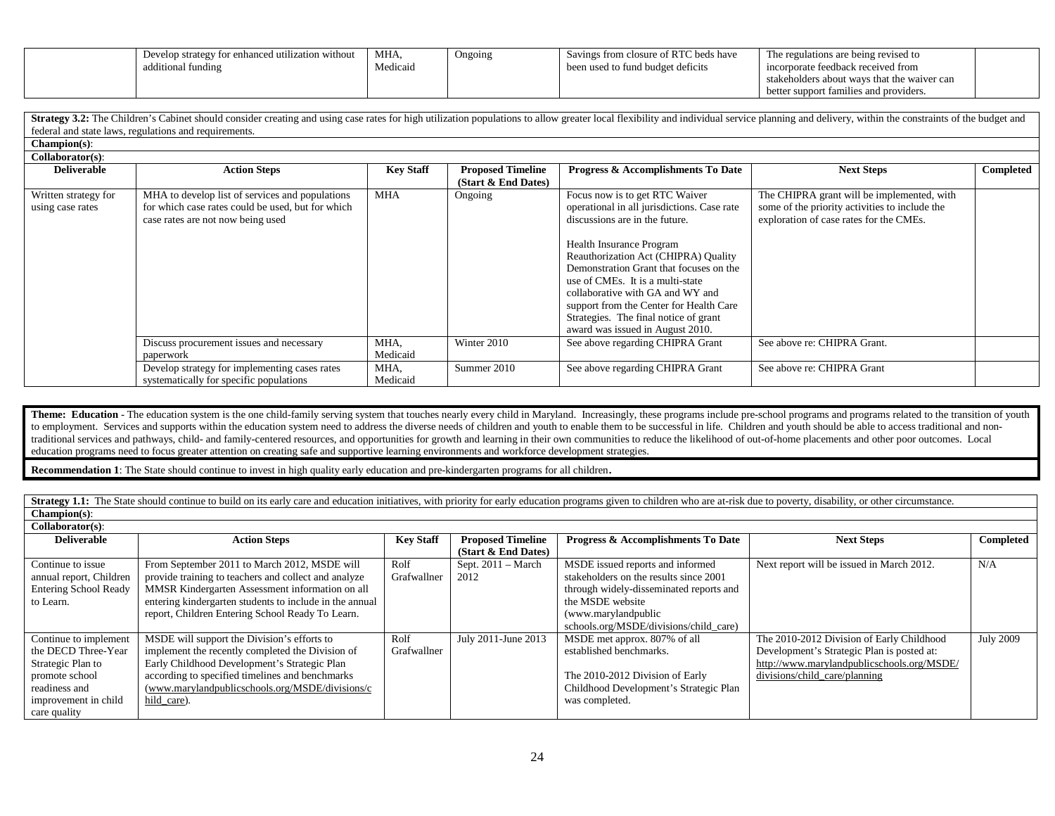| Develop strategy for enhanced utilization without | MHA.     | Ongoing | Savings from closure of RTC beds have | The regulations are being revised to        |  |
|---------------------------------------------------|----------|---------|---------------------------------------|---------------------------------------------|--|
| additional funding                                | Medicaid |         | been used to fund budget deficits     | incorporate feedback received from          |  |
|                                                   |          |         |                                       | stakeholders about ways that the waiver can |  |
|                                                   |          |         |                                       | better support families and providers.      |  |

Strategy 3.2: The Children's Cabinet should consider creating and using case rates for high utilization populations to allow greater local flexibility and individual service planning and delivery, within the constraints of federal and state laws, regulations and requirements.

**Champion(s)**:

| Collaborator(s):                         |                                                                                                                                           |                  |                                                 |                                                                                                                                                                                                                                                                                                                                                                                                                                |                                                                                                                                         |           |
|------------------------------------------|-------------------------------------------------------------------------------------------------------------------------------------------|------------------|-------------------------------------------------|--------------------------------------------------------------------------------------------------------------------------------------------------------------------------------------------------------------------------------------------------------------------------------------------------------------------------------------------------------------------------------------------------------------------------------|-----------------------------------------------------------------------------------------------------------------------------------------|-----------|
| <b>Deliverable</b>                       | <b>Action Steps</b>                                                                                                                       | <b>Key Staff</b> | <b>Proposed Timeline</b><br>(Start & End Dates) | Progress & Accomplishments To Date                                                                                                                                                                                                                                                                                                                                                                                             | <b>Next Steps</b>                                                                                                                       | Completed |
| Written strategy for<br>using case rates | MHA to develop list of services and populations<br>for which case rates could be used, but for which<br>case rates are not now being used | <b>MHA</b>       | Ongoing                                         | Focus now is to get RTC Waiver<br>operational in all jurisdictions. Case rate<br>discussions are in the future.<br>Health Insurance Program<br>Reauthorization Act (CHIPRA) Quality<br>Demonstration Grant that focuses on the<br>use of CMEs. It is a multi-state<br>collaborative with GA and WY and<br>support from the Center for Health Care<br>Strategies. The final notice of grant<br>award was issued in August 2010. | The CHIPRA grant will be implemented, with<br>some of the priority activities to include the<br>exploration of case rates for the CMEs. |           |
|                                          | Discuss procurement issues and necessary<br>paperwork                                                                                     | MHA,<br>Medicaid | Winter 2010                                     | See above regarding CHIPRA Grant                                                                                                                                                                                                                                                                                                                                                                                               | See above re: CHIPRA Grant.                                                                                                             |           |
|                                          | Develop strategy for implementing cases rates<br>systematically for specific populations                                                  | MHA,<br>Medicaid | Summer 2010                                     | See above regarding CHIPRA Grant                                                                                                                                                                                                                                                                                                                                                                                               | See above re: CHIPRA Grant                                                                                                              |           |

Theme: Education - The education system is the one child-family serving system that touches nearly every child in Maryland. Increasingly, these programs include pre-school programs and programs related to the transition of to employment. Services and supports within the education system need to address the diverse needs of children and youth to enable them to be successful in life. Children and youth should be able to access traditional and traditional services and pathways, child- and family-centered resources, and opportunities for growth and learning in their own communities to reduce the likelihood of out-of-home placements and other poor outcomes. Local education programs need to focus greater attention on creating safe and supportive learning environments and workforce development strategies.

**Recommendation 1**: The State should continue to invest in high quality early education and pre-kindergarten programs for all children.

Strategy 1.1: The State should continue to build on its early care and education initiatives, with priority for early education programs given to children who are at-risk due to poverty, disability, or other circumstance.

**Champion(s)**:

| $Collaborator(s)$ :          |                                                         |                  |                          |                                               |                                            |                  |
|------------------------------|---------------------------------------------------------|------------------|--------------------------|-----------------------------------------------|--------------------------------------------|------------------|
| <b>Deliverable</b>           | <b>Action Steps</b>                                     | <b>Key Staff</b> | <b>Proposed Timeline</b> | <b>Progress &amp; Accomplishments To Date</b> | <b>Next Steps</b>                          | Completed        |
|                              |                                                         |                  | (Start & End Dates)      |                                               |                                            |                  |
| Continue to issue            | From September 2011 to March 2012, MSDE will            | Rolf             | Sept. $2011 - March$     | MSDE issued reports and informed              | Next report will be issued in March 2012.  | N/A              |
| annual report, Children      | provide training to teachers and collect and analyze    | Grafwallner      | 2012                     | stakeholders on the results since 2001        |                                            |                  |
| <b>Entering School Ready</b> | MMSR Kindergarten Assessment information on all         |                  |                          | through widely-disseminated reports and       |                                            |                  |
| to Learn.                    | entering kindergarten students to include in the annual |                  |                          | the MSDE website                              |                                            |                  |
|                              | report, Children Entering School Ready To Learn.        |                  |                          | (www.marylandpublic                           |                                            |                  |
|                              |                                                         |                  |                          | schools.org/MSDE/divisions/child_care)        |                                            |                  |
| Continue to implement        | MSDE will support the Division's efforts to             | Rolf             | July 2011-June 2013      | MSDE met approx. 807% of all                  | The 2010-2012 Division of Early Childhood  | <b>July 2009</b> |
| the DECD Three-Year          | implement the recently completed the Division of        | Grafwallner      |                          | established benchmarks.                       | Development's Strategic Plan is posted at: |                  |
| Strategic Plan to            | Early Childhood Development's Strategic Plan            |                  |                          |                                               | http://www.marylandpublicschools.org/MSDE/ |                  |
| promote school               | according to specified timelines and benchmarks         |                  |                          | The 2010-2012 Division of Early               | divisions/child_care/planning              |                  |
| readiness and                | (www.marylandpublicschools.org/MSDE/divisions/c         |                  |                          | Childhood Development's Strategic Plan        |                                            |                  |
| improvement in child         | hild care).                                             |                  |                          | was completed.                                |                                            |                  |
| care quality                 |                                                         |                  |                          |                                               |                                            |                  |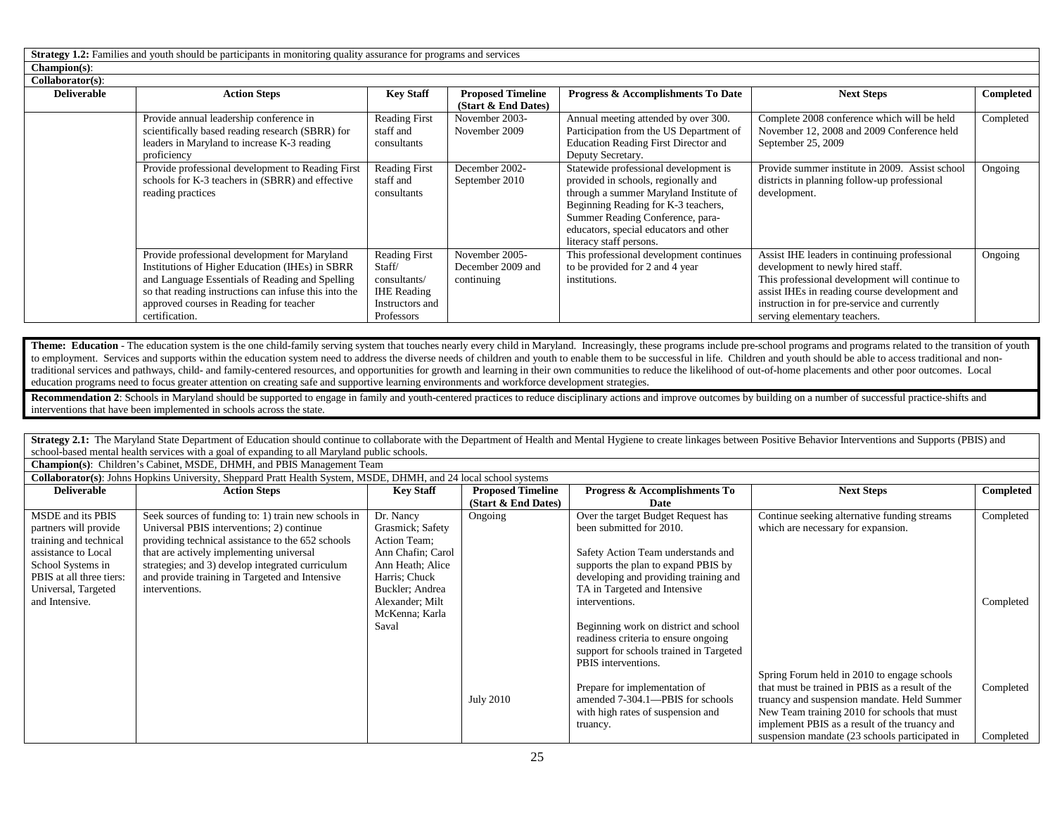**Strategy 1.2:** Families and youth should be participants in monitoring quality assurance for programs and services **Champion(s)**:

| Collaborator(s):   |                                                       |                      |                          |                                             |                                                 |           |
|--------------------|-------------------------------------------------------|----------------------|--------------------------|---------------------------------------------|-------------------------------------------------|-----------|
| <b>Deliverable</b> | <b>Action Steps</b>                                   | <b>Key Staff</b>     | <b>Proposed Timeline</b> | Progress & Accomplishments To Date          | <b>Next Steps</b>                               | Completed |
|                    |                                                       |                      | (Start & End Dates)      |                                             |                                                 |           |
|                    | Provide annual leadership conference in               | <b>Reading First</b> | November 2003-           | Annual meeting attended by over 300.        | Complete 2008 conference which will be held     | Completed |
|                    | scientifically based reading research (SBRR) for      | staff and            | November 2009            | Participation from the US Department of     | November 12, 2008 and 2009 Conference held      |           |
|                    | leaders in Maryland to increase K-3 reading           | consultants          |                          | <b>Education Reading First Director and</b> | September 25, 2009                              |           |
|                    | proficiency                                           |                      |                          | Deputy Secretary.                           |                                                 |           |
|                    | Provide professional development to Reading First     | <b>Reading First</b> | December 2002-           | Statewide professional development is       | Provide summer institute in 2009. Assist school | Ongoing   |
|                    | schools for K-3 teachers in (SBRR) and effective      | staff and            | September 2010           | provided in schools, regionally and         | districts in planning follow-up professional    |           |
|                    | reading practices                                     | consultants          |                          | through a summer Maryland Institute of      | development.                                    |           |
|                    |                                                       |                      |                          | Beginning Reading for K-3 teachers,         |                                                 |           |
|                    |                                                       |                      |                          | Summer Reading Conference, para-            |                                                 |           |
|                    |                                                       |                      |                          | educators, special educators and other      |                                                 |           |
|                    |                                                       |                      |                          | literacy staff persons.                     |                                                 |           |
|                    | Provide professional development for Maryland         | <b>Reading First</b> | November 2005-           | This professional development continues     | Assist IHE leaders in continuing professional   | Ongoing   |
|                    | Institutions of Higher Education (IHEs) in SBRR       | Staff/               | December 2009 and        | to be provided for 2 and 4 year             | development to newly hired staff.               |           |
|                    | and Language Essentials of Reading and Spelling       | consultants/         | continuing               | institutions.                               | This professional development will continue to  |           |
|                    | so that reading instructions can infuse this into the | <b>IHE</b> Reading   |                          |                                             | assist IHEs in reading course development and   |           |
|                    | approved courses in Reading for teacher               | Instructors and      |                          |                                             | instruction in for pre-service and currently    |           |
|                    | certification.                                        | Professors           |                          |                                             | serving elementary teachers.                    |           |

Theme: Education - The education system is the one child-family serving system that touches nearly every child in Maryland. Increasingly, these programs include pre-school programs and programs related to the transition of to employment. Services and supports within the education system need to address the diverse needs of children and youth to enable them to be successful in life. Children and youth should be able to access traditional and traditional services and pathways, child- and family-centered resources, and opportunities for growth and learning in their own communities to reduce the likelihood of out-of-home placements and other poor outcomes. Local education programs need to focus greater attention on creating safe and supportive learning environments and workforce development strategies.

Recommendation 2: Schools in Maryland should be supported to engage in family and youth-centered practices to reduce disciplinary actions and improve outcomes by building on a number of successful practice-shifts and interventions that have been implemented in schools across the state.

Strategy 2.1: The Maryland State Department of Education should continue to collaborate with the Department of Health and Mental Hygiene to create linkages between Positive Behavior Interventions and Supports (PBIS) and school-based mental health services with a goal of expanding to all Maryland public schools.

**Champion(s)**: Children's Cabinet, MSDE, DHMH, and PBIS Management Team

|                          | Collaborator(s): Johns Hopkins University, Sheppard Pratt Health System, MSDE, DHMH, and 24 local school systems |                   |                          |                                         |                                                 |           |
|--------------------------|------------------------------------------------------------------------------------------------------------------|-------------------|--------------------------|-----------------------------------------|-------------------------------------------------|-----------|
| <b>Deliverable</b>       | <b>Action Steps</b>                                                                                              | <b>Key Staff</b>  | <b>Proposed Timeline</b> | Progress & Accomplishments To           | <b>Next Steps</b>                               | Completed |
|                          |                                                                                                                  |                   | (Start & End Dates)      | Date                                    |                                                 |           |
| MSDE and its PBIS        | Seek sources of funding to: 1) train new schools in                                                              | Dr. Nancy         | Ongoing                  | Over the target Budget Request has      | Continue seeking alternative funding streams    | Completed |
| partners will provide    | Universal PBIS interventions; 2) continue                                                                        | Grasmick; Safety  |                          | been submitted for 2010.                | which are necessary for expansion.              |           |
| training and technical   | providing technical assistance to the 652 schools                                                                | Action Team;      |                          |                                         |                                                 |           |
| assistance to Local      | that are actively implementing universal                                                                         | Ann Chafin; Carol |                          | Safety Action Team understands and      |                                                 |           |
| School Systems in        | strategies; and 3) develop integrated curriculum                                                                 | Ann Heath; Alice  |                          | supports the plan to expand PBIS by     |                                                 |           |
| PBIS at all three tiers: | and provide training in Targeted and Intensive                                                                   | Harris; Chuck     |                          | developing and providing training and   |                                                 |           |
| Universal, Targeted      | interventions.                                                                                                   | Buckler; Andrea   |                          | TA in Targeted and Intensive            |                                                 |           |
| and Intensive.           |                                                                                                                  | Alexander; Milt   |                          | interventions.                          |                                                 | Completed |
|                          |                                                                                                                  | McKenna; Karla    |                          |                                         |                                                 |           |
|                          |                                                                                                                  | Saval             |                          | Beginning work on district and school   |                                                 |           |
|                          |                                                                                                                  |                   |                          | readiness criteria to ensure ongoing    |                                                 |           |
|                          |                                                                                                                  |                   |                          | support for schools trained in Targeted |                                                 |           |
|                          |                                                                                                                  |                   |                          | PBIS interventions.                     |                                                 |           |
|                          |                                                                                                                  |                   |                          |                                         | Spring Forum held in 2010 to engage schools     |           |
|                          |                                                                                                                  |                   |                          | Prepare for implementation of           | that must be trained in PBIS as a result of the | Completed |
|                          |                                                                                                                  |                   | <b>July 2010</b>         | amended 7-304.1—PBIS for schools        | truancy and suspension mandate. Held Summer     |           |
|                          |                                                                                                                  |                   |                          | with high rates of suspension and       | New Team training 2010 for schools that must    |           |
|                          |                                                                                                                  |                   |                          | truancy.                                | implement PBIS as a result of the truancy and   |           |
|                          |                                                                                                                  |                   |                          |                                         | suspension mandate (23 schools participated in  | Completed |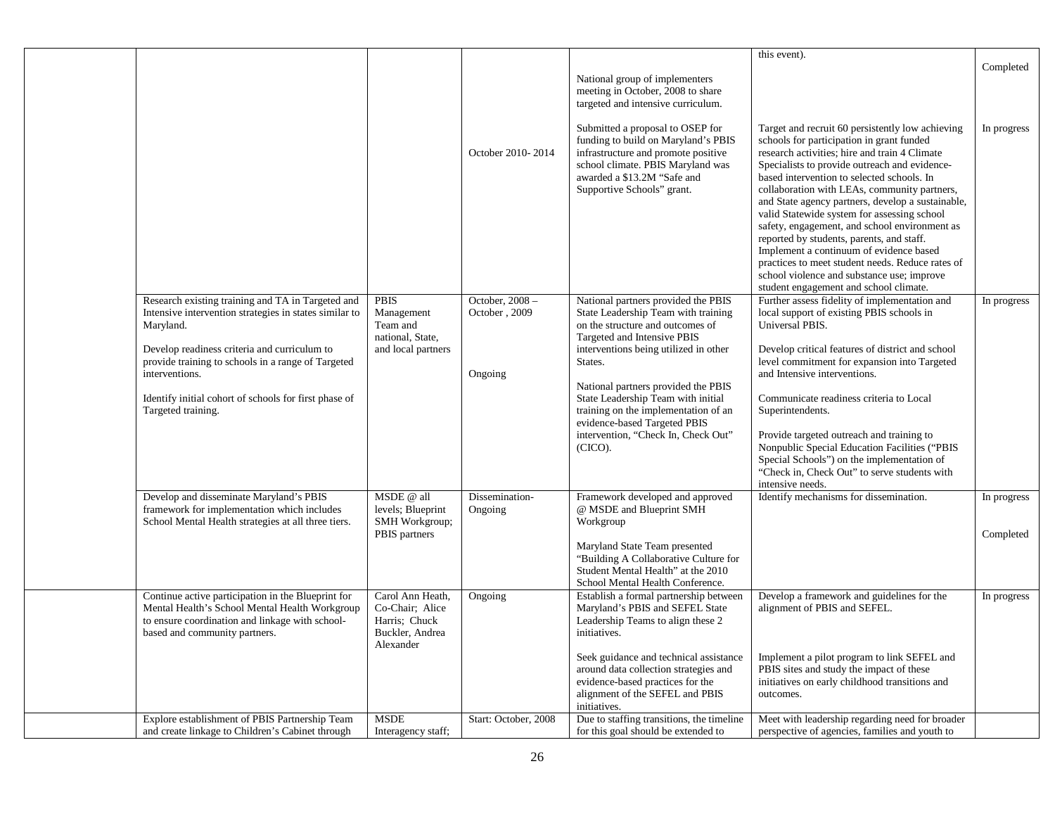|                                                                                                                                                                                          |                                                                                      |                                  |                                                                                                                                                                                                                  | this event).                                                                                                                                                                                                                                                                                                                                                                                                                                                                                                                                                                                                                                                                           | Completed   |
|------------------------------------------------------------------------------------------------------------------------------------------------------------------------------------------|--------------------------------------------------------------------------------------|----------------------------------|------------------------------------------------------------------------------------------------------------------------------------------------------------------------------------------------------------------|----------------------------------------------------------------------------------------------------------------------------------------------------------------------------------------------------------------------------------------------------------------------------------------------------------------------------------------------------------------------------------------------------------------------------------------------------------------------------------------------------------------------------------------------------------------------------------------------------------------------------------------------------------------------------------------|-------------|
|                                                                                                                                                                                          |                                                                                      |                                  | National group of implementers<br>meeting in October, 2008 to share<br>targeted and intensive curriculum.                                                                                                        |                                                                                                                                                                                                                                                                                                                                                                                                                                                                                                                                                                                                                                                                                        |             |
|                                                                                                                                                                                          |                                                                                      | October 2010-2014                | Submitted a proposal to OSEP for<br>funding to build on Maryland's PBIS<br>infrastructure and promote positive<br>school climate. PBIS Maryland was<br>awarded a \$13.2M "Safe and<br>Supportive Schools" grant. | Target and recruit 60 persistently low achieving<br>schools for participation in grant funded<br>research activities; hire and train 4 Climate<br>Specialists to provide outreach and evidence-<br>based intervention to selected schools. In<br>collaboration with LEAs, community partners,<br>and State agency partners, develop a sustainable,<br>valid Statewide system for assessing school<br>safety, engagement, and school environment as<br>reported by students, parents, and staff.<br>Implement a continuum of evidence based<br>practices to meet student needs. Reduce rates of<br>school violence and substance use; improve<br>student engagement and school climate. | In progress |
| Research existing training and TA in Targeted and<br>Intensive intervention strategies in states similar to<br>Maryland.                                                                 | <b>PBIS</b><br>Management<br>Team and<br>national, State,                            | October, 2008 -<br>October, 2009 | National partners provided the PBIS<br>State Leadership Team with training<br>on the structure and outcomes of<br>Targeted and Intensive PBIS                                                                    | Further assess fidelity of implementation and<br>local support of existing PBIS schools in<br>Universal PBIS.                                                                                                                                                                                                                                                                                                                                                                                                                                                                                                                                                                          | In progress |
| Develop readiness criteria and curriculum to<br>provide training to schools in a range of Targeted<br>interventions.                                                                     | and local partners                                                                   | Ongoing                          | interventions being utilized in other<br>States.                                                                                                                                                                 | Develop critical features of district and school<br>level commitment for expansion into Targeted<br>and Intensive interventions.                                                                                                                                                                                                                                                                                                                                                                                                                                                                                                                                                       |             |
| Identify initial cohort of schools for first phase of<br>Targeted training.                                                                                                              |                                                                                      |                                  | National partners provided the PBIS<br>State Leadership Team with initial<br>training on the implementation of an<br>evidence-based Targeted PBIS                                                                | Communicate readiness criteria to Local<br>Superintendents.                                                                                                                                                                                                                                                                                                                                                                                                                                                                                                                                                                                                                            |             |
|                                                                                                                                                                                          |                                                                                      |                                  | intervention, "Check In, Check Out"<br>(CICO).                                                                                                                                                                   | Provide targeted outreach and training to<br>Nonpublic Special Education Facilities ("PBIS<br>Special Schools") on the implementation of<br>"Check in, Check Out" to serve students with<br>intensive needs.                                                                                                                                                                                                                                                                                                                                                                                                                                                                           |             |
| Develop and disseminate Maryland's PBIS<br>framework for implementation which includes<br>School Mental Health strategies at all three tiers.                                            | MSDE @ all<br>levels; Blueprint<br>SMH Workgroup;                                    | Dissemination-<br>Ongoing        | Framework developed and approved<br>@ MSDE and Blueprint SMH<br>Workgroup                                                                                                                                        | Identify mechanisms for dissemination.                                                                                                                                                                                                                                                                                                                                                                                                                                                                                                                                                                                                                                                 | In progress |
|                                                                                                                                                                                          | PBIS partners                                                                        |                                  | Maryland State Team presented<br>"Building A Collaborative Culture for<br>Student Mental Health" at the 2010<br>School Mental Health Conference.                                                                 |                                                                                                                                                                                                                                                                                                                                                                                                                                                                                                                                                                                                                                                                                        | Completed   |
| Continue active participation in the Blueprint for<br>Mental Health's School Mental Health Workgroup<br>to ensure coordination and linkage with school-<br>based and community partners. | Carol Ann Heath,<br>Co-Chair; Alice<br>Harris: Chuck<br>Buckler, Andrea<br>Alexander | Ongoing                          | Establish a formal partnership between<br>Maryland's PBIS and SEFEL State<br>Leadership Teams to align these 2<br>initiatives.                                                                                   | Develop a framework and guidelines for the<br>alignment of PBIS and SEFEL.                                                                                                                                                                                                                                                                                                                                                                                                                                                                                                                                                                                                             | In progress |
|                                                                                                                                                                                          |                                                                                      |                                  | Seek guidance and technical assistance<br>around data collection strategies and<br>evidence-based practices for the<br>alignment of the SEFEL and PBIS<br>initiatives.                                           | Implement a pilot program to link SEFEL and<br>PBIS sites and study the impact of these<br>initiatives on early childhood transitions and<br>outcomes.                                                                                                                                                                                                                                                                                                                                                                                                                                                                                                                                 |             |
| Explore establishment of PBIS Partnership Team<br>and create linkage to Children's Cabinet through                                                                                       | <b>MSDE</b><br>Interagency staff;                                                    | Start: October, 2008             | Due to staffing transitions, the timeline<br>for this goal should be extended to                                                                                                                                 | Meet with leadership regarding need for broader<br>perspective of agencies, families and youth to                                                                                                                                                                                                                                                                                                                                                                                                                                                                                                                                                                                      |             |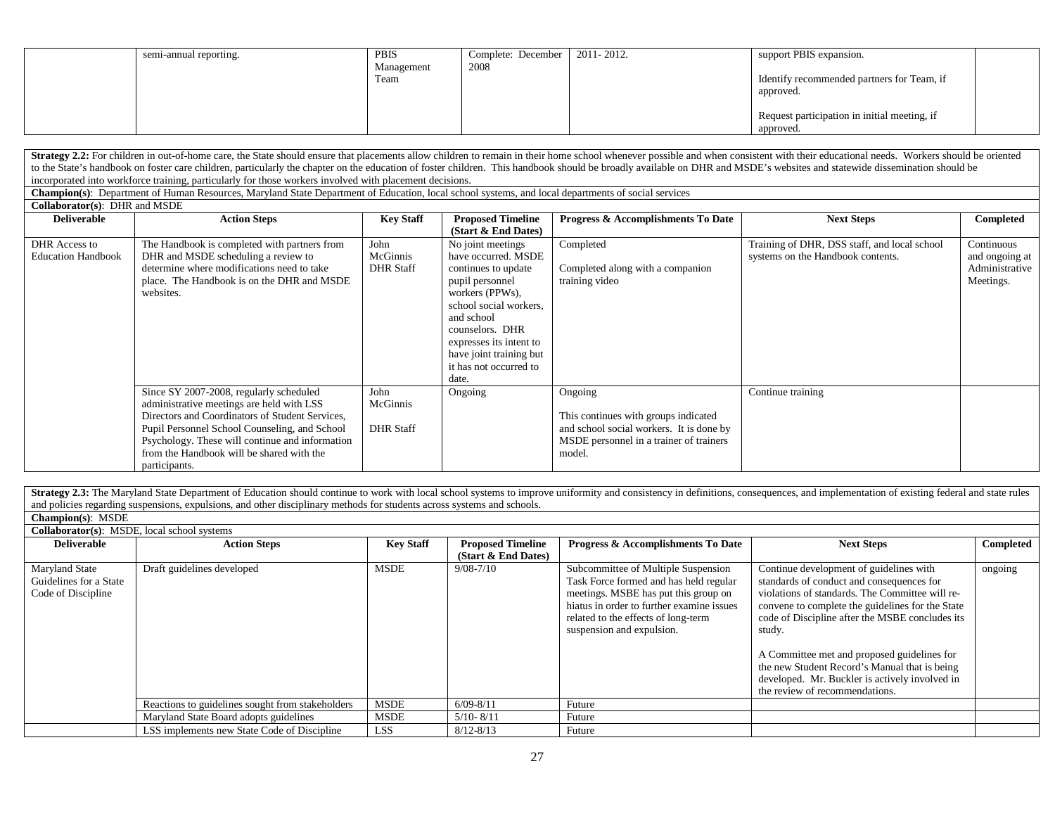| semi-annual reporting. | PBIS       | Complete: December | 2011-2012. | support PBIS expansion.                      |  |
|------------------------|------------|--------------------|------------|----------------------------------------------|--|
|                        | Management | 2008               |            |                                              |  |
|                        | Team       |                    |            | Identify recommended partners for Team, if   |  |
|                        |            |                    |            | approved.                                    |  |
|                        |            |                    |            |                                              |  |
|                        |            |                    |            | Request participation in initial meeting, if |  |
|                        |            |                    |            | approved.                                    |  |

Strategy 2.2: For children in out-of-home care, the State should ensure that placements allow children to remain in their home school whenever possible and when consistent with their educational needs. Workers should be or to the State's handbook on foster care children, particularly the chapter on the education of foster children. This handbook should be broadly available on DHR and MSDE's websites and statewide dissemination should be incorporated into workforce training, particularly for those workers involved with placement decisions.

**Champion(s)**: Department of Human Resources, Maryland State Department of Education, local school systems, and local departments of social services

**Collaborator(s)**: DHR and MSDE

| <b>Deliverable</b>                         | <b>Action Steps</b>                                                                                                                                                                                                                                                                                       | <b>Key Staff</b>                     | <b>Proposed Timeline</b>                                                                                                                                                                                                                                  | Progress & Accomplishments To Date                                                                                                               | <b>Next Steps</b>                                                                 | Completed                                                   |
|--------------------------------------------|-----------------------------------------------------------------------------------------------------------------------------------------------------------------------------------------------------------------------------------------------------------------------------------------------------------|--------------------------------------|-----------------------------------------------------------------------------------------------------------------------------------------------------------------------------------------------------------------------------------------------------------|--------------------------------------------------------------------------------------------------------------------------------------------------|-----------------------------------------------------------------------------------|-------------------------------------------------------------|
|                                            |                                                                                                                                                                                                                                                                                                           |                                      | (Start & End Dates)                                                                                                                                                                                                                                       |                                                                                                                                                  |                                                                                   |                                                             |
| DHR Access to<br><b>Education Handbook</b> | The Handbook is completed with partners from<br>DHR and MSDE scheduling a review to<br>determine where modifications need to take<br>place. The Handbook is on the DHR and MSDE<br>websites.                                                                                                              | John<br>McGinnis<br><b>DHR</b> Staff | No joint meetings<br>have occurred. MSDE<br>continues to update<br>pupil personnel<br>workers (PPWs),<br>school social workers.<br>and school<br>counselors. DHR<br>expresses its intent to<br>have joint training but<br>it has not occurred to<br>date. | Completed<br>Completed along with a companion<br>training video                                                                                  | Training of DHR, DSS staff, and local school<br>systems on the Handbook contents. | Continuous<br>and ongoing at<br>Administrative<br>Meetings. |
|                                            | Since SY 2007-2008, regularly scheduled<br>administrative meetings are held with LSS<br>Directors and Coordinators of Student Services,<br>Pupil Personnel School Counseling, and School<br>Psychology. These will continue and information<br>from the Handbook will be shared with the<br>participants. | John<br>McGinnis<br><b>DHR Staff</b> | Ongoing                                                                                                                                                                                                                                                   | Ongoing<br>This continues with groups indicated<br>and school social workers. It is done by<br>MSDE personnel in a trainer of trainers<br>model. | Continue training                                                                 |                                                             |

Strategy 2.3: The Maryland State Department of Education should continue to work with local school systems to improve uniformity and consistency in definitions, consequences, and implementation of existing federal and stat and policies regarding suspensions, expulsions, and other disciplinary methods for students across systems and schools.

| <b>Champion(s): MSDE</b>                                 |  |
|----------------------------------------------------------|--|
| $\alpha$ in $\alpha$ is $\alpha$ is $\alpha$ is $\alpha$ |  |

|                                                                       | <b>Collaborator(s):</b> MSDE, local school systems |                  |                          |                                                                                                                                                                                                                                        |                                                                                                                                                                                                                                                                                                                                                                                                                                              |           |  |  |  |
|-----------------------------------------------------------------------|----------------------------------------------------|------------------|--------------------------|----------------------------------------------------------------------------------------------------------------------------------------------------------------------------------------------------------------------------------------|----------------------------------------------------------------------------------------------------------------------------------------------------------------------------------------------------------------------------------------------------------------------------------------------------------------------------------------------------------------------------------------------------------------------------------------------|-----------|--|--|--|
| <b>Deliverable</b>                                                    | <b>Action Steps</b>                                | <b>Key Staff</b> | <b>Proposed Timeline</b> | Progress & Accomplishments To Date                                                                                                                                                                                                     | <b>Next Steps</b>                                                                                                                                                                                                                                                                                                                                                                                                                            | Completed |  |  |  |
|                                                                       |                                                    |                  | (Start & End Dates)      |                                                                                                                                                                                                                                        |                                                                                                                                                                                                                                                                                                                                                                                                                                              |           |  |  |  |
| <b>Maryland State</b><br>Guidelines for a State<br>Code of Discipline | Draft guidelines developed                         | MSDE             | $9/08 - 7/10$            | Subcommittee of Multiple Suspension<br>Task Force formed and has held regular<br>meetings. MSBE has put this group on<br>hiatus in order to further examine issues<br>related to the effects of long-term<br>suspension and expulsion. | Continue development of guidelines with<br>standards of conduct and consequences for<br>violations of standards. The Committee will re-<br>convene to complete the guidelines for the State<br>code of Discipline after the MSBE concludes its<br>study.<br>A Committee met and proposed guidelines for<br>the new Student Record's Manual that is being<br>developed. Mr. Buckler is actively involved in<br>the review of recommendations. | ongoing   |  |  |  |
|                                                                       | Reactions to guidelines sought from stakeholders   | <b>MSDE</b>      | $6/09 - 8/11$            | Future                                                                                                                                                                                                                                 |                                                                                                                                                                                                                                                                                                                                                                                                                                              |           |  |  |  |
|                                                                       | Maryland State Board adopts guidelines             | <b>MSDE</b>      | $5/10 - 8/11$            | Future                                                                                                                                                                                                                                 |                                                                                                                                                                                                                                                                                                                                                                                                                                              |           |  |  |  |
|                                                                       | LSS implements new State Code of Discipline        | <b>LSS</b>       | $8/12 - 8/13$            | Future                                                                                                                                                                                                                                 |                                                                                                                                                                                                                                                                                                                                                                                                                                              |           |  |  |  |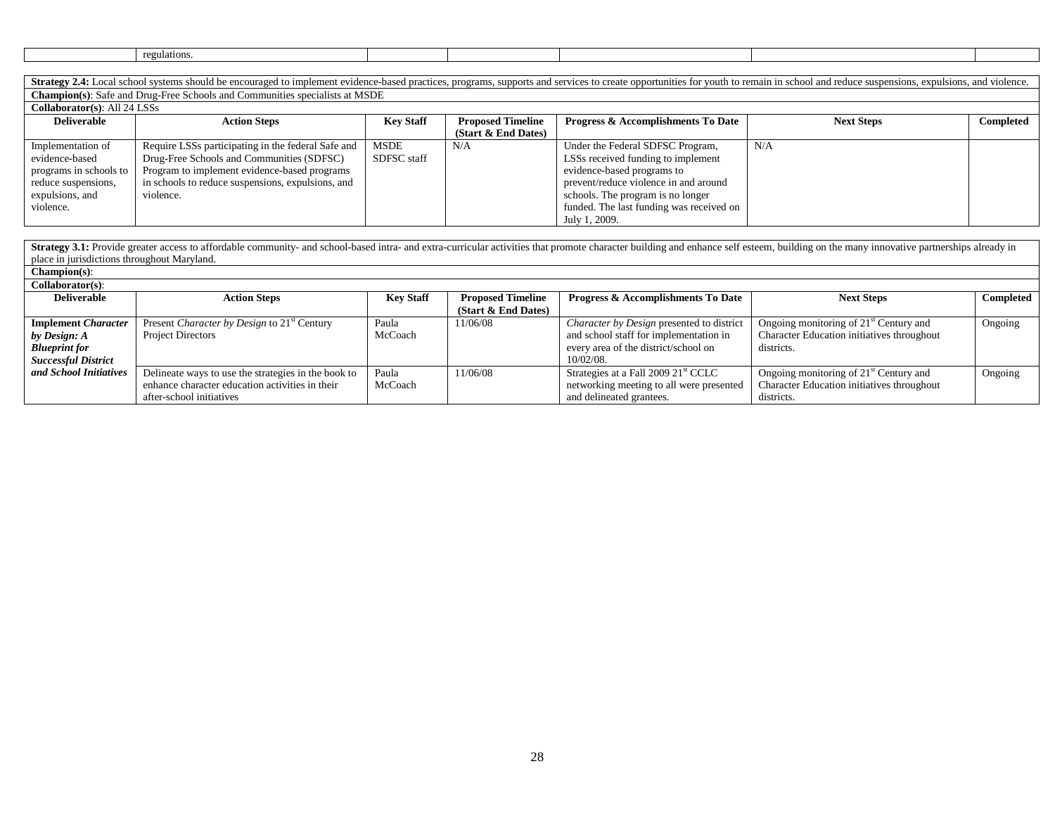| gulations |  |  |  |
|-----------|--|--|--|
|           |  |  |  |

Strategy 2.4: Local school systems should be encouraged to implement evidence-based practices, programs, supports and services to create opportunities for youth to remain in school and reduce suspensions, expulsions, and v **Champion(s)**: Safe and Drug-Free Schools and Communities specialists at MSDE

**Collaborator(s)**: All 24 LSSs

| $\mathcal{L}$ onaborator (3). An $2\pi$ ESSS |                                                    |                  |                          |                                               |                   |           |  |
|----------------------------------------------|----------------------------------------------------|------------------|--------------------------|-----------------------------------------------|-------------------|-----------|--|
| <b>Deliverable</b>                           | <b>Action Steps</b>                                | <b>Key Staff</b> | <b>Proposed Timeline</b> | <b>Progress &amp; Accomplishments To Date</b> | <b>Next Steps</b> | Completed |  |
|                                              |                                                    |                  | (Start & End Dates)      |                                               |                   |           |  |
| Implementation of                            | Require LSSs participating in the federal Safe and | MSDE             | N/A                      | Under the Federal SDFSC Program,              | N/A               |           |  |
| evidence-based                               | Drug-Free Schools and Communities (SDFSC)          | SDFSC staff      |                          | LSSs received funding to implement            |                   |           |  |
| programs in schools to                       | Program to implement evidence-based programs       |                  |                          | evidence-based programs to                    |                   |           |  |
| reduce suspensions,                          | in schools to reduce suspensions, expulsions, and  |                  |                          | prevent/reduce violence in and around         |                   |           |  |
| expulsions, and                              | violence.                                          |                  |                          | schools. The program is no longer             |                   |           |  |
| violence.                                    |                                                    |                  |                          | funded. The last funding was received on      |                   |           |  |
|                                              |                                                    |                  |                          | July 1, 2009.                                 |                   |           |  |

Strategy 3.1: Provide greater access to affordable community- and school-based intra- and extra-curricular activities that promote character building and enhance self esteem, building on the many innovative partnerships al place in jurisdictions throughout Maryland.

| $Channon(s)$ :             |                                                         |                  |                          |                                                 |                                                    |                  |
|----------------------------|---------------------------------------------------------|------------------|--------------------------|-------------------------------------------------|----------------------------------------------------|------------------|
| $Collaborator(s)$ :        |                                                         |                  |                          |                                                 |                                                    |                  |
| <b>Deliverable</b>         | <b>Action Steps</b>                                     | <b>Key Staff</b> | <b>Proposed Timeline</b> | <b>Progress &amp; Accomplishments To Date</b>   | <b>Next Steps</b>                                  | <b>Completed</b> |
|                            |                                                         |                  | (Start & End Dates)      |                                                 |                                                    |                  |
| <b>Implement Character</b> | Present Character by Design to 21 <sup>st</sup> Century | Paula            | 11/06/08                 | Character by Design presented to district       | Ongoing monitoring of 21 <sup>st</sup> Century and | Ongoing          |
| by Design: A               | <b>Project Directors</b>                                | McCoach          |                          | and school staff for implementation in          | Character Education initiatives throughout         |                  |
| <b>Blueprint for</b>       |                                                         |                  |                          | every area of the district/school on            | districts.                                         |                  |
| <b>Successful District</b> |                                                         |                  |                          | $10/02/08$ .                                    |                                                    |                  |
| and School Initiatives     | Delineate ways to use the strategies in the book to     | Paula            | 11/06/08                 | Strategies at a Fall 2009 21 <sup>st</sup> CCLC | Ongoing monitoring of 21 <sup>st</sup> Century and | Ongoing          |
|                            | enhance character education activities in their         | McCoach          |                          | networking meeting to all were presented        | Character Education initiatives throughout         |                  |
|                            | after-school initiatives                                |                  |                          | and delineated grantees.                        | districts.                                         |                  |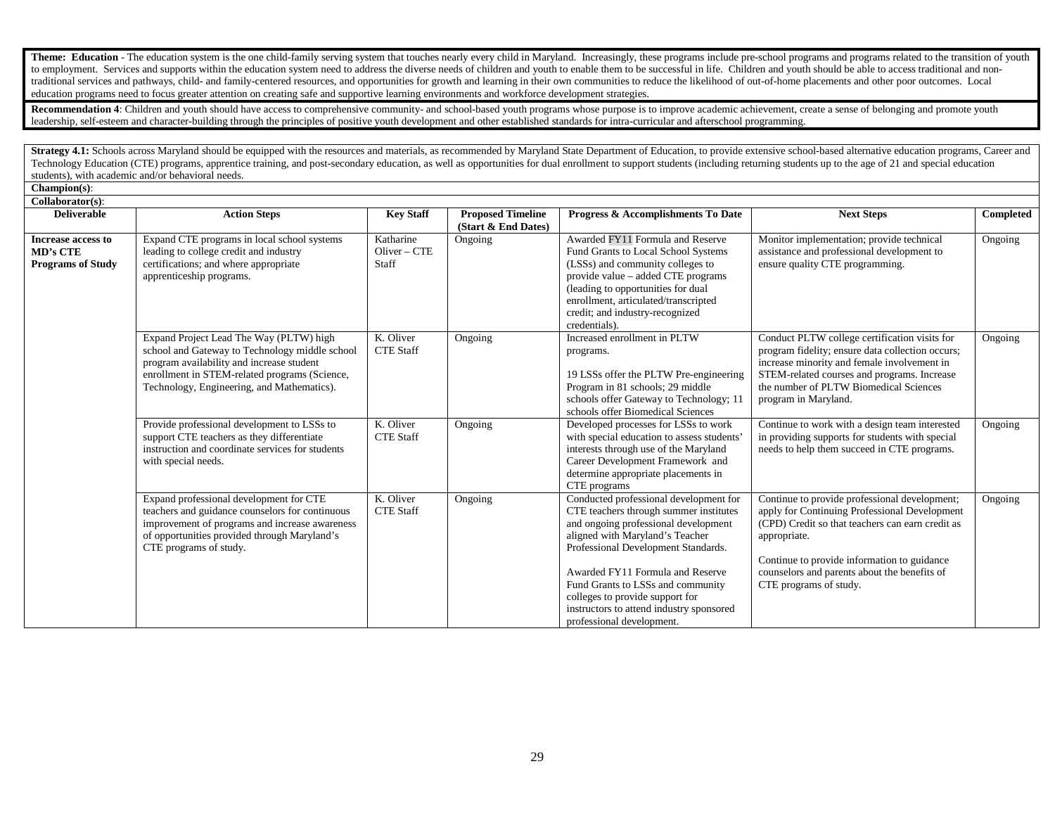Theme: Education - The education system is the one child-family serving system that touches nearly every child in Maryland. Increasingly, these programs include pre-school programs and programs related to the transition of to employment. Services and supports within the education system need to address the diverse needs of children and youth to enable them to be successful in life. Children and youth should be able to access traditional and traditional services and pathways, child- and family-centered resources, and opportunities for growth and learning in their own communities to reduce the likelihood of out-of-home placements and other poor outcomes. Local education programs need to focus greater attention on creating safe and supportive learning environments and workforce development strategies.

Recommendation 4: Children and youth should have access to comprehensive community- and school-based youth programs whose purpose is to improve academic achievement, create a sense of belonging and promote youth leadership, self-esteem and character-building through the principles of positive youth development and other established standards for intra-curricular and afterschool programming.

Strategy 4.1: Schools across Maryland should be equipped with the resources and materials, as recommended by Maryland State Department of Education, to provide extensive school-based alternative education programs, Career Technology Education (CTE) programs, apprentice training, and post-secondary education, as well as opportunities for dual enrollment to support students (including returning students up to the age of 21 and special educati students), with academic and/or behavioral needs.

**Champion(s)**:

| $Collaborator(s)$ :                                        |                                                                                                                                                                                                                                       |                                         |                                                 |                                                                                                                                                                                                                                                                                                                                                                                         |                                                                                                                                                                                                                                                                                             |           |
|------------------------------------------------------------|---------------------------------------------------------------------------------------------------------------------------------------------------------------------------------------------------------------------------------------|-----------------------------------------|-------------------------------------------------|-----------------------------------------------------------------------------------------------------------------------------------------------------------------------------------------------------------------------------------------------------------------------------------------------------------------------------------------------------------------------------------------|---------------------------------------------------------------------------------------------------------------------------------------------------------------------------------------------------------------------------------------------------------------------------------------------|-----------|
| <b>Deliverable</b>                                         | <b>Action Steps</b>                                                                                                                                                                                                                   | <b>Key Staff</b>                        | <b>Proposed Timeline</b><br>(Start & End Dates) | Progress & Accomplishments To Date                                                                                                                                                                                                                                                                                                                                                      | <b>Next Steps</b>                                                                                                                                                                                                                                                                           | Completed |
| Increase access to<br>MD's CTE<br><b>Programs of Study</b> | Expand CTE programs in local school systems<br>leading to college credit and industry<br>certifications; and where appropriate<br>apprenticeship programs.                                                                            | Katharine<br>$O$ liver – $CTE$<br>Staff | Ongoing                                         | Awarded FY11 Formula and Reserve<br>Fund Grants to Local School Systems<br>(LSSs) and community colleges to<br>provide value – added CTE programs<br>(leading to opportunities for dual<br>enrollment, articulated/transcripted<br>credit; and industry-recognized<br>credentials).                                                                                                     | Monitor implementation; provide technical<br>assistance and professional development to<br>ensure quality CTE programming.                                                                                                                                                                  | Ongoing   |
|                                                            | Expand Project Lead The Way (PLTW) high<br>school and Gateway to Technology middle school<br>program availability and increase student<br>enrollment in STEM-related programs (Science,<br>Technology, Engineering, and Mathematics). | K. Oliver<br><b>CTE Staff</b>           | Ongoing                                         | Increased enrollment in PLTW<br>programs.<br>19 LSSs offer the PLTW Pre-engineering<br>Program in 81 schools; 29 middle<br>schools offer Gateway to Technology; 11<br>schools offer Biomedical Sciences                                                                                                                                                                                 | Conduct PLTW college certification visits for<br>program fidelity; ensure data collection occurs;<br>increase minority and female involvement in<br>STEM-related courses and programs. Increase<br>the number of PLTW Biomedical Sciences<br>program in Maryland.                           | Ongoing   |
|                                                            | Provide professional development to LSSs to<br>support CTE teachers as they differentiate<br>instruction and coordinate services for students<br>with special needs.                                                                  | K. Oliver<br><b>CTE Staff</b>           | Ongoing                                         | Developed processes for LSSs to work<br>with special education to assess students'<br>interests through use of the Maryland<br>Career Development Framework and<br>determine appropriate placements in<br>CTE programs                                                                                                                                                                  | Continue to work with a design team interested<br>in providing supports for students with special<br>needs to help them succeed in CTE programs.                                                                                                                                            | Ongoing   |
|                                                            | Expand professional development for CTE<br>teachers and guidance counselors for continuous<br>improvement of programs and increase awareness<br>of opportunities provided through Maryland's<br>CTE programs of study.                | K. Oliver<br><b>CTE Staff</b>           | Ongoing                                         | Conducted professional development for<br>CTE teachers through summer institutes<br>and ongoing professional development<br>aligned with Maryland's Teacher<br>Professional Development Standards.<br>Awarded FY11 Formula and Reserve<br>Fund Grants to LSSs and community<br>colleges to provide support for<br>instructors to attend industry sponsored<br>professional development. | Continue to provide professional development;<br>apply for Continuing Professional Development<br>(CPD) Credit so that teachers can earn credit as<br>appropriate.<br>Continue to provide information to guidance<br>counselors and parents about the benefits of<br>CTE programs of study. | Ongoing   |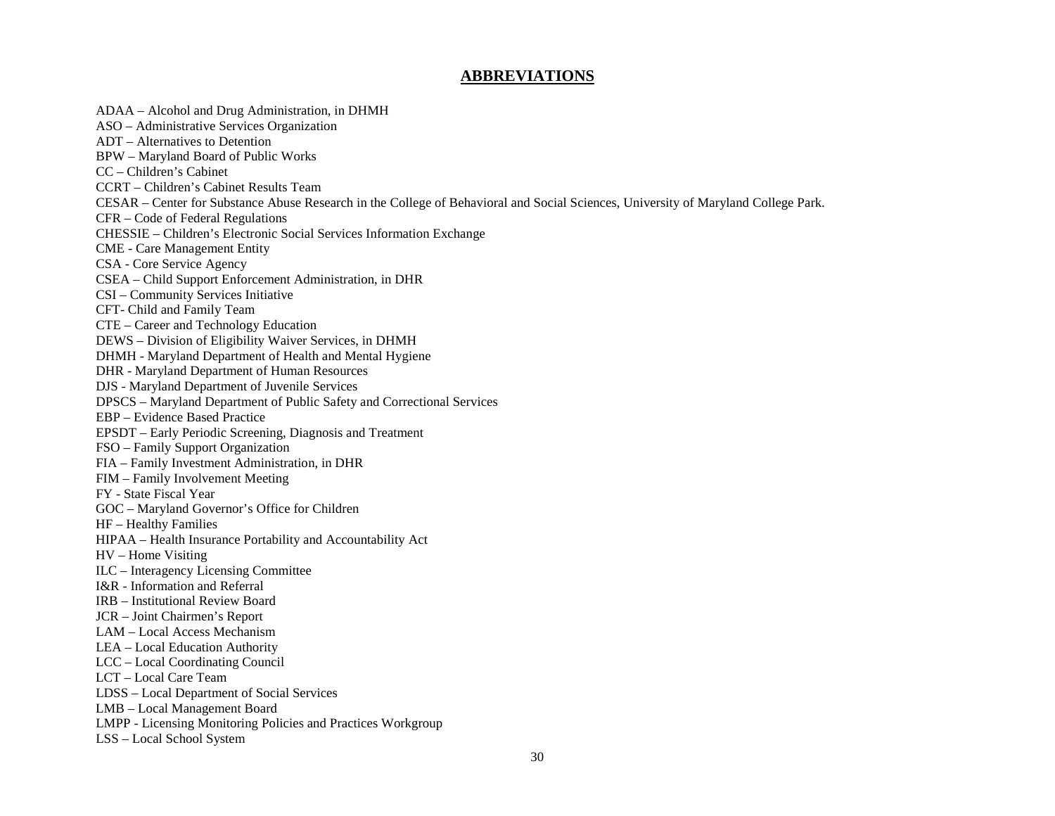### **ABBREVIATIONS**

ADAA – Alcohol and Drug Administration, in DHMH ASO – Administrative Services Organization ADT – Alternatives to Detention BPW – Maryland Board of Public Works CC – Children's Cabinet CCRT – Children's Cabinet Results Team CESAR – Center for Substance Abuse Research in the College of Behavioral and Social Sciences, University of Maryland College Park. CFR – Code of Federal Regulations CHESSIE – Children's Electronic Social Services Information Exchange CME - Care Management Entity CSA - Core Service Agency CSEA – Child Support Enforcement Administration, in DHR CSI – Community Services Initiative CFT- Child and Family Team CTE – Career and Technology Education DEWS – Division of Eligibility Waiver Services, in DHMH DHMH - Maryland Department of Health and Mental Hygiene DHR - Maryland Department of Human Resources DJS - Maryland Department of Juvenile Services DPSCS – Maryland Department of Public Safety and Correctional Services EBP – Evidence Based Practice EPSDT – Early Periodic Screening, Diagnosis and Treatment FSO – Family Support Organization FIA – Family Investment Administration, in DHR FIM – Family Involvement Meeting FY - State Fiscal Year GOC – Maryland Governor's Office for Children HF – Healthy Families HIPAA – Health Insurance Portability and Accountability Act HV – Home Visiting ILC – Interagency Licensing Committee I&R - Information and Referral IRB – Institutional Review Board JCR – Joint Chairmen's Report LAM – Local Access Mechanism LEA – Local Education Authority LCC – Local Coordinating Council LCT – Local Care Team LDSS – Local Department of Social Services LMB – Local Management Board LMPP - Licensing Monitoring Policies and Practices Workgroup LSS – Local School System